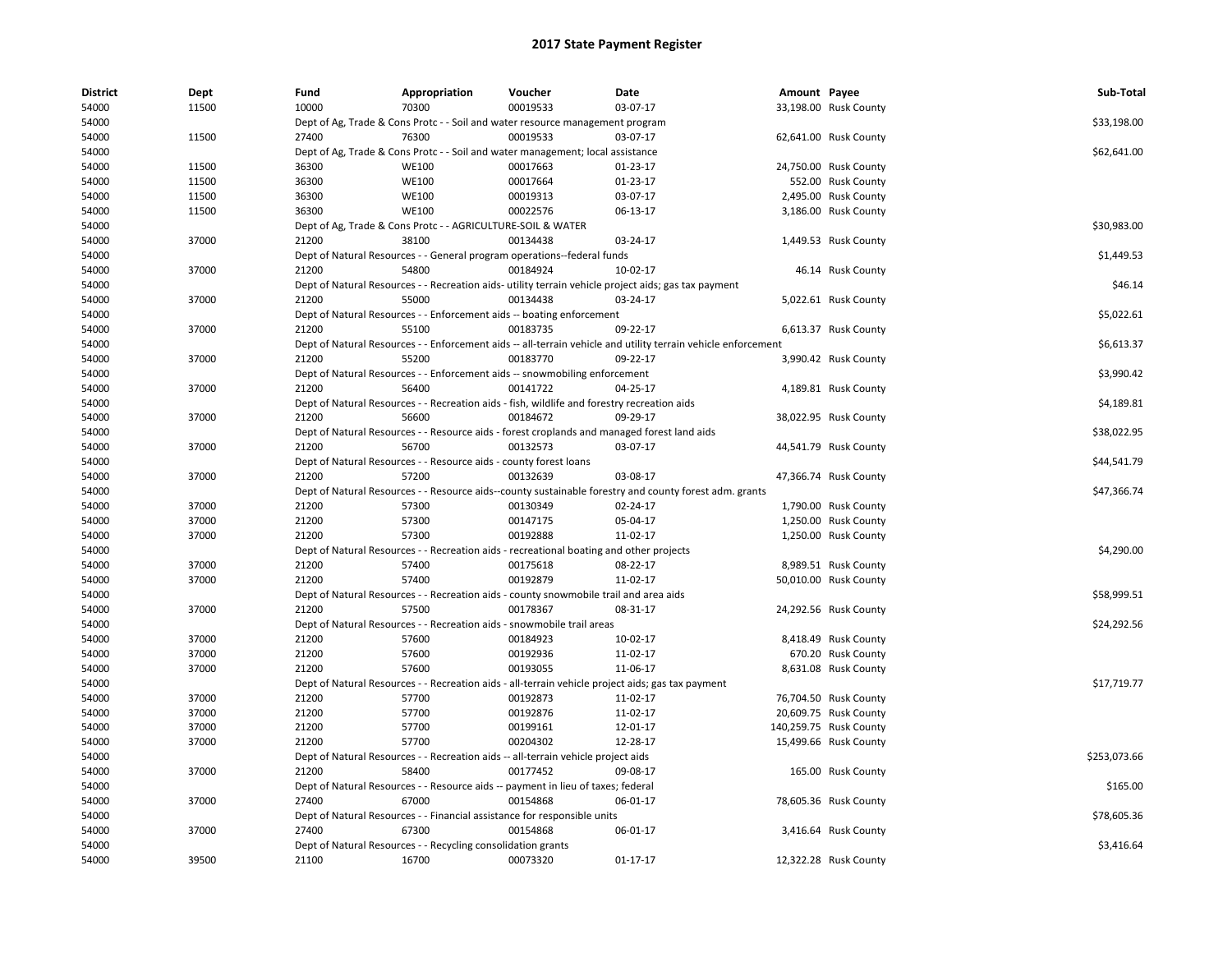| <b>District</b> | Dept  | Fund  | Appropriation                                                                               | Voucher  | Date                                                                                                          | Amount Payee |                        | Sub-Total    |
|-----------------|-------|-------|---------------------------------------------------------------------------------------------|----------|---------------------------------------------------------------------------------------------------------------|--------------|------------------------|--------------|
| 54000           | 11500 | 10000 | 70300                                                                                       | 00019533 | 03-07-17                                                                                                      |              | 33,198.00 Rusk County  |              |
| 54000           |       |       | Dept of Ag, Trade & Cons Protc - - Soil and water resource management program               |          |                                                                                                               |              |                        | \$33,198.00  |
| 54000           | 11500 | 27400 | 76300                                                                                       | 00019533 | 03-07-17                                                                                                      |              | 62,641.00 Rusk County  |              |
| 54000           |       |       | Dept of Ag, Trade & Cons Protc - - Soil and water management; local assistance              |          |                                                                                                               |              |                        | \$62,641.00  |
| 54000           | 11500 | 36300 | <b>WE100</b>                                                                                | 00017663 | 01-23-17                                                                                                      |              | 24,750.00 Rusk County  |              |
| 54000           | 11500 | 36300 | <b>WE100</b>                                                                                | 00017664 | $01-23-17$                                                                                                    |              | 552.00 Rusk County     |              |
| 54000           | 11500 | 36300 | <b>WE100</b>                                                                                | 00019313 | 03-07-17                                                                                                      |              | 2,495.00 Rusk County   |              |
| 54000           | 11500 | 36300 | <b>WE100</b>                                                                                | 00022576 | 06-13-17                                                                                                      |              | 3,186.00 Rusk County   |              |
| 54000           |       |       | Dept of Ag, Trade & Cons Protc - - AGRICULTURE-SOIL & WATER                                 |          |                                                                                                               |              |                        | \$30,983.00  |
| 54000           | 37000 | 21200 | 38100                                                                                       | 00134438 | 03-24-17                                                                                                      |              | 1,449.53 Rusk County   |              |
| 54000           |       |       | Dept of Natural Resources - - General program operations--federal funds                     |          |                                                                                                               |              |                        | \$1,449.53   |
| 54000           | 37000 | 21200 | 54800                                                                                       | 00184924 | 10-02-17                                                                                                      |              | 46.14 Rusk County      |              |
| 54000           |       |       |                                                                                             |          | Dept of Natural Resources - - Recreation aids- utility terrain vehicle project aids; gas tax payment          |              |                        | \$46.14      |
| 54000           | 37000 | 21200 | 55000                                                                                       | 00134438 | 03-24-17                                                                                                      |              | 5,022.61 Rusk County   |              |
| 54000           |       |       | Dept of Natural Resources - - Enforcement aids -- boating enforcement                       |          |                                                                                                               |              |                        | \$5,022.61   |
| 54000           | 37000 | 21200 | 55100                                                                                       | 00183735 | 09-22-17                                                                                                      |              | 6,613.37 Rusk County   |              |
| 54000           |       |       |                                                                                             |          | Dept of Natural Resources - - Enforcement aids -- all-terrain vehicle and utility terrain vehicle enforcement |              |                        | \$6,613.37   |
| 54000           | 37000 | 21200 | 55200                                                                                       | 00183770 | 09-22-17                                                                                                      |              | 3,990.42 Rusk County   |              |
| 54000           |       |       | Dept of Natural Resources - - Enforcement aids -- snowmobiling enforcement                  |          |                                                                                                               |              |                        | \$3,990.42   |
| 54000           | 37000 | 21200 | 56400                                                                                       | 00141722 | 04-25-17                                                                                                      |              | 4,189.81 Rusk County   |              |
| 54000           |       |       | Dept of Natural Resources - - Recreation aids - fish, wildlife and forestry recreation aids |          |                                                                                                               |              |                        | \$4,189.81   |
| 54000           | 37000 | 21200 | 56600                                                                                       | 00184672 | 09-29-17                                                                                                      |              | 38,022.95 Rusk County  |              |
| 54000           |       |       |                                                                                             |          | Dept of Natural Resources - - Resource aids - forest croplands and managed forest land aids                   |              |                        | \$38,022.95  |
| 54000           | 37000 | 21200 | 56700                                                                                       | 00132573 | 03-07-17                                                                                                      |              | 44,541.79 Rusk County  |              |
| 54000           |       |       | Dept of Natural Resources - - Resource aids - county forest loans                           |          |                                                                                                               |              |                        | \$44,541.79  |
| 54000           | 37000 | 21200 | 57200                                                                                       | 00132639 | 03-08-17                                                                                                      |              | 47,366.74 Rusk County  |              |
| 54000           |       |       |                                                                                             |          | Dept of Natural Resources - - Resource aids--county sustainable forestry and county forest adm. grants        |              |                        | \$47,366.74  |
| 54000           | 37000 | 21200 | 57300                                                                                       | 00130349 | 02-24-17                                                                                                      |              | 1,790.00 Rusk County   |              |
| 54000           | 37000 | 21200 | 57300                                                                                       | 00147175 | 05-04-17                                                                                                      |              | 1,250.00 Rusk County   |              |
| 54000           | 37000 | 21200 | 57300                                                                                       | 00192888 | 11-02-17                                                                                                      |              | 1,250.00 Rusk County   |              |
| 54000           |       |       | Dept of Natural Resources - - Recreation aids - recreational boating and other projects     |          |                                                                                                               |              |                        | \$4,290.00   |
| 54000           | 37000 | 21200 | 57400                                                                                       | 00175618 | 08-22-17                                                                                                      |              | 8,989.51 Rusk County   |              |
| 54000           | 37000 | 21200 | 57400                                                                                       | 00192879 | 11-02-17                                                                                                      |              | 50,010.00 Rusk County  |              |
| 54000           |       |       | Dept of Natural Resources - - Recreation aids - county snowmobile trail and area aids       |          |                                                                                                               |              |                        | \$58,999.51  |
| 54000           | 37000 | 21200 | 57500                                                                                       | 00178367 | 08-31-17                                                                                                      |              | 24,292.56 Rusk County  |              |
| 54000           |       |       | Dept of Natural Resources - - Recreation aids - snowmobile trail areas                      |          |                                                                                                               |              |                        | \$24,292.56  |
| 54000           | 37000 | 21200 | 57600                                                                                       | 00184923 | 10-02-17                                                                                                      |              | 8,418.49 Rusk County   |              |
| 54000           | 37000 | 21200 | 57600                                                                                       | 00192936 | 11-02-17                                                                                                      |              | 670.20 Rusk County     |              |
| 54000           | 37000 | 21200 | 57600                                                                                       | 00193055 | 11-06-17                                                                                                      |              | 8,631.08 Rusk County   |              |
| 54000           |       |       |                                                                                             |          | Dept of Natural Resources - - Recreation aids - all-terrain vehicle project aids; gas tax payment             |              |                        | \$17,719.77  |
| 54000           | 37000 | 21200 | 57700                                                                                       | 00192873 | 11-02-17                                                                                                      |              | 76,704.50 Rusk County  |              |
| 54000           | 37000 | 21200 | 57700                                                                                       | 00192876 | 11-02-17                                                                                                      |              | 20,609.75 Rusk County  |              |
| 54000           | 37000 | 21200 | 57700                                                                                       | 00199161 | 12-01-17                                                                                                      |              | 140,259.75 Rusk County |              |
| 54000           | 37000 | 21200 | 57700                                                                                       | 00204302 | 12-28-17                                                                                                      |              | 15,499.66 Rusk County  |              |
| 54000           |       |       | Dept of Natural Resources - - Recreation aids -- all-terrain vehicle project aids           |          |                                                                                                               |              |                        | \$253,073.66 |
| 54000           | 37000 | 21200 | 58400                                                                                       | 00177452 | 09-08-17                                                                                                      |              | 165.00 Rusk County     |              |
| 54000           |       |       | Dept of Natural Resources - - Resource aids -- payment in lieu of taxes; federal            |          |                                                                                                               |              |                        | \$165.00     |
| 54000           | 37000 | 27400 | 67000                                                                                       | 00154868 | 06-01-17                                                                                                      |              | 78,605.36 Rusk County  |              |
| 54000           |       |       | Dept of Natural Resources - - Financial assistance for responsible units                    |          |                                                                                                               |              |                        | \$78,605.36  |
| 54000           | 37000 | 27400 | 67300                                                                                       | 00154868 | 06-01-17                                                                                                      |              | 3,416.64 Rusk County   |              |
| 54000           |       |       | Dept of Natural Resources - - Recycling consolidation grants                                |          |                                                                                                               |              |                        | \$3,416.64   |
| 54000           | 39500 | 21100 | 16700                                                                                       | 00073320 | $01 - 17 - 17$                                                                                                |              | 12,322.28 Rusk County  |              |
|                 |       |       |                                                                                             |          |                                                                                                               |              |                        |              |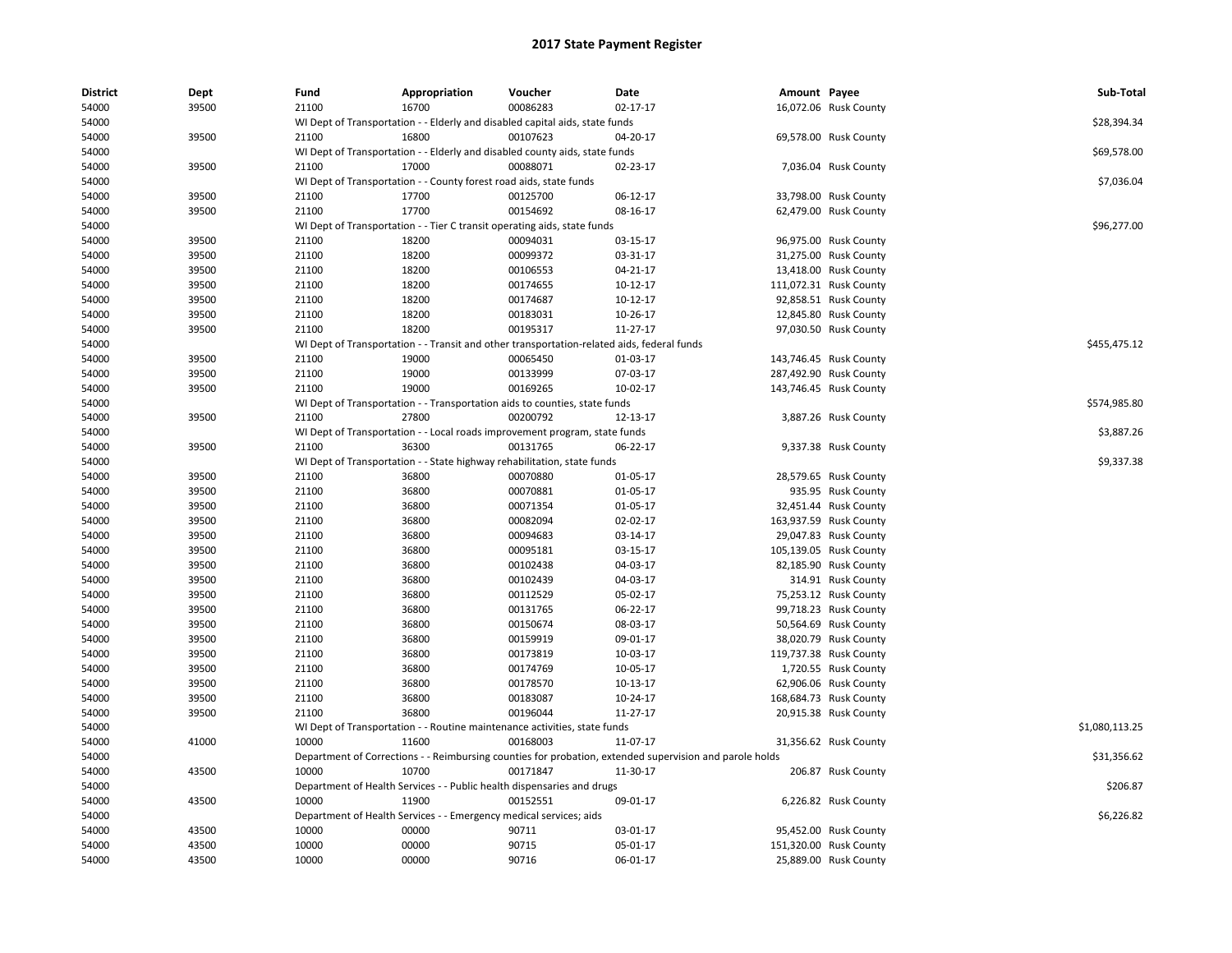| <b>District</b> | Dept  | Fund  | Appropriation                                                      | Voucher                                                                                    | Date                                                                                                    | Amount Payee |                        | Sub-Total      |
|-----------------|-------|-------|--------------------------------------------------------------------|--------------------------------------------------------------------------------------------|---------------------------------------------------------------------------------------------------------|--------------|------------------------|----------------|
| 54000           | 39500 | 21100 | 16700                                                              | 00086283                                                                                   | 02-17-17                                                                                                |              | 16,072.06 Rusk County  |                |
| 54000           |       |       |                                                                    | WI Dept of Transportation - - Elderly and disabled capital aids, state funds               |                                                                                                         |              |                        | \$28,394.34    |
| 54000           | 39500 | 21100 | 16800                                                              | 00107623                                                                                   | 04-20-17                                                                                                |              | 69,578.00 Rusk County  |                |
| 54000           |       |       |                                                                    | WI Dept of Transportation - - Elderly and disabled county aids, state funds                |                                                                                                         |              |                        | \$69,578.00    |
| 54000           | 39500 | 21100 | 17000                                                              | 00088071                                                                                   | 02-23-17                                                                                                |              | 7,036.04 Rusk County   |                |
| 54000           |       |       | WI Dept of Transportation - - County forest road aids, state funds |                                                                                            |                                                                                                         |              |                        | \$7,036.04     |
| 54000           | 39500 | 21100 | 17700                                                              | 00125700                                                                                   | 06-12-17                                                                                                |              | 33,798.00 Rusk County  |                |
| 54000           | 39500 | 21100 | 17700                                                              | 00154692                                                                                   | 08-16-17                                                                                                |              | 62,479.00 Rusk County  |                |
| 54000           |       |       |                                                                    | WI Dept of Transportation - - Tier C transit operating aids, state funds                   |                                                                                                         |              |                        | \$96,277.00    |
| 54000           | 39500 | 21100 | 18200                                                              | 00094031                                                                                   | 03-15-17                                                                                                |              | 96,975.00 Rusk County  |                |
| 54000           | 39500 | 21100 | 18200                                                              | 00099372                                                                                   | 03-31-17                                                                                                |              | 31,275.00 Rusk County  |                |
| 54000           | 39500 | 21100 | 18200                                                              | 00106553                                                                                   | 04-21-17                                                                                                |              | 13,418.00 Rusk County  |                |
| 54000           | 39500 | 21100 | 18200                                                              | 00174655                                                                                   | 10-12-17                                                                                                |              | 111,072.31 Rusk County |                |
| 54000           | 39500 | 21100 | 18200                                                              | 00174687                                                                                   | 10-12-17                                                                                                |              | 92,858.51 Rusk County  |                |
| 54000           | 39500 | 21100 | 18200                                                              | 00183031                                                                                   | 10-26-17                                                                                                |              | 12,845.80 Rusk County  |                |
| 54000           | 39500 | 21100 | 18200                                                              | 00195317                                                                                   | 11-27-17                                                                                                |              | 97,030.50 Rusk County  |                |
| 54000           |       |       |                                                                    | WI Dept of Transportation - - Transit and other transportation-related aids, federal funds |                                                                                                         |              |                        | \$455,475.12   |
| 54000           | 39500 | 21100 | 19000                                                              | 00065450                                                                                   | 01-03-17                                                                                                |              | 143,746.45 Rusk County |                |
| 54000           | 39500 | 21100 | 19000                                                              | 00133999                                                                                   | 07-03-17                                                                                                |              | 287,492.90 Rusk County |                |
| 54000           | 39500 | 21100 | 19000                                                              | 00169265                                                                                   | 10-02-17                                                                                                |              | 143,746.45 Rusk County |                |
| 54000           |       |       |                                                                    | WI Dept of Transportation - - Transportation aids to counties, state funds                 |                                                                                                         |              |                        | \$574,985.80   |
| 54000           | 39500 | 21100 | 27800                                                              | 00200792                                                                                   | 12-13-17                                                                                                |              | 3,887.26 Rusk County   |                |
| 54000           |       |       |                                                                    | WI Dept of Transportation - - Local roads improvement program, state funds                 |                                                                                                         |              |                        | \$3,887.26     |
| 54000           | 39500 | 21100 | 36300                                                              | 00131765                                                                                   | 06-22-17                                                                                                |              | 9,337.38 Rusk County   |                |
| 54000           |       |       |                                                                    | WI Dept of Transportation - - State highway rehabilitation, state funds                    |                                                                                                         |              |                        | \$9,337.38     |
| 54000           | 39500 | 21100 | 36800                                                              | 00070880                                                                                   | 01-05-17                                                                                                |              | 28,579.65 Rusk County  |                |
| 54000           | 39500 | 21100 | 36800                                                              | 00070881                                                                                   | 01-05-17                                                                                                |              | 935.95 Rusk County     |                |
| 54000           | 39500 | 21100 | 36800                                                              | 00071354                                                                                   | 01-05-17                                                                                                |              | 32,451.44 Rusk County  |                |
| 54000           | 39500 | 21100 | 36800                                                              | 00082094                                                                                   | 02-02-17                                                                                                |              | 163,937.59 Rusk County |                |
| 54000           | 39500 | 21100 | 36800                                                              | 00094683                                                                                   | 03-14-17                                                                                                |              | 29,047.83 Rusk County  |                |
| 54000           | 39500 | 21100 | 36800                                                              | 00095181                                                                                   | 03-15-17                                                                                                |              | 105,139.05 Rusk County |                |
| 54000           | 39500 | 21100 | 36800                                                              | 00102438                                                                                   | 04-03-17                                                                                                |              | 82,185.90 Rusk County  |                |
| 54000           | 39500 | 21100 | 36800                                                              | 00102439                                                                                   | 04-03-17                                                                                                |              | 314.91 Rusk County     |                |
| 54000           | 39500 | 21100 | 36800                                                              | 00112529                                                                                   | 05-02-17                                                                                                |              | 75,253.12 Rusk County  |                |
| 54000           | 39500 | 21100 | 36800                                                              | 00131765                                                                                   | 06-22-17                                                                                                |              | 99,718.23 Rusk County  |                |
| 54000           | 39500 | 21100 | 36800                                                              | 00150674                                                                                   | 08-03-17                                                                                                |              | 50,564.69 Rusk County  |                |
| 54000           | 39500 | 21100 | 36800                                                              | 00159919                                                                                   | 09-01-17                                                                                                |              | 38,020.79 Rusk County  |                |
| 54000           | 39500 | 21100 | 36800                                                              | 00173819                                                                                   | 10-03-17                                                                                                |              | 119,737.38 Rusk County |                |
| 54000           | 39500 | 21100 | 36800                                                              | 00174769                                                                                   | 10-05-17                                                                                                |              | 1,720.55 Rusk County   |                |
| 54000           | 39500 | 21100 | 36800                                                              | 00178570                                                                                   | 10-13-17                                                                                                |              | 62,906.06 Rusk County  |                |
| 54000           | 39500 | 21100 | 36800                                                              | 00183087                                                                                   | 10-24-17                                                                                                |              | 168,684.73 Rusk County |                |
| 54000           | 39500 | 21100 | 36800                                                              | 00196044                                                                                   | 11-27-17                                                                                                |              | 20,915.38 Rusk County  |                |
| 54000           |       |       |                                                                    | WI Dept of Transportation - - Routine maintenance activities, state funds                  |                                                                                                         |              |                        | \$1,080,113.25 |
| 54000           | 41000 | 10000 | 11600                                                              | 00168003                                                                                   | 11-07-17                                                                                                |              | 31,356.62 Rusk County  |                |
|                 |       |       |                                                                    |                                                                                            |                                                                                                         |              |                        | \$31,356.62    |
| 54000           |       |       |                                                                    |                                                                                            | Department of Corrections - - Reimbursing counties for probation, extended supervision and parole holds |              |                        |                |
| 54000           | 43500 | 10000 | 10700                                                              | 00171847                                                                                   | 11-30-17                                                                                                |              | 206.87 Rusk County     |                |
| 54000           |       |       |                                                                    | Department of Health Services - - Public health dispensaries and drugs                     |                                                                                                         |              |                        | \$206.87       |
| 54000           | 43500 | 10000 | 11900                                                              | 00152551                                                                                   | 09-01-17                                                                                                |              | 6,226.82 Rusk County   |                |
| 54000           |       |       | Department of Health Services - - Emergency medical services; aids |                                                                                            |                                                                                                         |              |                        | \$6,226.82     |
| 54000           | 43500 | 10000 | 00000                                                              | 90711                                                                                      | 03-01-17                                                                                                |              | 95,452.00 Rusk County  |                |
| 54000           | 43500 | 10000 | 00000                                                              | 90715                                                                                      | 05-01-17                                                                                                |              | 151,320.00 Rusk County |                |
| 54000           | 43500 | 10000 | 00000                                                              | 90716                                                                                      | 06-01-17                                                                                                |              | 25,889.00 Rusk County  |                |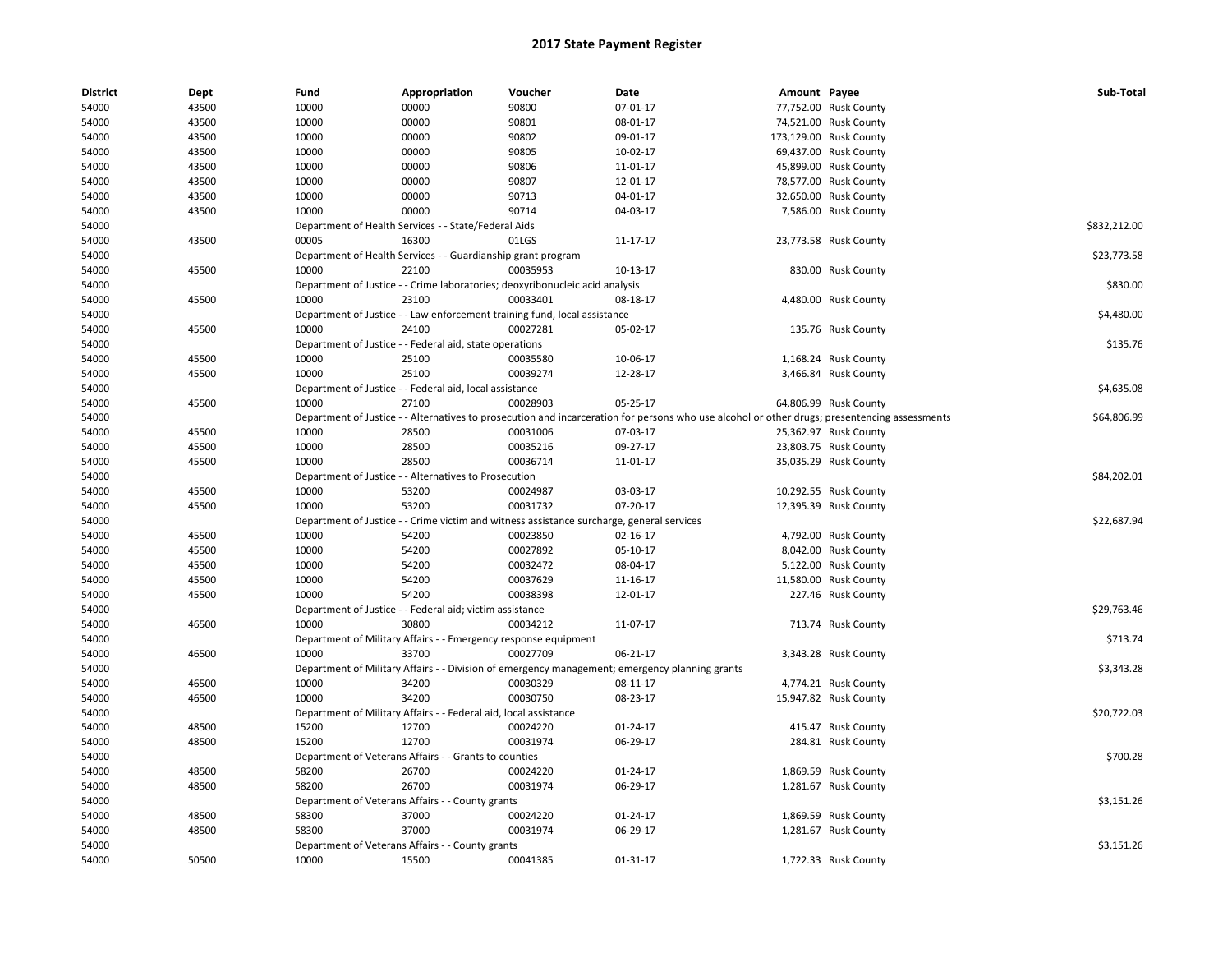| <b>District</b> | Dept  | Fund  | Appropriation                                                    | Voucher                                                                                   | Date                                                                                                                                          | Amount Payee |                        | Sub-Total    |
|-----------------|-------|-------|------------------------------------------------------------------|-------------------------------------------------------------------------------------------|-----------------------------------------------------------------------------------------------------------------------------------------------|--------------|------------------------|--------------|
| 54000           | 43500 | 10000 | 00000                                                            | 90800                                                                                     | 07-01-17                                                                                                                                      |              | 77,752.00 Rusk County  |              |
| 54000           | 43500 | 10000 | 00000                                                            | 90801                                                                                     | 08-01-17                                                                                                                                      |              | 74,521.00 Rusk County  |              |
| 54000           | 43500 | 10000 | 00000                                                            | 90802                                                                                     | 09-01-17                                                                                                                                      |              | 173,129.00 Rusk County |              |
| 54000           | 43500 | 10000 | 00000                                                            | 90805                                                                                     | 10-02-17                                                                                                                                      |              | 69,437.00 Rusk County  |              |
| 54000           | 43500 | 10000 | 00000                                                            | 90806                                                                                     | 11-01-17                                                                                                                                      |              | 45,899.00 Rusk County  |              |
| 54000           | 43500 | 10000 | 00000                                                            | 90807                                                                                     | 12-01-17                                                                                                                                      |              | 78,577.00 Rusk County  |              |
| 54000           | 43500 | 10000 | 00000                                                            | 90713                                                                                     | 04-01-17                                                                                                                                      |              | 32,650.00 Rusk County  |              |
| 54000           | 43500 | 10000 | 00000                                                            | 90714                                                                                     | 04-03-17                                                                                                                                      |              | 7,586.00 Rusk County   |              |
| 54000           |       |       | Department of Health Services - - State/Federal Aids             |                                                                                           |                                                                                                                                               |              |                        | \$832,212.00 |
| 54000           | 43500 | 00005 | 16300                                                            | 01LGS                                                                                     | 11-17-17                                                                                                                                      |              | 23,773.58 Rusk County  |              |
| 54000           |       |       | Department of Health Services - - Guardianship grant program     |                                                                                           |                                                                                                                                               |              |                        | \$23,773.58  |
| 54000           | 45500 | 10000 | 22100                                                            | 00035953                                                                                  | 10-13-17                                                                                                                                      |              | 830.00 Rusk County     |              |
| 54000           |       |       |                                                                  | Department of Justice - - Crime laboratories; deoxyribonucleic acid analysis              |                                                                                                                                               |              |                        | \$830.00     |
| 54000           | 45500 | 10000 | 23100                                                            | 00033401                                                                                  | 08-18-17                                                                                                                                      |              | 4,480.00 Rusk County   |              |
| 54000           |       |       |                                                                  | Department of Justice - - Law enforcement training fund, local assistance                 |                                                                                                                                               |              |                        | \$4,480.00   |
| 54000           | 45500 | 10000 | 24100                                                            | 00027281                                                                                  | 05-02-17                                                                                                                                      |              | 135.76 Rusk County     |              |
| 54000           |       |       | Department of Justice - - Federal aid, state operations          |                                                                                           |                                                                                                                                               |              |                        | \$135.76     |
| 54000           | 45500 | 10000 | 25100                                                            | 00035580                                                                                  | 10-06-17                                                                                                                                      |              | 1,168.24 Rusk County   |              |
| 54000           | 45500 | 10000 | 25100                                                            | 00039274                                                                                  | 12-28-17                                                                                                                                      |              | 3,466.84 Rusk County   |              |
| 54000           |       |       | Department of Justice - - Federal aid, local assistance          |                                                                                           |                                                                                                                                               |              |                        | \$4,635.08   |
| 54000           | 45500 | 10000 | 27100                                                            | 00028903                                                                                  | 05-25-17                                                                                                                                      |              | 64,806.99 Rusk County  |              |
| 54000           |       |       |                                                                  |                                                                                           | Department of Justice - - Alternatives to prosecution and incarceration for persons who use alcohol or other drugs; presentencing assessments |              |                        | \$64,806.99  |
| 54000           | 45500 | 10000 | 28500                                                            | 00031006                                                                                  | 07-03-17                                                                                                                                      |              | 25,362.97 Rusk County  |              |
| 54000           | 45500 | 10000 | 28500                                                            | 00035216                                                                                  | 09-27-17                                                                                                                                      |              | 23,803.75 Rusk County  |              |
| 54000           | 45500 | 10000 | 28500                                                            | 00036714                                                                                  | 11-01-17                                                                                                                                      |              | 35,035.29 Rusk County  |              |
| 54000           |       |       | Department of Justice - - Alternatives to Prosecution            |                                                                                           |                                                                                                                                               |              |                        | \$84,202.01  |
| 54000           | 45500 | 10000 | 53200                                                            | 00024987                                                                                  | 03-03-17                                                                                                                                      |              | 10,292.55 Rusk County  |              |
| 54000           | 45500 | 10000 | 53200                                                            | 00031732                                                                                  | 07-20-17                                                                                                                                      |              | 12,395.39 Rusk County  |              |
| 54000           |       |       |                                                                  | Department of Justice - - Crime victim and witness assistance surcharge, general services |                                                                                                                                               |              |                        | \$22,687.94  |
| 54000           | 45500 | 10000 | 54200                                                            | 00023850                                                                                  | 02-16-17                                                                                                                                      |              | 4,792.00 Rusk County   |              |
| 54000           | 45500 | 10000 | 54200                                                            | 00027892                                                                                  | 05-10-17                                                                                                                                      |              | 8,042.00 Rusk County   |              |
| 54000           | 45500 | 10000 | 54200                                                            | 00032472                                                                                  | 08-04-17                                                                                                                                      |              | 5,122.00 Rusk County   |              |
| 54000           | 45500 | 10000 | 54200                                                            | 00037629                                                                                  | 11-16-17                                                                                                                                      |              | 11,580.00 Rusk County  |              |
| 54000           | 45500 | 10000 | 54200                                                            | 00038398                                                                                  | 12-01-17                                                                                                                                      |              | 227.46 Rusk County     |              |
| 54000           |       |       | Department of Justice - - Federal aid; victim assistance         |                                                                                           |                                                                                                                                               |              |                        | \$29,763.46  |
| 54000           | 46500 | 10000 | 30800                                                            | 00034212                                                                                  | 11-07-17                                                                                                                                      |              | 713.74 Rusk County     |              |
| 54000           |       |       | Department of Military Affairs - - Emergency response equipment  |                                                                                           |                                                                                                                                               |              |                        | \$713.74     |
| 54000           | 46500 | 10000 | 33700                                                            | 00027709                                                                                  | 06-21-17                                                                                                                                      |              | 3,343.28 Rusk County   |              |
| 54000           |       |       |                                                                  |                                                                                           | Department of Military Affairs - - Division of emergency management; emergency planning grants                                                |              |                        | \$3,343.28   |
| 54000           | 46500 | 10000 | 34200                                                            | 00030329                                                                                  | 08-11-17                                                                                                                                      |              | 4,774.21 Rusk County   |              |
| 54000           | 46500 | 10000 | 34200                                                            | 00030750                                                                                  | 08-23-17                                                                                                                                      |              | 15,947.82 Rusk County  |              |
| 54000           |       |       | Department of Military Affairs - - Federal aid, local assistance |                                                                                           |                                                                                                                                               |              |                        | \$20,722.03  |
| 54000           | 48500 | 15200 | 12700                                                            | 00024220                                                                                  | 01-24-17                                                                                                                                      |              | 415.47 Rusk County     |              |
| 54000           | 48500 | 15200 | 12700                                                            | 00031974                                                                                  | 06-29-17                                                                                                                                      |              | 284.81 Rusk County     |              |
| 54000           |       |       | Department of Veterans Affairs - - Grants to counties            |                                                                                           |                                                                                                                                               |              |                        | \$700.28     |
| 54000           | 48500 | 58200 | 26700                                                            | 00024220                                                                                  | 01-24-17                                                                                                                                      |              | 1,869.59 Rusk County   |              |
| 54000           | 48500 | 58200 | 26700                                                            | 00031974                                                                                  | 06-29-17                                                                                                                                      |              | 1,281.67 Rusk County   |              |
| 54000           |       |       | Department of Veterans Affairs - - County grants                 |                                                                                           |                                                                                                                                               |              |                        | \$3,151.26   |
| 54000           | 48500 | 58300 | 37000                                                            | 00024220                                                                                  | 01-24-17                                                                                                                                      |              | 1,869.59 Rusk County   |              |
| 54000           | 48500 | 58300 | 37000                                                            | 00031974                                                                                  | 06-29-17                                                                                                                                      |              | 1,281.67 Rusk County   |              |
| 54000           |       |       | Department of Veterans Affairs - - County grants                 |                                                                                           |                                                                                                                                               |              |                        | \$3,151.26   |
|                 |       |       |                                                                  |                                                                                           |                                                                                                                                               |              |                        |              |
| 54000           | 50500 | 10000 | 15500                                                            | 00041385                                                                                  | $01 - 31 - 17$                                                                                                                                |              | 1,722.33 Rusk County   |              |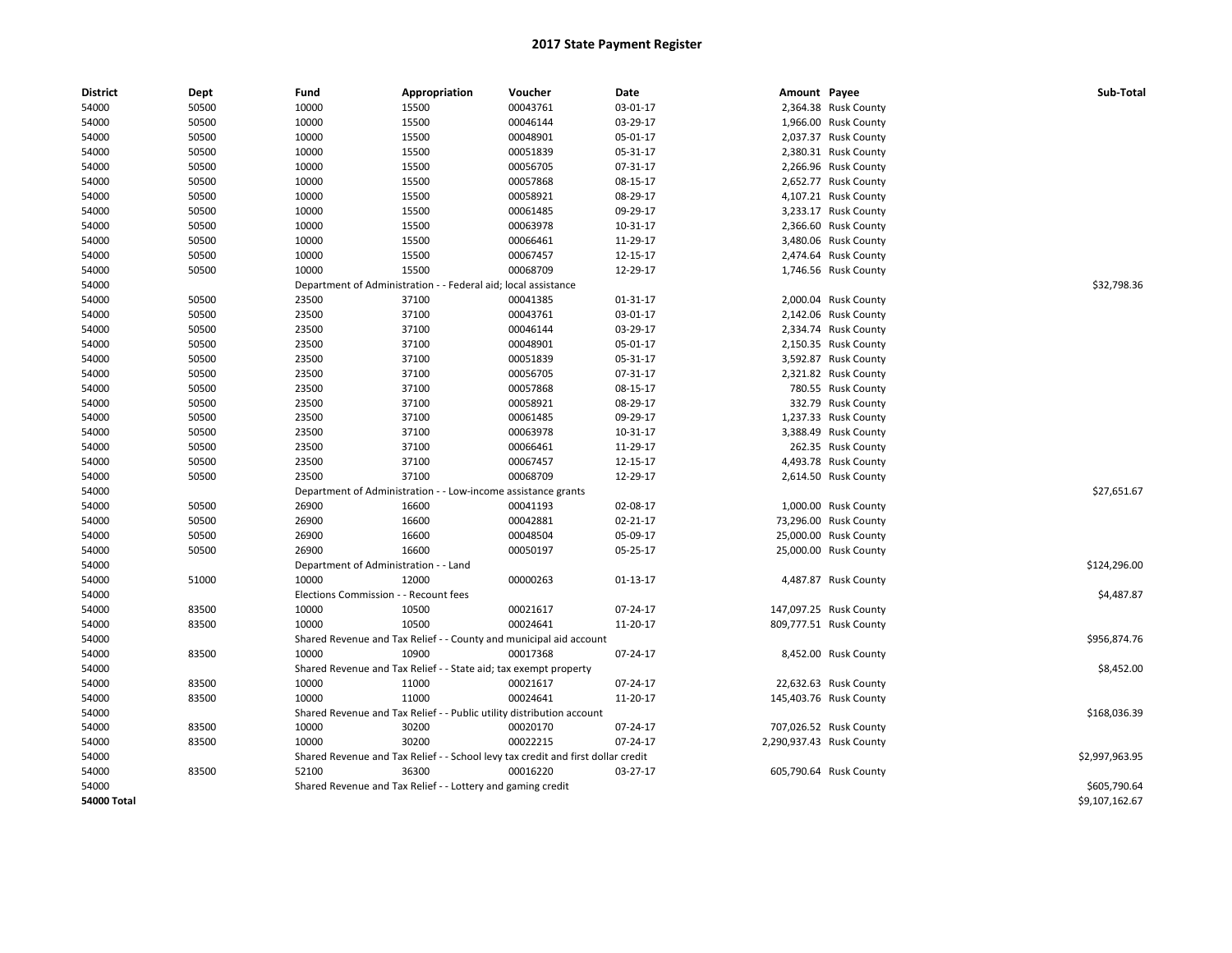| <b>District</b>    | Dept  | Fund                                  | Appropriation                                                         | Voucher                                                                          | Date     | Amount Payee |                          | Sub-Total      |
|--------------------|-------|---------------------------------------|-----------------------------------------------------------------------|----------------------------------------------------------------------------------|----------|--------------|--------------------------|----------------|
| 54000              | 50500 | 10000                                 | 15500                                                                 | 00043761                                                                         | 03-01-17 |              | 2,364.38 Rusk County     |                |
| 54000              | 50500 | 10000                                 | 15500                                                                 | 00046144                                                                         | 03-29-17 |              | 1,966.00 Rusk County     |                |
| 54000              | 50500 | 10000                                 | 15500                                                                 | 00048901                                                                         | 05-01-17 |              | 2,037.37 Rusk County     |                |
| 54000              | 50500 | 10000                                 | 15500                                                                 | 00051839                                                                         | 05-31-17 |              | 2,380.31 Rusk County     |                |
| 54000              | 50500 | 10000                                 | 15500                                                                 | 00056705                                                                         | 07-31-17 |              | 2,266.96 Rusk County     |                |
| 54000              | 50500 | 10000                                 | 15500                                                                 | 00057868                                                                         | 08-15-17 |              | 2,652.77 Rusk County     |                |
| 54000              | 50500 | 10000                                 | 15500                                                                 | 00058921                                                                         | 08-29-17 |              | 4,107.21 Rusk County     |                |
| 54000              | 50500 | 10000                                 | 15500                                                                 | 00061485                                                                         | 09-29-17 |              | 3,233.17 Rusk County     |                |
| 54000              | 50500 | 10000                                 | 15500                                                                 | 00063978                                                                         | 10-31-17 |              | 2,366.60 Rusk County     |                |
| 54000              | 50500 | 10000                                 | 15500                                                                 | 00066461                                                                         | 11-29-17 |              | 3,480.06 Rusk County     |                |
| 54000              | 50500 | 10000                                 | 15500                                                                 | 00067457                                                                         | 12-15-17 |              | 2,474.64 Rusk County     |                |
| 54000              | 50500 | 10000                                 | 15500                                                                 | 00068709                                                                         | 12-29-17 |              | 1,746.56 Rusk County     |                |
| 54000              |       | Department of Administration          |                                                                       | Federal aid; local assistance                                                    |          |              |                          | \$32,798.36    |
| 54000              | 50500 | 23500                                 | 37100                                                                 | 00041385                                                                         | 01-31-17 |              | 2,000.04 Rusk County     |                |
| 54000              | 50500 | 23500                                 | 37100                                                                 | 00043761                                                                         | 03-01-17 |              | 2,142.06 Rusk County     |                |
| 54000              | 50500 | 23500                                 | 37100                                                                 | 00046144                                                                         | 03-29-17 |              | 2,334.74 Rusk County     |                |
| 54000              | 50500 | 23500                                 | 37100                                                                 | 00048901                                                                         | 05-01-17 |              | 2,150.35 Rusk County     |                |
| 54000              | 50500 | 23500                                 | 37100                                                                 | 00051839                                                                         | 05-31-17 |              | 3,592.87 Rusk County     |                |
| 54000              | 50500 | 23500                                 | 37100                                                                 | 00056705                                                                         | 07-31-17 |              | 2,321.82 Rusk County     |                |
| 54000              | 50500 | 23500                                 | 37100                                                                 | 00057868                                                                         | 08-15-17 |              | 780.55 Rusk County       |                |
| 54000              | 50500 | 23500                                 | 37100                                                                 | 00058921                                                                         | 08-29-17 |              | 332.79 Rusk County       |                |
| 54000              | 50500 | 23500                                 | 37100                                                                 | 00061485                                                                         | 09-29-17 |              | 1,237.33 Rusk County     |                |
| 54000              | 50500 | 23500                                 | 37100                                                                 | 00063978                                                                         | 10-31-17 |              | 3,388.49 Rusk County     |                |
| 54000              | 50500 | 23500                                 | 37100                                                                 | 00066461                                                                         | 11-29-17 |              | 262.35 Rusk County       |                |
| 54000              | 50500 | 23500                                 | 37100                                                                 | 00067457                                                                         | 12-15-17 |              | 4,493.78 Rusk County     |                |
| 54000              | 50500 | 23500                                 | 37100                                                                 | 00068709                                                                         | 12-29-17 |              | 2,614.50 Rusk County     |                |
| 54000              |       |                                       | Department of Administration - - Low-income assistance grants         |                                                                                  |          |              |                          | \$27,651.67    |
| 54000              | 50500 | 26900                                 | 16600                                                                 | 00041193                                                                         | 02-08-17 |              | 1,000.00 Rusk County     |                |
| 54000              | 50500 | 26900                                 | 16600                                                                 | 00042881                                                                         | 02-21-17 |              | 73,296.00 Rusk County    |                |
| 54000              | 50500 | 26900                                 | 16600                                                                 | 00048504                                                                         | 05-09-17 |              | 25,000.00 Rusk County    |                |
| 54000              | 50500 | 26900                                 | 16600                                                                 | 00050197                                                                         | 05-25-17 |              | 25,000.00 Rusk County    |                |
| 54000              |       | Department of Administration - - Land |                                                                       |                                                                                  |          |              |                          | \$124,296.00   |
| 54000              | 51000 | 10000                                 | 12000                                                                 | 00000263                                                                         | 01-13-17 |              | 4,487.87 Rusk County     |                |
| 54000              |       | Elections Commission - - Recount fees |                                                                       |                                                                                  |          |              |                          | \$4,487.87     |
| 54000              | 83500 | 10000                                 | 10500                                                                 | 00021617                                                                         | 07-24-17 |              | 147,097.25 Rusk County   |                |
| 54000              | 83500 | 10000                                 | 10500                                                                 | 00024641                                                                         | 11-20-17 |              | 809,777.51 Rusk County   |                |
| 54000              |       |                                       |                                                                       | Shared Revenue and Tax Relief - - County and municipal aid account               |          |              |                          | \$956,874.76   |
| 54000              | 83500 | 10000                                 | 10900                                                                 | 00017368                                                                         | 07-24-17 |              | 8,452.00 Rusk County     |                |
| 54000              |       |                                       | Shared Revenue and Tax Relief - - State aid; tax exempt property      |                                                                                  |          |              |                          | \$8,452.00     |
| 54000              | 83500 | 10000                                 | 11000                                                                 | 00021617                                                                         | 07-24-17 |              | 22,632.63 Rusk County    |                |
| 54000              | 83500 | 10000                                 | 11000                                                                 | 00024641                                                                         | 11-20-17 |              | 145,403.76 Rusk County   |                |
| 54000              |       |                                       | Shared Revenue and Tax Relief - - Public utility distribution account |                                                                                  |          |              |                          | \$168,036.39   |
| 54000              | 83500 | 10000                                 | 30200                                                                 | 00020170                                                                         | 07-24-17 |              | 707,026.52 Rusk County   |                |
| 54000              | 83500 | 10000                                 | 30200                                                                 | 00022215                                                                         | 07-24-17 |              | 2,290,937.43 Rusk County |                |
| 54000              |       |                                       |                                                                       | Shared Revenue and Tax Relief - - School levy tax credit and first dollar credit |          |              |                          | \$2,997,963.95 |
| 54000              | 83500 | 52100                                 | 36300                                                                 | 00016220                                                                         | 03-27-17 |              | 605,790.64 Rusk County   |                |
| 54000              |       |                                       | Shared Revenue and Tax Relief - - Lottery and gaming credit           |                                                                                  |          |              |                          | \$605,790.64   |
| <b>54000 Total</b> |       |                                       |                                                                       |                                                                                  |          |              |                          | \$9,107,162.67 |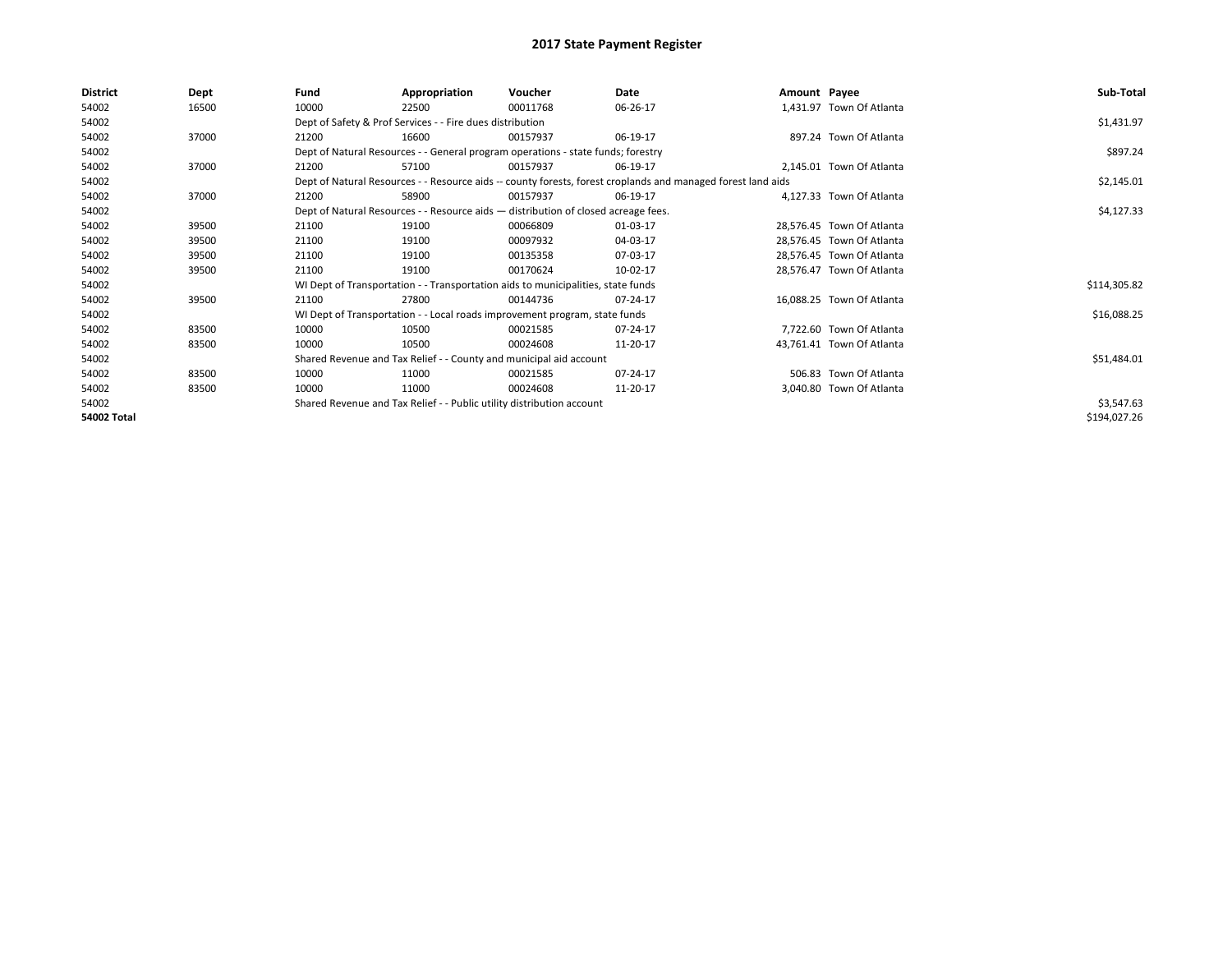| <b>District</b>    | Dept  | Fund  | Appropriation                                                                      | Voucher  | Date                                                                                                         | Amount Payee |                           | Sub-Total    |
|--------------------|-------|-------|------------------------------------------------------------------------------------|----------|--------------------------------------------------------------------------------------------------------------|--------------|---------------------------|--------------|
| 54002              | 16500 | 10000 | 22500                                                                              | 00011768 | 06-26-17                                                                                                     |              | 1,431.97 Town Of Atlanta  |              |
| 54002              |       |       | Dept of Safety & Prof Services - - Fire dues distribution                          |          |                                                                                                              |              |                           | \$1,431.97   |
| 54002              | 37000 | 21200 | 16600                                                                              | 00157937 | 06-19-17                                                                                                     |              | 897.24 Town Of Atlanta    |              |
| 54002              |       |       | Dept of Natural Resources - - General program operations - state funds; forestry   |          |                                                                                                              |              |                           | \$897.24     |
| 54002              | 37000 | 21200 | 57100                                                                              | 00157937 | 06-19-17                                                                                                     |              | 2,145.01 Town Of Atlanta  |              |
| 54002              |       |       |                                                                                    |          | Dept of Natural Resources - - Resource aids -- county forests, forest croplands and managed forest land aids |              |                           | \$2,145.01   |
| 54002              | 37000 | 21200 | 58900                                                                              | 00157937 | 06-19-17                                                                                                     |              | 4,127.33 Town Of Atlanta  |              |
| 54002              |       |       | Dept of Natural Resources - - Resource aids - distribution of closed acreage fees. |          | \$4,127.33                                                                                                   |              |                           |              |
| 54002              | 39500 | 21100 | 19100                                                                              | 00066809 | 01-03-17                                                                                                     |              | 28,576.45 Town Of Atlanta |              |
| 54002              | 39500 | 21100 | 19100                                                                              | 00097932 | 04-03-17                                                                                                     |              | 28,576.45 Town Of Atlanta |              |
| 54002              | 39500 | 21100 | 19100                                                                              | 00135358 | 07-03-17                                                                                                     |              | 28,576.45 Town Of Atlanta |              |
| 54002              | 39500 | 21100 | 19100                                                                              | 00170624 | 10-02-17                                                                                                     |              | 28,576.47 Town Of Atlanta |              |
| 54002              |       |       | WI Dept of Transportation - - Transportation aids to municipalities, state funds   |          |                                                                                                              |              |                           | \$114,305.82 |
| 54002              | 39500 | 21100 | 27800                                                                              | 00144736 | 07-24-17                                                                                                     |              | 16,088.25 Town Of Atlanta |              |
| 54002              |       |       | WI Dept of Transportation - - Local roads improvement program, state funds         |          |                                                                                                              |              |                           | \$16,088.25  |
| 54002              | 83500 | 10000 | 10500                                                                              | 00021585 | 07-24-17                                                                                                     |              | 7,722.60 Town Of Atlanta  |              |
| 54002              | 83500 | 10000 | 10500                                                                              | 00024608 | 11-20-17                                                                                                     |              | 43,761.41 Town Of Atlanta |              |
| 54002              |       |       | Shared Revenue and Tax Relief - - County and municipal aid account                 |          |                                                                                                              |              |                           | \$51,484.01  |
| 54002              | 83500 | 10000 | 11000                                                                              | 00021585 | 07-24-17                                                                                                     |              | 506.83 Town Of Atlanta    |              |
| 54002              | 83500 | 10000 | 11000                                                                              | 00024608 | 11-20-17                                                                                                     |              | 3,040.80 Town Of Atlanta  |              |
| 54002              |       |       | Shared Revenue and Tax Relief - - Public utility distribution account              |          |                                                                                                              |              |                           | \$3,547.63   |
| <b>54002 Total</b> |       |       |                                                                                    |          |                                                                                                              |              |                           | \$194,027.26 |
|                    |       |       |                                                                                    |          |                                                                                                              |              |                           |              |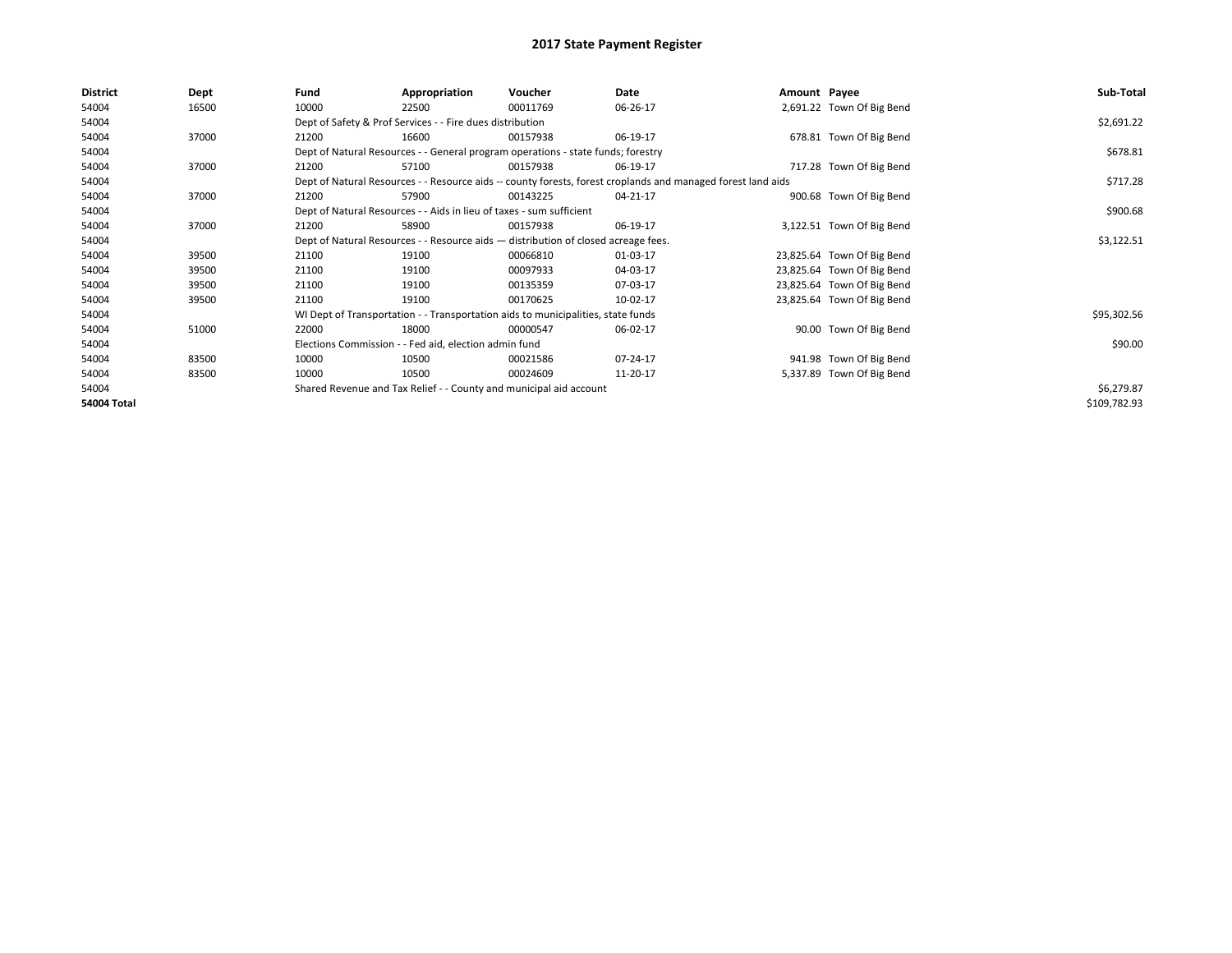| <b>District</b>    | Dept  | Fund                                                                                                         | Appropriation                                                                    | Voucher    | Date     | Amount Payee |                            | Sub-Total    |
|--------------------|-------|--------------------------------------------------------------------------------------------------------------|----------------------------------------------------------------------------------|------------|----------|--------------|----------------------------|--------------|
| 54004              | 16500 | 10000                                                                                                        | 22500                                                                            | 00011769   | 06-26-17 |              | 2,691.22 Town Of Big Bend  |              |
| 54004              |       |                                                                                                              | Dept of Safety & Prof Services - - Fire dues distribution                        |            |          |              |                            | \$2,691.22   |
| 54004              | 37000 | 21200                                                                                                        | 16600                                                                            | 00157938   | 06-19-17 |              | 678.81 Town Of Big Bend    |              |
| 54004              |       |                                                                                                              | Dept of Natural Resources - - General program operations - state funds; forestry |            |          |              |                            | \$678.81     |
| 54004              | 37000 | 21200                                                                                                        | 57100                                                                            | 00157938   | 06-19-17 |              | 717.28 Town Of Big Bend    |              |
| 54004              |       | Dept of Natural Resources - - Resource aids -- county forests, forest croplands and managed forest land aids |                                                                                  | \$717.28   |          |              |                            |              |
| 54004              | 37000 | 21200                                                                                                        | 57900                                                                            | 00143225   | 04-21-17 |              | 900.68 Town Of Big Bend    |              |
| 54004              |       | Dept of Natural Resources - - Aids in lieu of taxes - sum sufficient                                         |                                                                                  | \$900.68   |          |              |                            |              |
| 54004              | 37000 | 21200                                                                                                        | 58900                                                                            | 00157938   | 06-19-17 |              | 3,122.51 Town Of Big Bend  |              |
| 54004              |       | Dept of Natural Resources - - Resource aids - distribution of closed acreage fees.                           |                                                                                  | \$3,122.51 |          |              |                            |              |
| 54004              | 39500 | 21100                                                                                                        | 19100                                                                            | 00066810   | 01-03-17 |              | 23,825.64 Town Of Big Bend |              |
| 54004              | 39500 | 21100                                                                                                        | 19100                                                                            | 00097933   | 04-03-17 |              | 23,825.64 Town Of Big Bend |              |
| 54004              | 39500 | 21100                                                                                                        | 19100                                                                            | 00135359   | 07-03-17 |              | 23,825.64 Town Of Big Bend |              |
| 54004              | 39500 | 21100                                                                                                        | 19100                                                                            | 00170625   | 10-02-17 |              | 23,825.64 Town Of Big Bend |              |
| 54004              |       |                                                                                                              | WI Dept of Transportation - - Transportation aids to municipalities, state funds |            |          |              |                            | \$95,302.56  |
| 54004              | 51000 | 22000                                                                                                        | 18000                                                                            | 00000547   | 06-02-17 |              | 90.00 Town Of Big Bend     |              |
| 54004              |       |                                                                                                              | Elections Commission - - Fed aid, election admin fund                            |            |          |              |                            | \$90.00      |
| 54004              | 83500 | 10000                                                                                                        | 10500                                                                            | 00021586   | 07-24-17 |              | 941.98 Town Of Big Bend    |              |
| 54004              | 83500 | 10000                                                                                                        | 10500                                                                            | 00024609   | 11-20-17 |              | 5,337.89 Town Of Big Bend  |              |
| 54004              |       |                                                                                                              | Shared Revenue and Tax Relief - - County and municipal aid account               |            |          |              |                            | \$6,279.87   |
| <b>54004 Total</b> |       |                                                                                                              |                                                                                  |            |          |              |                            | \$109,782.93 |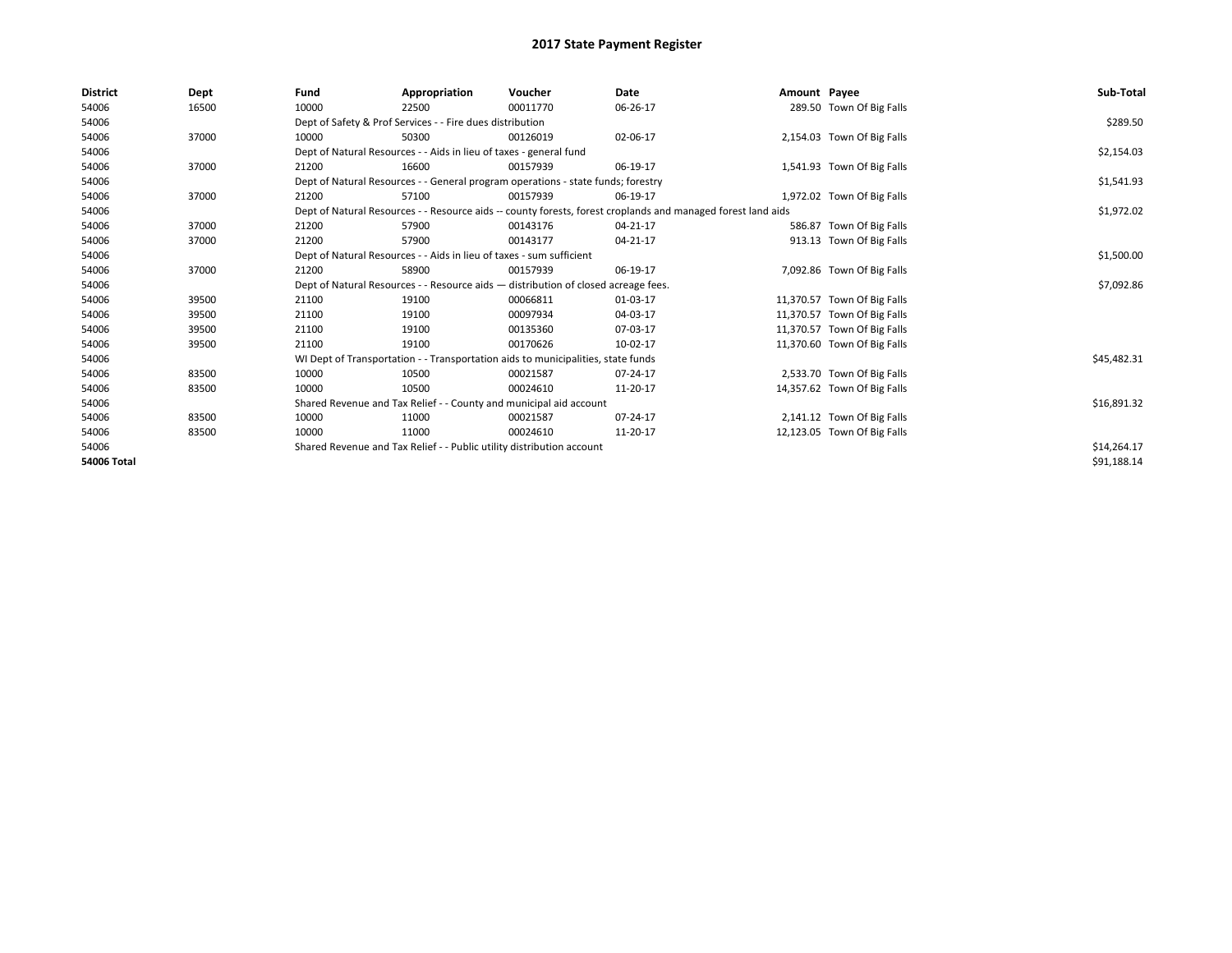| <b>District</b>    | Dept  | Fund  | Appropriation                                                                                                | Voucher  | Date       | Amount Payee |                             | Sub-Total   |  |  |
|--------------------|-------|-------|--------------------------------------------------------------------------------------------------------------|----------|------------|--------------|-----------------------------|-------------|--|--|
| 54006              | 16500 | 10000 | 22500                                                                                                        | 00011770 | 06-26-17   |              | 289.50 Town Of Big Falls    |             |  |  |
| 54006              |       |       | Dept of Safety & Prof Services - - Fire dues distribution                                                    |          |            |              |                             | \$289.50    |  |  |
| 54006              | 37000 | 10000 | 50300                                                                                                        | 00126019 | 02-06-17   |              | 2,154.03 Town Of Big Falls  |             |  |  |
| 54006              |       |       | Dept of Natural Resources - - Aids in lieu of taxes - general fund                                           |          |            |              |                             | \$2,154.03  |  |  |
| 54006              | 37000 | 21200 | 16600                                                                                                        | 00157939 | 06-19-17   |              | 1,541.93 Town Of Big Falls  |             |  |  |
| 54006              |       |       | Dept of Natural Resources - - General program operations - state funds; forestry                             |          |            |              |                             | \$1,541.93  |  |  |
| 54006              | 37000 | 21200 | 57100                                                                                                        | 00157939 | 06-19-17   |              | 1,972.02 Town Of Big Falls  |             |  |  |
| 54006              |       |       | Dept of Natural Resources - - Resource aids -- county forests, forest croplands and managed forest land aids |          | \$1,972.02 |              |                             |             |  |  |
| 54006              | 37000 | 21200 | 57900                                                                                                        | 00143176 | 04-21-17   |              | 586.87 Town Of Big Falls    |             |  |  |
| 54006              | 37000 | 21200 | 57900                                                                                                        | 00143177 | 04-21-17   |              | 913.13 Town Of Big Falls    |             |  |  |
| 54006              |       |       | Dept of Natural Resources - - Aids in lieu of taxes - sum sufficient                                         |          |            |              |                             |             |  |  |
| 54006              | 37000 | 21200 | 58900                                                                                                        | 00157939 | 06-19-17   |              | 7,092.86 Town Of Big Falls  |             |  |  |
| 54006              |       |       | Dept of Natural Resources - - Resource aids - distribution of closed acreage fees.                           |          |            |              |                             | \$7,092.86  |  |  |
| 54006              | 39500 | 21100 | 19100                                                                                                        | 00066811 | 01-03-17   |              | 11,370.57 Town Of Big Falls |             |  |  |
| 54006              | 39500 | 21100 | 19100                                                                                                        | 00097934 | 04-03-17   |              | 11,370.57 Town Of Big Falls |             |  |  |
| 54006              | 39500 | 21100 | 19100                                                                                                        | 00135360 | 07-03-17   |              | 11,370.57 Town Of Big Falls |             |  |  |
| 54006              | 39500 | 21100 | 19100                                                                                                        | 00170626 | 10-02-17   |              | 11,370.60 Town Of Big Falls |             |  |  |
| 54006              |       |       | WI Dept of Transportation - - Transportation aids to municipalities, state funds                             |          |            |              |                             | \$45,482.31 |  |  |
| 54006              | 83500 | 10000 | 10500                                                                                                        | 00021587 | 07-24-17   |              | 2,533.70 Town Of Big Falls  |             |  |  |
| 54006              | 83500 | 10000 | 10500                                                                                                        | 00024610 | 11-20-17   |              | 14,357.62 Town Of Big Falls |             |  |  |
| 54006              |       |       | Shared Revenue and Tax Relief - - County and municipal aid account                                           |          |            |              |                             | \$16,891.32 |  |  |
| 54006              | 83500 | 10000 | 11000                                                                                                        | 00021587 | 07-24-17   |              | 2,141.12 Town Of Big Falls  |             |  |  |
| 54006              | 83500 | 10000 | 11000                                                                                                        | 00024610 | 11-20-17   |              | 12,123.05 Town Of Big Falls |             |  |  |
| 54006              |       |       | Shared Revenue and Tax Relief - - Public utility distribution account                                        |          |            |              |                             | \$14,264.17 |  |  |
| <b>54006 Total</b> |       |       |                                                                                                              |          |            |              |                             | \$91,188.14 |  |  |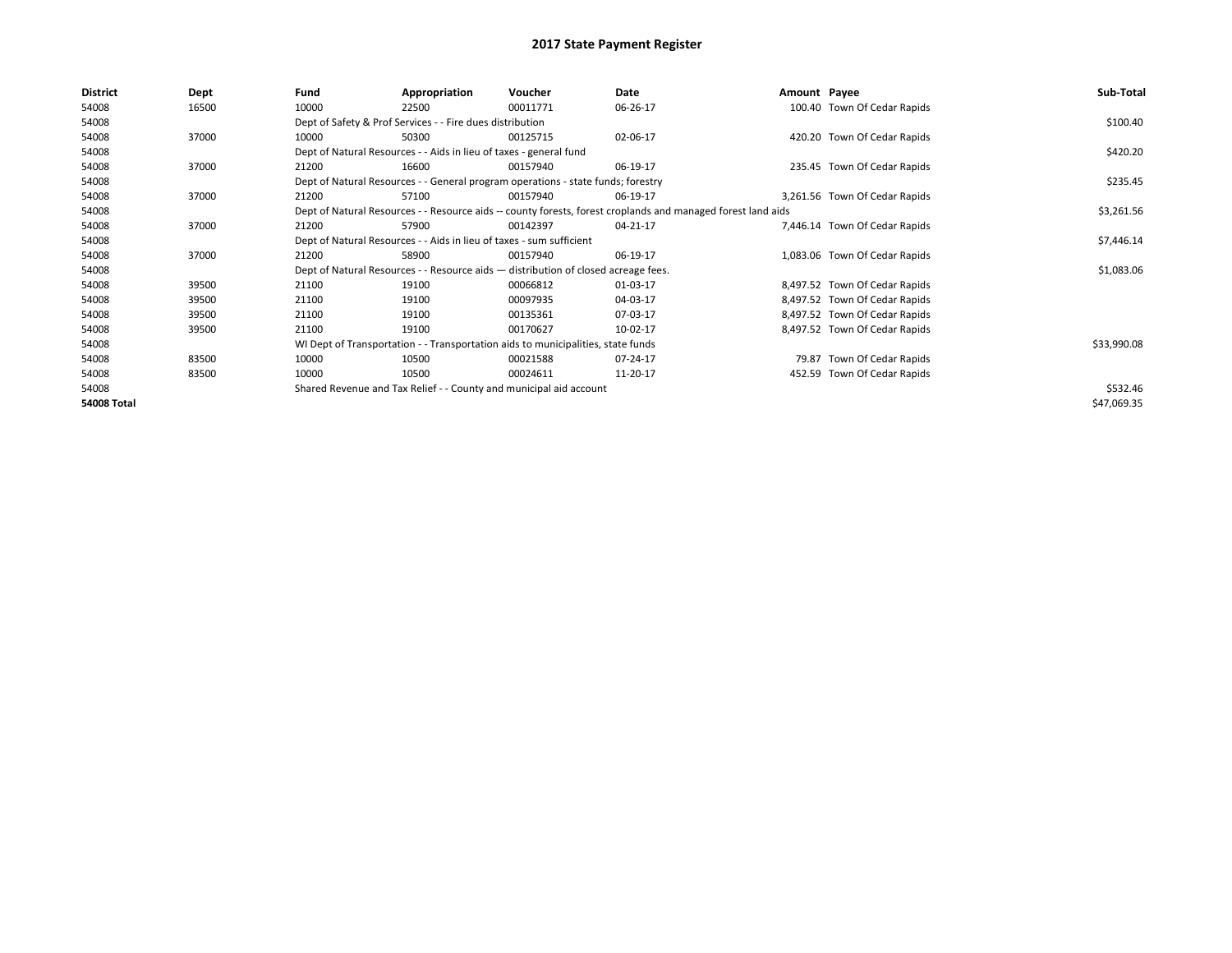| <b>District</b> | Dept  | Fund                                                                 | Appropriation                                                                    | Voucher                                                                            | Date                                                                                                         | Amount Payee |                               | Sub-Total   |  |
|-----------------|-------|----------------------------------------------------------------------|----------------------------------------------------------------------------------|------------------------------------------------------------------------------------|--------------------------------------------------------------------------------------------------------------|--------------|-------------------------------|-------------|--|
| 54008           | 16500 | 10000                                                                | 22500                                                                            | 00011771                                                                           | 06-26-17                                                                                                     |              | 100.40 Town Of Cedar Rapids   |             |  |
| 54008           |       |                                                                      | Dept of Safety & Prof Services - - Fire dues distribution                        |                                                                                    |                                                                                                              |              |                               | \$100.40    |  |
| 54008           | 37000 | 10000                                                                | 50300                                                                            | 00125715                                                                           | 02-06-17                                                                                                     |              | 420.20 Town Of Cedar Rapids   |             |  |
| 54008           |       |                                                                      | Dept of Natural Resources - - Aids in lieu of taxes - general fund               |                                                                                    |                                                                                                              |              |                               | \$420.20    |  |
| 54008           | 37000 | 21200                                                                | 16600                                                                            | 00157940                                                                           | 06-19-17                                                                                                     |              | 235.45 Town Of Cedar Rapids   |             |  |
| 54008           |       |                                                                      | Dept of Natural Resources - - General program operations - state funds; forestry |                                                                                    |                                                                                                              |              |                               |             |  |
| 54008           | 37000 | 21200                                                                | 57100                                                                            | 00157940                                                                           | 06-19-17                                                                                                     |              | 3,261.56 Town Of Cedar Rapids |             |  |
| 54008           |       |                                                                      |                                                                                  |                                                                                    | Dept of Natural Resources - - Resource aids -- county forests, forest croplands and managed forest land aids |              |                               | \$3,261.56  |  |
| 54008           | 37000 | 21200                                                                | 57900                                                                            | 00142397                                                                           | 04-21-17                                                                                                     |              | 7,446.14 Town Of Cedar Rapids |             |  |
| 54008           |       | Dept of Natural Resources - - Aids in lieu of taxes - sum sufficient |                                                                                  | \$7,446.14                                                                         |                                                                                                              |              |                               |             |  |
| 54008           | 37000 | 21200                                                                | 58900                                                                            | 00157940                                                                           | 06-19-17                                                                                                     |              | 1,083.06 Town Of Cedar Rapids |             |  |
| 54008           |       |                                                                      |                                                                                  | Dept of Natural Resources - - Resource aids - distribution of closed acreage fees. |                                                                                                              |              |                               | \$1,083.06  |  |
| 54008           | 39500 | 21100                                                                | 19100                                                                            | 00066812                                                                           | 01-03-17                                                                                                     |              | 8,497.52 Town Of Cedar Rapids |             |  |
| 54008           | 39500 | 21100                                                                | 19100                                                                            | 00097935                                                                           | 04-03-17                                                                                                     |              | 8,497.52 Town Of Cedar Rapids |             |  |
| 54008           | 39500 | 21100                                                                | 19100                                                                            | 00135361                                                                           | 07-03-17                                                                                                     |              | 8,497.52 Town Of Cedar Rapids |             |  |
| 54008           | 39500 | 21100                                                                | 19100                                                                            | 00170627                                                                           | 10-02-17                                                                                                     |              | 8,497.52 Town Of Cedar Rapids |             |  |
| 54008           |       |                                                                      |                                                                                  | WI Dept of Transportation - - Transportation aids to municipalities, state funds   |                                                                                                              |              |                               | \$33,990.08 |  |
| 54008           | 83500 | 10000                                                                | 10500                                                                            | 00021588                                                                           | 07-24-17                                                                                                     |              | 79.87 Town Of Cedar Rapids    |             |  |
| 54008           | 83500 | 10000                                                                | 10500                                                                            | 00024611                                                                           | 11-20-17                                                                                                     |              | 452.59 Town Of Cedar Rapids   |             |  |
| 54008           |       |                                                                      |                                                                                  | Shared Revenue and Tax Relief - - County and municipal aid account                 |                                                                                                              |              |                               | \$532.46    |  |
| 54008 Total     |       |                                                                      |                                                                                  |                                                                                    |                                                                                                              |              |                               | \$47,069.35 |  |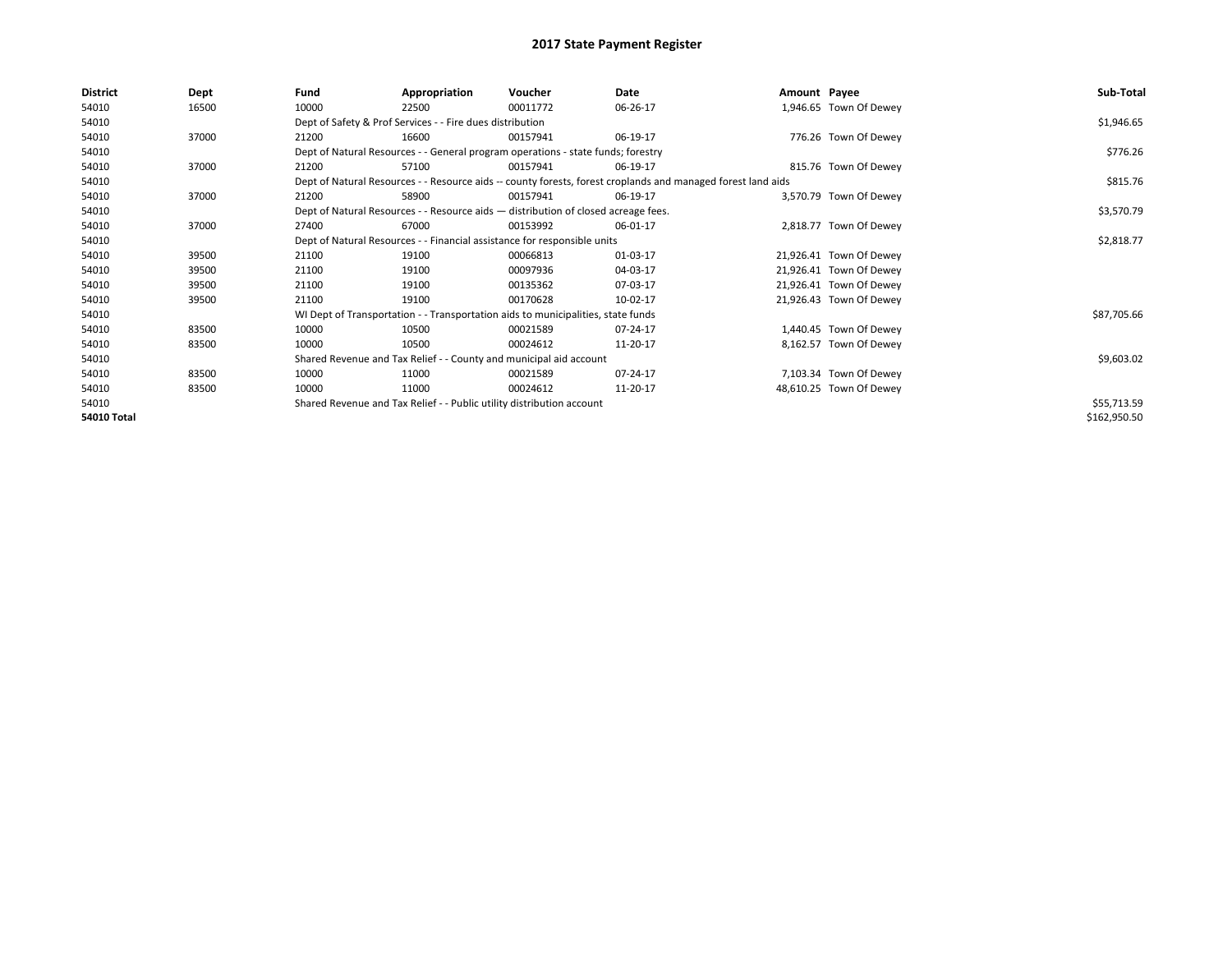| <b>District</b>    | Dept  | Fund  | Appropriation                                                                      | Voucher  | Date                                                                                                         | Amount Payee |                         | Sub-Total    |
|--------------------|-------|-------|------------------------------------------------------------------------------------|----------|--------------------------------------------------------------------------------------------------------------|--------------|-------------------------|--------------|
| 54010              | 16500 | 10000 | 22500                                                                              | 00011772 | 06-26-17                                                                                                     |              | 1,946.65 Town Of Dewey  |              |
| 54010              |       |       | Dept of Safety & Prof Services - - Fire dues distribution                          |          |                                                                                                              |              |                         | \$1,946.65   |
| 54010              | 37000 | 21200 | 16600                                                                              | 00157941 | 06-19-17                                                                                                     |              | 776.26 Town Of Dewey    |              |
| 54010              |       |       | Dept of Natural Resources - - General program operations - state funds; forestry   |          | \$776.26                                                                                                     |              |                         |              |
| 54010              | 37000 | 21200 | 57100                                                                              | 00157941 | 06-19-17                                                                                                     |              | 815.76 Town Of Dewey    |              |
| 54010              |       |       |                                                                                    |          | Dept of Natural Resources - - Resource aids -- county forests, forest croplands and managed forest land aids |              |                         | \$815.76     |
| 54010              | 37000 | 21200 | 58900                                                                              | 00157941 | 06-19-17                                                                                                     |              | 3,570.79 Town Of Dewey  |              |
| 54010              |       |       | Dept of Natural Resources - - Resource aids - distribution of closed acreage fees. |          | \$3,570.79                                                                                                   |              |                         |              |
| 54010              | 37000 | 27400 | 67000                                                                              | 00153992 | 06-01-17                                                                                                     |              | 2,818.77 Town Of Dewey  |              |
| 54010              |       |       | Dept of Natural Resources - - Financial assistance for responsible units           |          | \$2,818.77                                                                                                   |              |                         |              |
| 54010              | 39500 | 21100 | 19100                                                                              | 00066813 | 01-03-17                                                                                                     |              | 21,926.41 Town Of Dewey |              |
| 54010              | 39500 | 21100 | 19100                                                                              | 00097936 | 04-03-17                                                                                                     |              | 21,926.41 Town Of Dewey |              |
| 54010              | 39500 | 21100 | 19100                                                                              | 00135362 | 07-03-17                                                                                                     |              | 21,926.41 Town Of Dewey |              |
| 54010              | 39500 | 21100 | 19100                                                                              | 00170628 | 10-02-17                                                                                                     |              | 21,926.43 Town Of Dewey |              |
| 54010              |       |       | WI Dept of Transportation - - Transportation aids to municipalities, state funds   |          |                                                                                                              |              |                         | \$87,705.66  |
| 54010              | 83500 | 10000 | 10500                                                                              | 00021589 | 07-24-17                                                                                                     |              | 1,440.45 Town Of Dewey  |              |
| 54010              | 83500 | 10000 | 10500                                                                              | 00024612 | 11-20-17                                                                                                     |              | 8,162.57 Town Of Dewey  |              |
| 54010              |       |       | Shared Revenue and Tax Relief - - County and municipal aid account                 |          |                                                                                                              |              |                         | \$9,603.02   |
| 54010              | 83500 | 10000 | 11000                                                                              | 00021589 | 07-24-17                                                                                                     |              | 7,103.34 Town Of Dewey  |              |
| 54010              | 83500 | 10000 | 11000                                                                              | 00024612 | 11-20-17                                                                                                     |              | 48,610.25 Town Of Dewey |              |
| 54010              |       |       | Shared Revenue and Tax Relief - - Public utility distribution account              |          |                                                                                                              |              |                         | \$55,713.59  |
| <b>54010 Total</b> |       |       |                                                                                    |          |                                                                                                              |              |                         | \$162,950.50 |
|                    |       |       |                                                                                    |          |                                                                                                              |              |                         |              |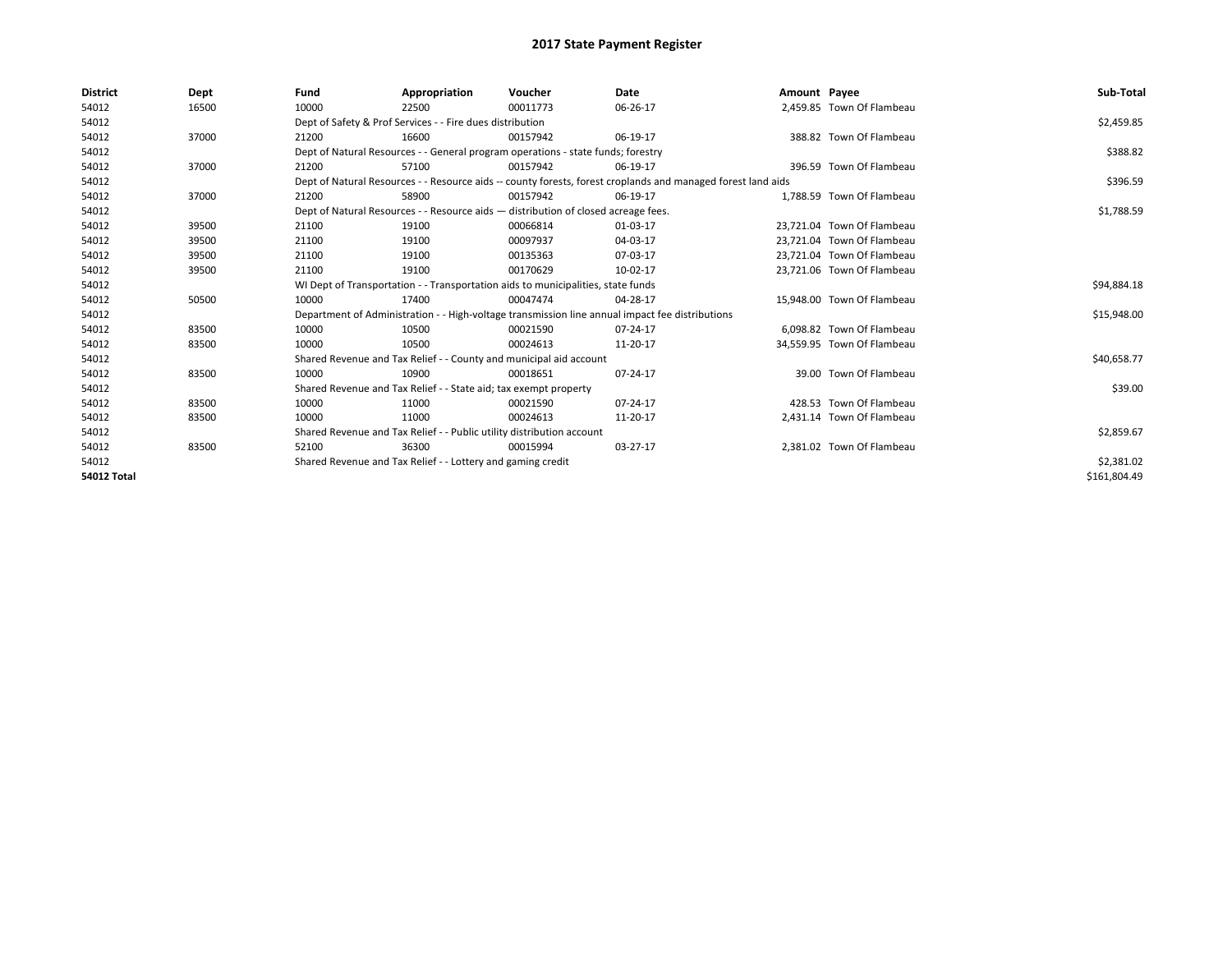| <b>District</b>    | Dept  | Fund  | Appropriation                                                                      | Voucher  | Date                                                                                                         | Amount Payee |                            | Sub-Total    |  |  |
|--------------------|-------|-------|------------------------------------------------------------------------------------|----------|--------------------------------------------------------------------------------------------------------------|--------------|----------------------------|--------------|--|--|
| 54012              | 16500 | 10000 | 22500                                                                              | 00011773 | 06-26-17                                                                                                     |              | 2,459.85 Town Of Flambeau  |              |  |  |
| 54012              |       |       | Dept of Safety & Prof Services - - Fire dues distribution                          |          |                                                                                                              |              |                            | \$2,459.85   |  |  |
| 54012              | 37000 | 21200 | 16600                                                                              | 00157942 | 06-19-17                                                                                                     |              | 388.82 Town Of Flambeau    |              |  |  |
| 54012              |       |       | Dept of Natural Resources - - General program operations - state funds; forestry   |          |                                                                                                              |              |                            | \$388.82     |  |  |
| 54012              | 37000 | 21200 | 57100                                                                              | 00157942 | 06-19-17                                                                                                     |              | 396.59 Town Of Flambeau    |              |  |  |
| 54012              |       |       |                                                                                    |          | Dept of Natural Resources - - Resource aids -- county forests, forest croplands and managed forest land aids |              |                            | \$396.59     |  |  |
| 54012              | 37000 | 21200 | 58900                                                                              | 00157942 | 06-19-17                                                                                                     |              | 1,788.59 Town Of Flambeau  |              |  |  |
| 54012              |       |       | Dept of Natural Resources - - Resource aids - distribution of closed acreage fees. |          |                                                                                                              |              |                            | \$1,788.59   |  |  |
| 54012              | 39500 | 21100 | 19100                                                                              | 00066814 | 01-03-17                                                                                                     |              | 23,721.04 Town Of Flambeau |              |  |  |
| 54012              | 39500 | 21100 | 19100                                                                              | 00097937 | 04-03-17                                                                                                     |              | 23,721.04 Town Of Flambeau |              |  |  |
| 54012              | 39500 | 21100 | 19100                                                                              | 00135363 | 07-03-17                                                                                                     |              | 23.721.04 Town Of Flambeau |              |  |  |
| 54012              | 39500 | 21100 | 19100                                                                              | 00170629 | 10-02-17                                                                                                     |              | 23.721.06 Town Of Flambeau |              |  |  |
| 54012              |       |       | WI Dept of Transportation - - Transportation aids to municipalities, state funds   |          |                                                                                                              |              |                            |              |  |  |
| 54012              | 50500 | 10000 | 17400                                                                              | 00047474 | 04-28-17                                                                                                     |              | 15,948.00 Town Of Flambeau |              |  |  |
| 54012              |       |       |                                                                                    |          | Department of Administration - - High-voltage transmission line annual impact fee distributions              |              |                            | \$15,948.00  |  |  |
| 54012              | 83500 | 10000 | 10500                                                                              | 00021590 | $07 - 24 - 17$                                                                                               |              | 6,098.82 Town Of Flambeau  |              |  |  |
| 54012              | 83500 | 10000 | 10500                                                                              | 00024613 | 11-20-17                                                                                                     |              | 34,559.95 Town Of Flambeau |              |  |  |
| 54012              |       |       | Shared Revenue and Tax Relief - - County and municipal aid account                 |          |                                                                                                              |              |                            | \$40,658.77  |  |  |
| 54012              | 83500 | 10000 | 10900                                                                              | 00018651 | 07-24-17                                                                                                     |              | 39.00 Town Of Flambeau     |              |  |  |
| 54012              |       |       | Shared Revenue and Tax Relief - - State aid; tax exempt property                   |          |                                                                                                              |              |                            | \$39.00      |  |  |
| 54012              | 83500 | 10000 | 11000                                                                              | 00021590 | 07-24-17                                                                                                     |              | 428.53 Town Of Flambeau    |              |  |  |
| 54012              | 83500 | 10000 | 11000                                                                              | 00024613 | 11-20-17                                                                                                     |              | 2,431.14 Town Of Flambeau  |              |  |  |
| 54012              |       |       | Shared Revenue and Tax Relief - - Public utility distribution account              |          |                                                                                                              |              |                            |              |  |  |
| 54012              | 83500 | 52100 | 36300                                                                              | 00015994 | 03-27-17                                                                                                     |              | 2,381.02 Town Of Flambeau  |              |  |  |
| 54012              |       |       | Shared Revenue and Tax Relief - - Lottery and gaming credit                        |          |                                                                                                              |              |                            |              |  |  |
| <b>54012 Total</b> |       |       |                                                                                    |          |                                                                                                              |              |                            | \$161,804.49 |  |  |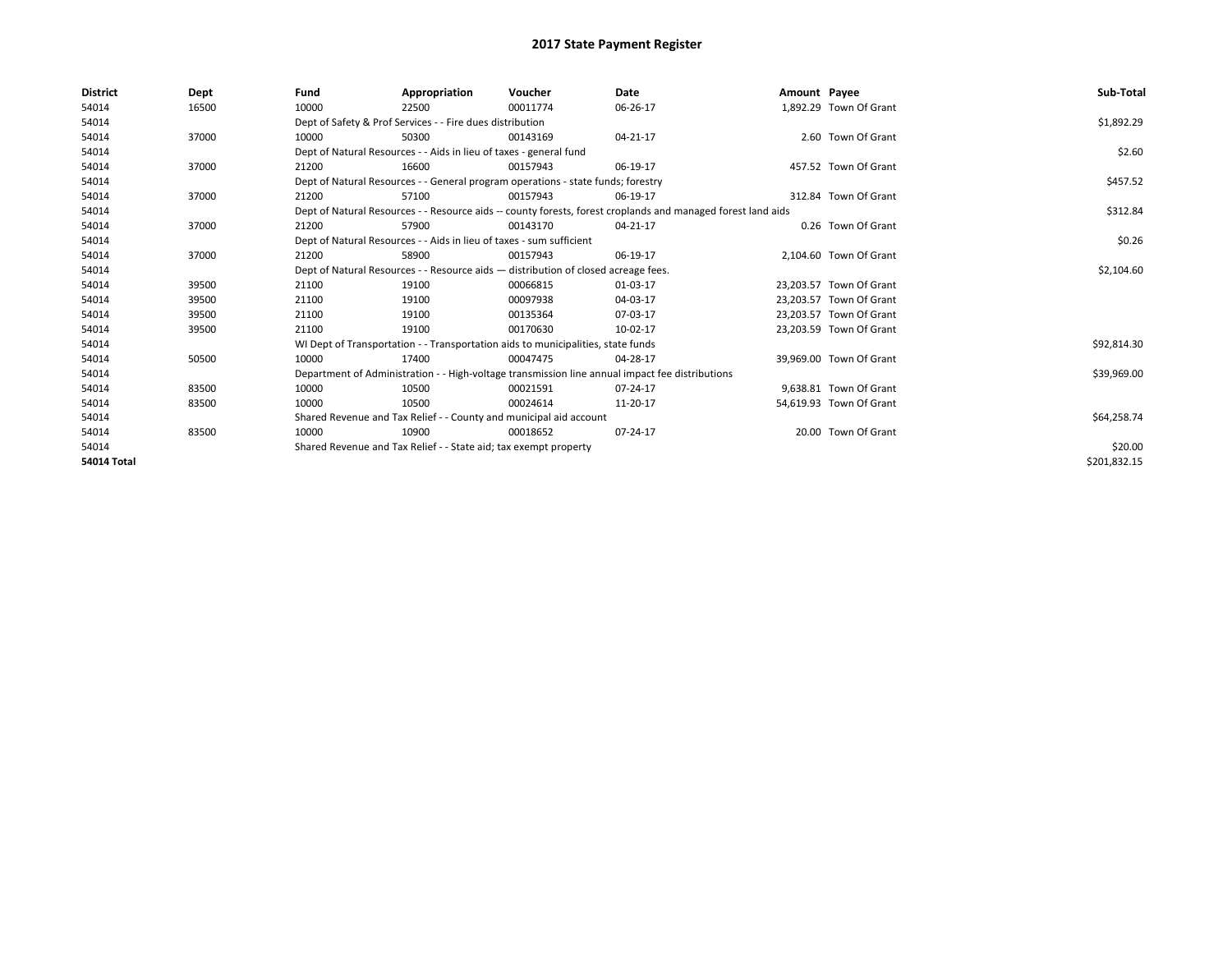| <b>District</b>    | Dept  | Fund                                                                               | Appropriation                                                                                                | Voucher    | Date                                                                                            | Amount Payee |                         | Sub-Total    |
|--------------------|-------|------------------------------------------------------------------------------------|--------------------------------------------------------------------------------------------------------------|------------|-------------------------------------------------------------------------------------------------|--------------|-------------------------|--------------|
| 54014              | 16500 | 10000                                                                              | 22500                                                                                                        | 00011774   | 06-26-17                                                                                        |              | 1.892.29 Town Of Grant  |              |
| 54014              |       |                                                                                    | Dept of Safety & Prof Services - - Fire dues distribution                                                    |            |                                                                                                 |              |                         | \$1,892.29   |
| 54014              | 37000 | 10000                                                                              | 50300                                                                                                        | 00143169   | 04-21-17                                                                                        |              | 2.60 Town Of Grant      |              |
| 54014              |       |                                                                                    | Dept of Natural Resources - - Aids in lieu of taxes - general fund                                           |            |                                                                                                 |              |                         | \$2.60       |
| 54014              | 37000 | 21200                                                                              | 16600                                                                                                        | 00157943   | 06-19-17                                                                                        |              | 457.52 Town Of Grant    |              |
| 54014              |       |                                                                                    | Dept of Natural Resources - - General program operations - state funds; forestry                             |            |                                                                                                 |              |                         | \$457.52     |
| 54014              | 37000 | 21200                                                                              | 57100                                                                                                        | 00157943   | 06-19-17                                                                                        |              | 312.84 Town Of Grant    |              |
| 54014              |       |                                                                                    | Dept of Natural Resources - - Resource aids -- county forests, forest croplands and managed forest land aids |            | \$312.84                                                                                        |              |                         |              |
| 54014              | 37000 | 21200                                                                              | 57900                                                                                                        | 00143170   | 04-21-17                                                                                        |              | 0.26 Town Of Grant      |              |
| 54014              |       |                                                                                    | Dept of Natural Resources - - Aids in lieu of taxes - sum sufficient                                         |            |                                                                                                 |              |                         | \$0.26       |
| 54014              | 37000 | 21200                                                                              | 58900                                                                                                        | 00157943   | 06-19-17                                                                                        |              | 2,104.60 Town Of Grant  |              |
| 54014              |       | Dept of Natural Resources - - Resource aids - distribution of closed acreage fees. |                                                                                                              | \$2,104.60 |                                                                                                 |              |                         |              |
| 54014              | 39500 | 21100                                                                              | 19100                                                                                                        | 00066815   | 01-03-17                                                                                        |              | 23,203.57 Town Of Grant |              |
| 54014              | 39500 | 21100                                                                              | 19100                                                                                                        | 00097938   | 04-03-17                                                                                        |              | 23,203.57 Town Of Grant |              |
| 54014              | 39500 | 21100                                                                              | 19100                                                                                                        | 00135364   | 07-03-17                                                                                        |              | 23,203.57 Town Of Grant |              |
| 54014              | 39500 | 21100                                                                              | 19100                                                                                                        | 00170630   | 10-02-17                                                                                        |              | 23.203.59 Town Of Grant |              |
| 54014              |       |                                                                                    | WI Dept of Transportation - - Transportation aids to municipalities, state funds                             |            |                                                                                                 |              |                         | \$92,814.30  |
| 54014              | 50500 | 10000                                                                              | 17400                                                                                                        | 00047475   | 04-28-17                                                                                        |              | 39,969.00 Town Of Grant |              |
| 54014              |       |                                                                                    |                                                                                                              |            | Department of Administration - - High-voltage transmission line annual impact fee distributions |              |                         | \$39,969.00  |
| 54014              | 83500 | 10000                                                                              | 10500                                                                                                        | 00021591   | 07-24-17                                                                                        |              | 9,638.81 Town Of Grant  |              |
| 54014              | 83500 | 10000                                                                              | 10500                                                                                                        | 00024614   | 11-20-17                                                                                        |              | 54,619.93 Town Of Grant |              |
| 54014              |       |                                                                                    | Shared Revenue and Tax Relief - - County and municipal aid account                                           |            |                                                                                                 |              |                         | \$64,258.74  |
| 54014              | 83500 | 10000                                                                              | 10900                                                                                                        | 00018652   | 07-24-17                                                                                        |              | 20.00 Town Of Grant     |              |
| 54014              |       | Shared Revenue and Tax Relief - - State aid; tax exempt property                   |                                                                                                              | \$20.00    |                                                                                                 |              |                         |              |
| <b>54014 Total</b> |       |                                                                                    |                                                                                                              |            |                                                                                                 |              |                         | \$201,832.15 |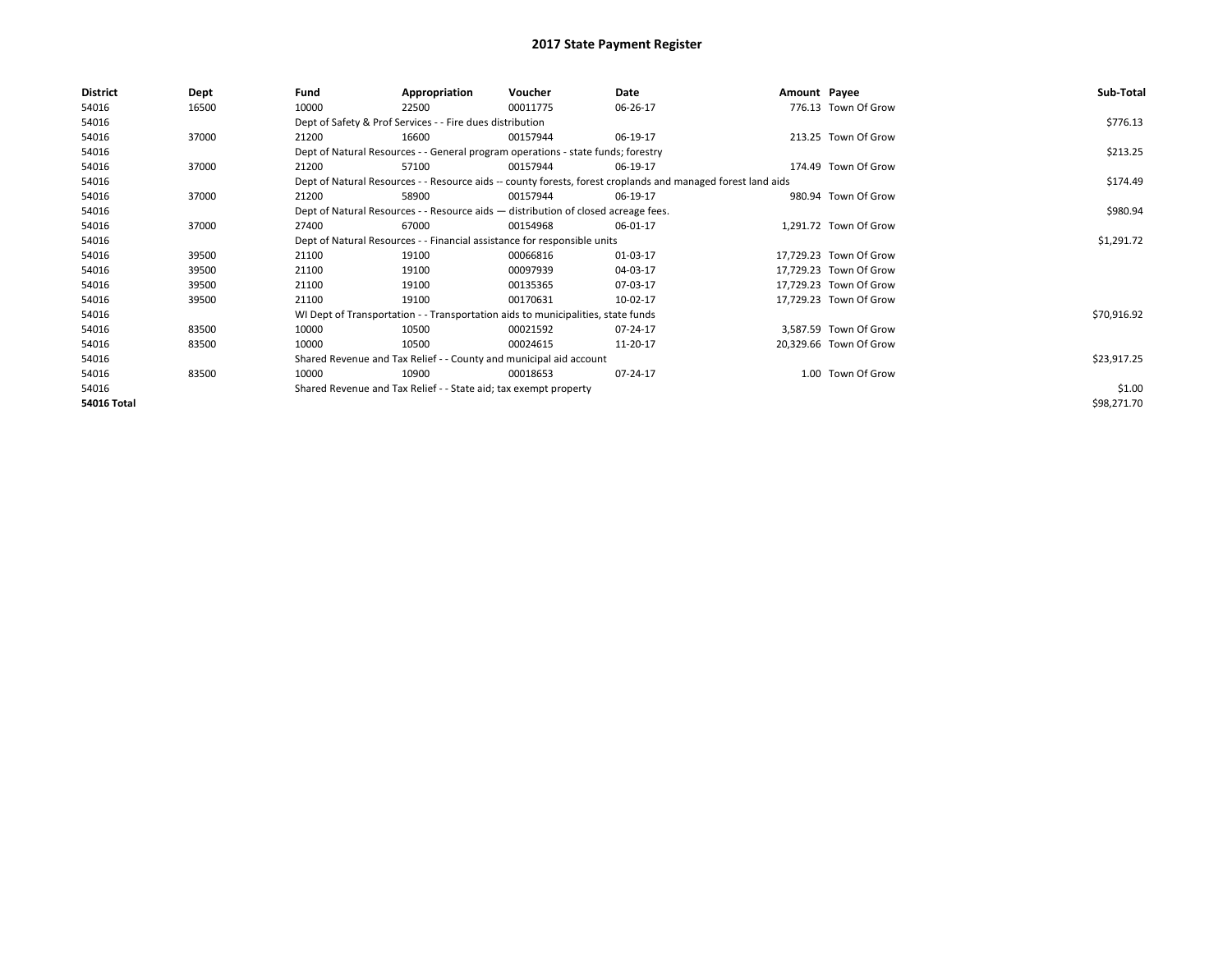| <b>District</b> | Dept  | Fund                                                                     | Appropriation                                                                                                | Voucher    | Date     | Amount Payee |                        | Sub-Total   |
|-----------------|-------|--------------------------------------------------------------------------|--------------------------------------------------------------------------------------------------------------|------------|----------|--------------|------------------------|-------------|
| 54016           | 16500 | 10000                                                                    | 22500                                                                                                        | 00011775   | 06-26-17 |              | 776.13 Town Of Grow    |             |
| 54016           |       |                                                                          | Dept of Safety & Prof Services - - Fire dues distribution                                                    |            |          |              |                        | \$776.13    |
| 54016           | 37000 | 21200                                                                    | 16600                                                                                                        | 00157944   | 06-19-17 |              | 213.25 Town Of Grow    |             |
| 54016           |       |                                                                          | Dept of Natural Resources - - General program operations - state funds; forestry                             |            | \$213.25 |              |                        |             |
| 54016           | 37000 | 21200                                                                    | 57100                                                                                                        | 00157944   | 06-19-17 |              | 174.49 Town Of Grow    |             |
| 54016           |       |                                                                          | Dept of Natural Resources - - Resource aids -- county forests, forest croplands and managed forest land aids |            | \$174.49 |              |                        |             |
| 54016           | 37000 | 21200                                                                    | 58900                                                                                                        | 00157944   | 06-19-17 |              | 980.94 Town Of Grow    |             |
| 54016           |       |                                                                          | Dept of Natural Resources - - Resource aids - distribution of closed acreage fees.                           |            |          |              |                        | \$980.94    |
| 54016           | 37000 | 27400                                                                    | 67000                                                                                                        | 00154968   | 06-01-17 |              | 1,291.72 Town Of Grow  |             |
| 54016           |       | Dept of Natural Resources - - Financial assistance for responsible units |                                                                                                              | \$1,291.72 |          |              |                        |             |
| 54016           | 39500 | 21100                                                                    | 19100                                                                                                        | 00066816   | 01-03-17 |              | 17,729.23 Town Of Grow |             |
| 54016           | 39500 | 21100                                                                    | 19100                                                                                                        | 00097939   | 04-03-17 |              | 17,729.23 Town Of Grow |             |
| 54016           | 39500 | 21100                                                                    | 19100                                                                                                        | 00135365   | 07-03-17 |              | 17,729.23 Town Of Grow |             |
| 54016           | 39500 | 21100                                                                    | 19100                                                                                                        | 00170631   | 10-02-17 |              | 17,729.23 Town Of Grow |             |
| 54016           |       |                                                                          | WI Dept of Transportation - - Transportation aids to municipalities, state funds                             |            |          |              |                        | \$70,916.92 |
| 54016           | 83500 | 10000                                                                    | 10500                                                                                                        | 00021592   | 07-24-17 |              | 3,587.59 Town Of Grow  |             |
| 54016           | 83500 | 10000                                                                    | 10500                                                                                                        | 00024615   | 11-20-17 |              | 20,329.66 Town Of Grow |             |
| 54016           |       |                                                                          | Shared Revenue and Tax Relief - - County and municipal aid account                                           |            |          |              |                        | \$23,917.25 |
| 54016           | 83500 | 10000                                                                    | 10900                                                                                                        | 00018653   | 07-24-17 |              | 1.00 Town Of Grow      |             |
| 54016           |       |                                                                          | Shared Revenue and Tax Relief - - State aid; tax exempt property                                             |            |          |              |                        | \$1.00      |
| 54016 Total     |       |                                                                          |                                                                                                              |            |          |              |                        | \$98,271.70 |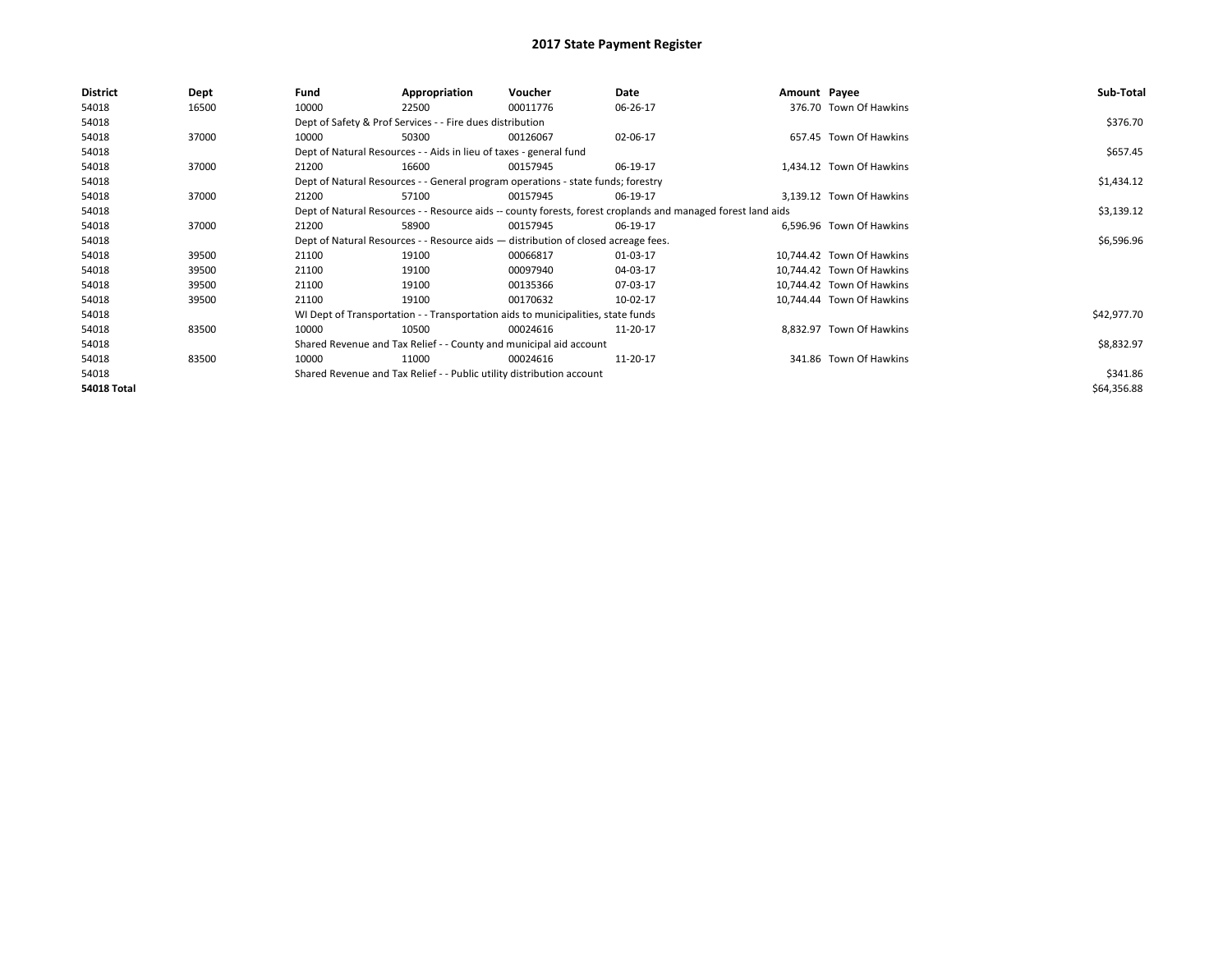| <b>District</b>    | Dept  | Fund  | Appropriation                                                                                                | Voucher  | Date     | Amount Payee |                           | Sub-Total   |
|--------------------|-------|-------|--------------------------------------------------------------------------------------------------------------|----------|----------|--------------|---------------------------|-------------|
| 54018              | 16500 | 10000 | 22500                                                                                                        | 00011776 | 06-26-17 |              | 376.70 Town Of Hawkins    |             |
| 54018              |       |       | Dept of Safety & Prof Services - - Fire dues distribution                                                    |          |          |              |                           | \$376.70    |
| 54018              | 37000 | 10000 | 50300                                                                                                        | 00126067 | 02-06-17 |              | 657.45 Town Of Hawkins    |             |
| 54018              |       |       | Dept of Natural Resources - - Aids in lieu of taxes - general fund                                           |          |          |              |                           | \$657.45    |
| 54018              | 37000 | 21200 | 16600                                                                                                        | 00157945 | 06-19-17 |              | 1,434.12 Town Of Hawkins  |             |
| 54018              |       |       | Dept of Natural Resources - - General program operations - state funds; forestry                             |          |          |              |                           | \$1,434.12  |
| 54018              | 37000 | 21200 | 57100                                                                                                        | 00157945 | 06-19-17 |              | 3,139.12 Town Of Hawkins  |             |
| 54018              |       |       | Dept of Natural Resources - - Resource aids -- county forests, forest croplands and managed forest land aids |          |          |              |                           | \$3,139.12  |
| 54018              | 37000 | 21200 | 58900                                                                                                        | 00157945 | 06-19-17 |              | 6,596.96 Town Of Hawkins  |             |
| 54018              |       |       | Dept of Natural Resources - - Resource aids - distribution of closed acreage fees.                           |          |          |              |                           | \$6,596.96  |
| 54018              | 39500 | 21100 | 19100                                                                                                        | 00066817 | 01-03-17 |              | 10,744.42 Town Of Hawkins |             |
| 54018              | 39500 | 21100 | 19100                                                                                                        | 00097940 | 04-03-17 |              | 10,744.42 Town Of Hawkins |             |
| 54018              | 39500 | 21100 | 19100                                                                                                        | 00135366 | 07-03-17 |              | 10.744.42 Town Of Hawkins |             |
| 54018              | 39500 | 21100 | 19100                                                                                                        | 00170632 | 10-02-17 |              | 10,744.44 Town Of Hawkins |             |
| 54018              |       |       | WI Dept of Transportation - - Transportation aids to municipalities, state funds                             |          |          |              |                           | \$42,977.70 |
| 54018              | 83500 | 10000 | 10500                                                                                                        | 00024616 | 11-20-17 |              | 8,832.97 Town Of Hawkins  |             |
| 54018              |       |       | Shared Revenue and Tax Relief - - County and municipal aid account                                           |          |          |              |                           | \$8,832.97  |
| 54018              | 83500 | 10000 | 11000                                                                                                        | 00024616 | 11-20-17 |              | 341.86 Town Of Hawkins    |             |
| 54018              |       |       | Shared Revenue and Tax Relief - - Public utility distribution account                                        |          |          |              |                           | \$341.86    |
| <b>54018 Total</b> |       |       |                                                                                                              |          |          |              |                           | \$64,356.88 |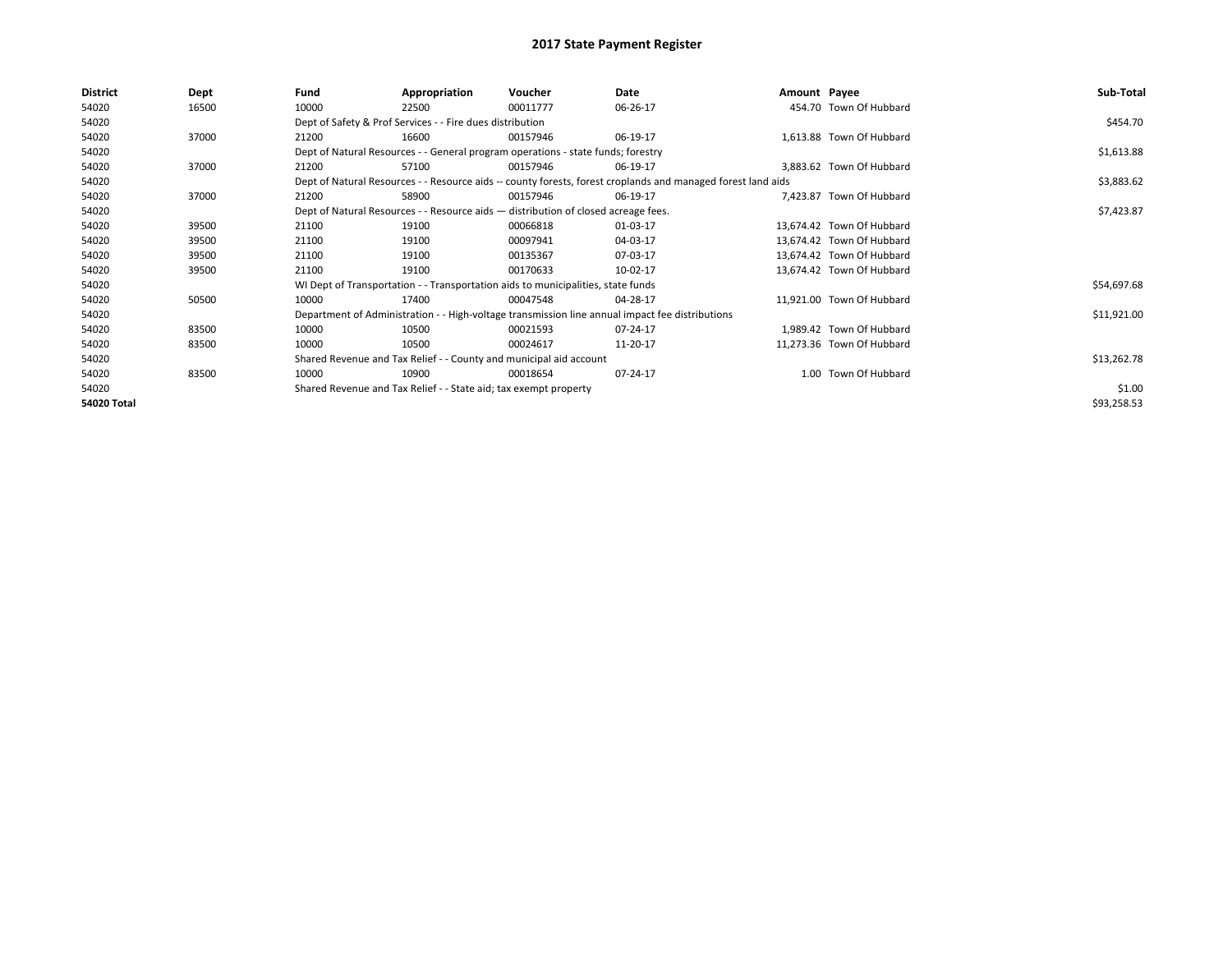| <b>District</b> | Dept  | Fund  | Appropriation                                                                      | Voucher  | Date                                                                                                         | Amount Payee |                           | Sub-Total   |
|-----------------|-------|-------|------------------------------------------------------------------------------------|----------|--------------------------------------------------------------------------------------------------------------|--------------|---------------------------|-------------|
| 54020           | 16500 | 10000 | 22500                                                                              | 00011777 | 06-26-17                                                                                                     |              | 454.70 Town Of Hubbard    |             |
| 54020           |       |       | Dept of Safety & Prof Services - - Fire dues distribution                          |          |                                                                                                              |              |                           | \$454.70    |
| 54020           | 37000 | 21200 | 16600                                                                              | 00157946 | 06-19-17                                                                                                     |              | 1,613.88 Town Of Hubbard  |             |
| 54020           |       |       | Dept of Natural Resources - - General program operations - state funds; forestry   |          |                                                                                                              |              |                           | \$1,613.88  |
| 54020           | 37000 | 21200 | 57100                                                                              | 00157946 | 06-19-17                                                                                                     |              | 3,883.62 Town Of Hubbard  |             |
| 54020           |       |       |                                                                                    |          | Dept of Natural Resources - - Resource aids -- county forests, forest croplands and managed forest land aids |              |                           | \$3,883.62  |
| 54020           | 37000 | 21200 | 58900                                                                              | 00157946 | 06-19-17                                                                                                     |              | 7.423.87 Town Of Hubbard  |             |
| 54020           |       |       | Dept of Natural Resources - - Resource aids - distribution of closed acreage fees. |          |                                                                                                              |              |                           | \$7,423.87  |
| 54020           | 39500 | 21100 | 19100                                                                              | 00066818 | 01-03-17                                                                                                     |              | 13,674.42 Town Of Hubbard |             |
| 54020           | 39500 | 21100 | 19100                                                                              | 00097941 | 04-03-17                                                                                                     |              | 13.674.42 Town Of Hubbard |             |
| 54020           | 39500 | 21100 | 19100                                                                              | 00135367 | 07-03-17                                                                                                     |              | 13,674.42 Town Of Hubbard |             |
| 54020           | 39500 | 21100 | 19100                                                                              | 00170633 | 10-02-17                                                                                                     |              | 13,674.42 Town Of Hubbard |             |
| 54020           |       |       | WI Dept of Transportation - - Transportation aids to municipalities, state funds   |          |                                                                                                              |              |                           | \$54,697.68 |
| 54020           | 50500 | 10000 | 17400                                                                              | 00047548 | 04-28-17                                                                                                     |              | 11,921.00 Town Of Hubbard |             |
| 54020           |       |       |                                                                                    |          | Department of Administration - - High-voltage transmission line annual impact fee distributions              |              |                           | \$11,921.00 |
| 54020           | 83500 | 10000 | 10500                                                                              | 00021593 | 07-24-17                                                                                                     |              | 1.989.42 Town Of Hubbard  |             |
| 54020           | 83500 | 10000 | 10500                                                                              | 00024617 | 11-20-17                                                                                                     |              | 11,273.36 Town Of Hubbard |             |
| 54020           |       |       | Shared Revenue and Tax Relief - - County and municipal aid account                 |          |                                                                                                              |              |                           | \$13,262.78 |
| 54020           | 83500 | 10000 | 10900                                                                              | 00018654 | 07-24-17                                                                                                     |              | 1.00 Town Of Hubbard      |             |
| 54020           |       |       | Shared Revenue and Tax Relief - - State aid; tax exempt property                   |          |                                                                                                              |              |                           | \$1.00      |
| 54020 Total     |       |       |                                                                                    |          |                                                                                                              |              |                           | \$93,258.53 |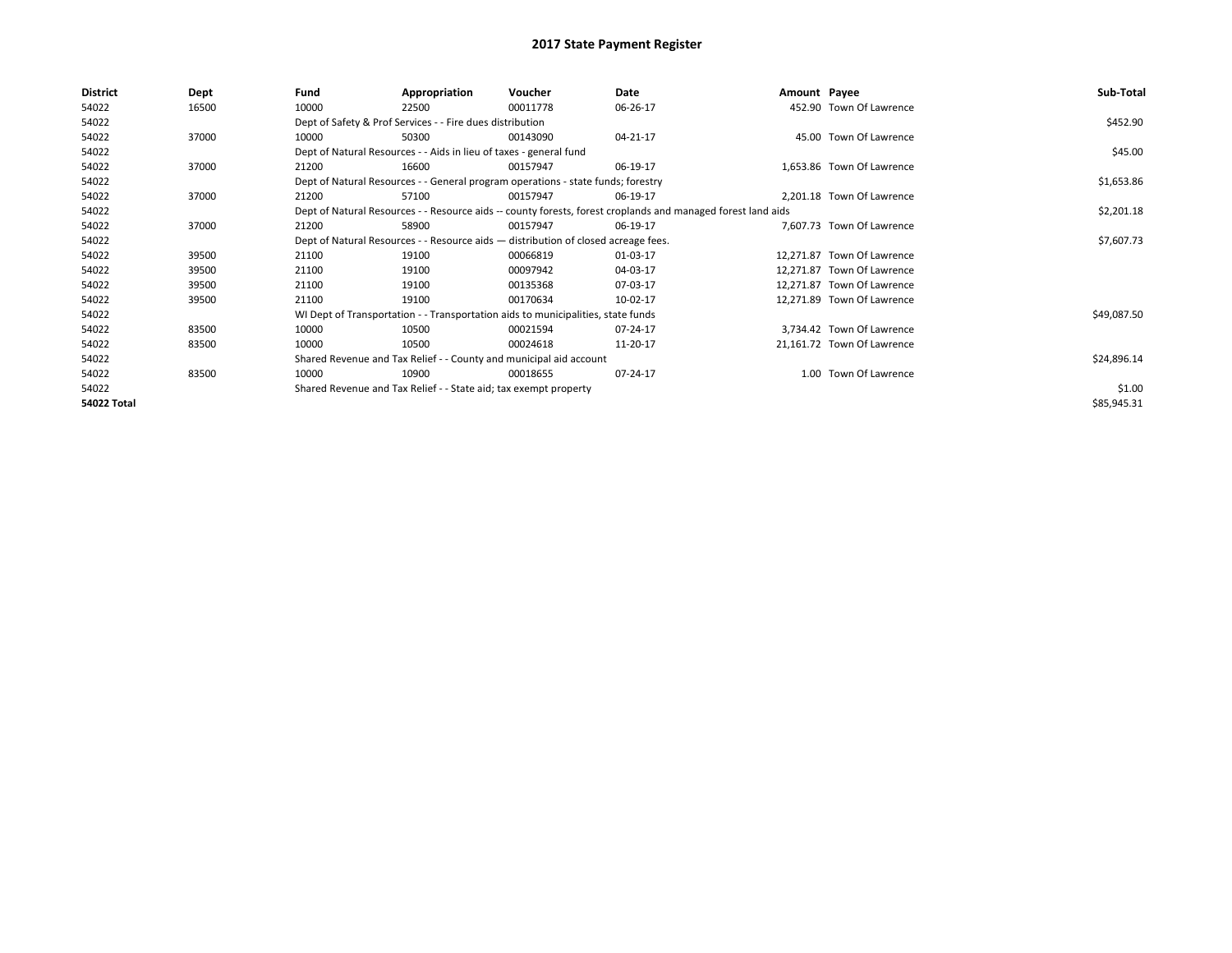| <b>District</b> | Dept  | Fund  | Appropriation                                                                      | Voucher  | Date                                                                                                         | Amount Payee |                            | Sub-Total   |
|-----------------|-------|-------|------------------------------------------------------------------------------------|----------|--------------------------------------------------------------------------------------------------------------|--------------|----------------------------|-------------|
| 54022           | 16500 | 10000 | 22500                                                                              | 00011778 | 06-26-17                                                                                                     |              | 452.90 Town Of Lawrence    |             |
| 54022           |       |       | Dept of Safety & Prof Services - - Fire dues distribution                          |          |                                                                                                              |              |                            | \$452.90    |
| 54022           | 37000 | 10000 | 50300                                                                              | 00143090 | 04-21-17                                                                                                     |              | 45.00 Town Of Lawrence     |             |
| 54022           |       |       | Dept of Natural Resources - - Aids in lieu of taxes - general fund                 |          |                                                                                                              |              |                            | \$45.00     |
| 54022           | 37000 | 21200 | 16600                                                                              | 00157947 | 06-19-17                                                                                                     |              | 1,653.86 Town Of Lawrence  |             |
| 54022           |       |       | Dept of Natural Resources - - General program operations - state funds; forestry   |          |                                                                                                              |              |                            | \$1,653.86  |
| 54022           | 37000 | 21200 | 57100                                                                              | 00157947 | 06-19-17                                                                                                     |              | 2,201.18 Town Of Lawrence  |             |
| 54022           |       |       |                                                                                    |          | Dept of Natural Resources - - Resource aids -- county forests, forest croplands and managed forest land aids |              |                            | \$2,201.18  |
| 54022           | 37000 | 21200 | 58900                                                                              | 00157947 | 06-19-17                                                                                                     |              | 7,607.73 Town Of Lawrence  |             |
| 54022           |       |       | Dept of Natural Resources - - Resource aids - distribution of closed acreage fees. |          |                                                                                                              |              |                            | \$7,607.73  |
| 54022           | 39500 | 21100 | 19100                                                                              | 00066819 | 01-03-17                                                                                                     |              | 12,271.87 Town Of Lawrence |             |
| 54022           | 39500 | 21100 | 19100                                                                              | 00097942 | 04-03-17                                                                                                     |              | 12,271.87 Town Of Lawrence |             |
| 54022           | 39500 | 21100 | 19100                                                                              | 00135368 | 07-03-17                                                                                                     |              | 12,271.87 Town Of Lawrence |             |
| 54022           | 39500 | 21100 | 19100                                                                              | 00170634 | 10-02-17                                                                                                     |              | 12,271.89 Town Of Lawrence |             |
| 54022           |       |       | WI Dept of Transportation - - Transportation aids to municipalities, state funds   |          |                                                                                                              |              |                            | \$49,087.50 |
| 54022           | 83500 | 10000 | 10500                                                                              | 00021594 | 07-24-17                                                                                                     |              | 3,734.42 Town Of Lawrence  |             |
| 54022           | 83500 | 10000 | 10500                                                                              | 00024618 | 11-20-17                                                                                                     |              | 21,161.72 Town Of Lawrence |             |
| 54022           |       |       | Shared Revenue and Tax Relief - - County and municipal aid account                 |          |                                                                                                              |              |                            | \$24,896.14 |
| 54022           | 83500 | 10000 | 10900                                                                              | 00018655 | 07-24-17                                                                                                     |              | 1.00 Town Of Lawrence      |             |
| 54022           |       |       | Shared Revenue and Tax Relief - - State aid; tax exempt property                   |          |                                                                                                              |              |                            | \$1.00      |
| 54022 Total     |       |       |                                                                                    |          |                                                                                                              |              |                            | \$85,945.31 |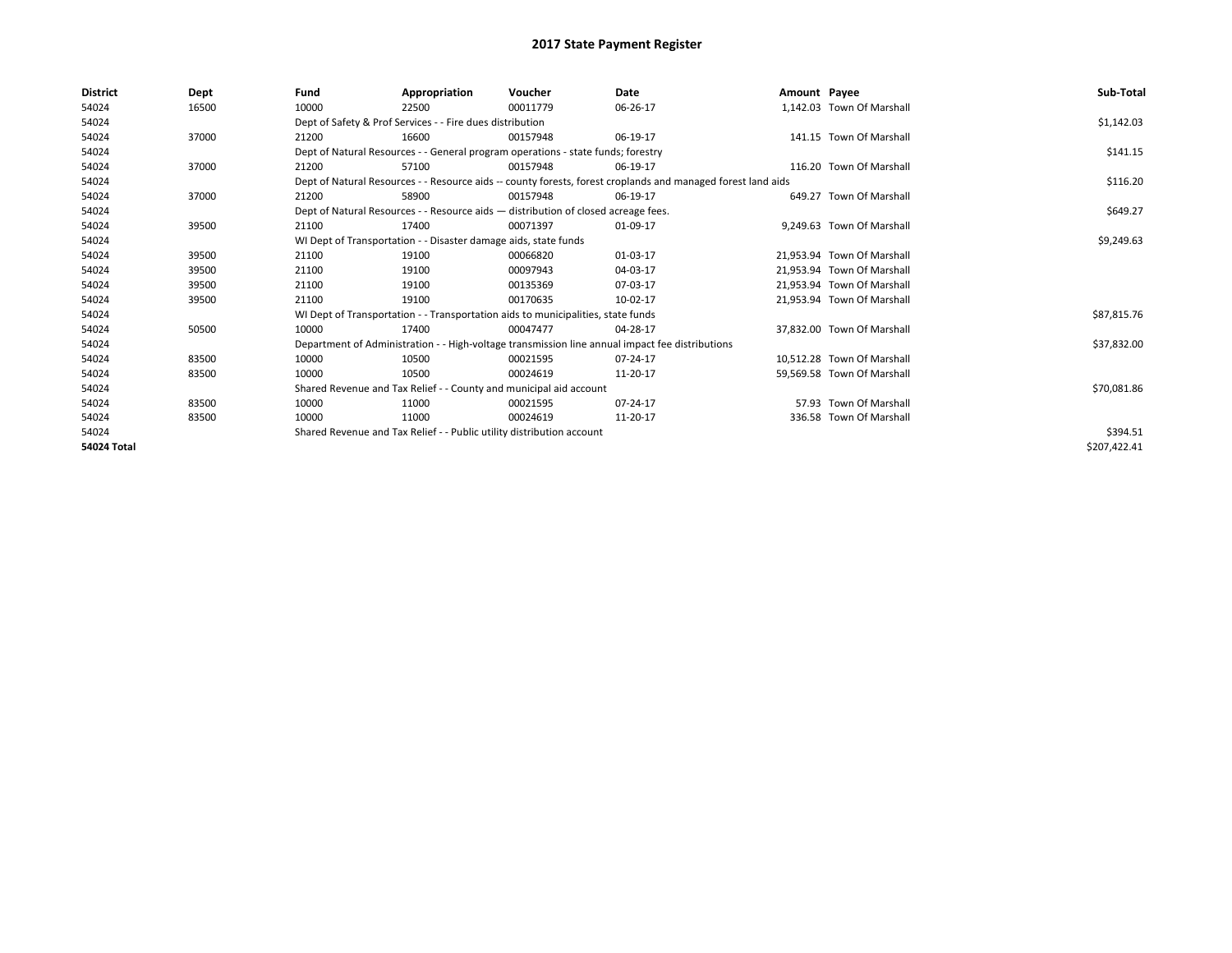| <b>District</b>    | Dept  | Fund  | Appropriation                                                                      | Voucher  | Date                                                                                                         | Amount Payee |                            | Sub-Total    |
|--------------------|-------|-------|------------------------------------------------------------------------------------|----------|--------------------------------------------------------------------------------------------------------------|--------------|----------------------------|--------------|
| 54024              | 16500 | 10000 | 22500                                                                              | 00011779 | 06-26-17                                                                                                     |              | 1,142.03 Town Of Marshall  |              |
| 54024              |       |       | Dept of Safety & Prof Services - - Fire dues distribution                          |          | \$1,142.03                                                                                                   |              |                            |              |
| 54024              | 37000 | 21200 | 16600                                                                              | 00157948 | 06-19-17                                                                                                     |              | 141.15 Town Of Marshall    |              |
| 54024              |       |       | Dept of Natural Resources - - General program operations - state funds; forestry   |          |                                                                                                              |              |                            | \$141.15     |
| 54024              | 37000 | 21200 | 57100                                                                              | 00157948 | 06-19-17                                                                                                     |              | 116.20 Town Of Marshall    |              |
| 54024              |       |       |                                                                                    |          | Dept of Natural Resources - - Resource aids -- county forests, forest croplands and managed forest land aids |              |                            | \$116.20     |
| 54024              | 37000 | 21200 | 58900                                                                              | 00157948 | 06-19-17                                                                                                     |              | 649.27 Town Of Marshall    |              |
| 54024              |       |       | Dept of Natural Resources - - Resource aids - distribution of closed acreage fees. |          |                                                                                                              |              |                            | \$649.27     |
| 54024              | 39500 | 21100 | 17400                                                                              | 00071397 | 01-09-17                                                                                                     |              | 9,249.63 Town Of Marshall  |              |
| 54024              |       |       | WI Dept of Transportation - - Disaster damage aids, state funds                    |          |                                                                                                              |              |                            | \$9,249.63   |
| 54024              | 39500 | 21100 | 19100                                                                              | 00066820 | 01-03-17                                                                                                     |              | 21,953.94 Town Of Marshall |              |
| 54024              | 39500 | 21100 | 19100                                                                              | 00097943 | 04-03-17                                                                                                     |              | 21.953.94 Town Of Marshall |              |
| 54024              | 39500 | 21100 | 19100                                                                              | 00135369 | 07-03-17                                                                                                     |              | 21.953.94 Town Of Marshall |              |
| 54024              | 39500 | 21100 | 19100                                                                              | 00170635 | 10-02-17                                                                                                     |              | 21.953.94 Town Of Marshall |              |
| 54024              |       |       | WI Dept of Transportation - - Transportation aids to municipalities, state funds   |          |                                                                                                              |              |                            | \$87,815.76  |
| 54024              | 50500 | 10000 | 17400                                                                              | 00047477 | 04-28-17                                                                                                     |              | 37,832.00 Town Of Marshall |              |
| 54024              |       |       |                                                                                    |          | Department of Administration - - High-voltage transmission line annual impact fee distributions              |              |                            | \$37,832.00  |
| 54024              | 83500 | 10000 | 10500                                                                              | 00021595 | 07-24-17                                                                                                     |              | 10.512.28 Town Of Marshall |              |
| 54024              | 83500 | 10000 | 10500                                                                              | 00024619 | 11-20-17                                                                                                     |              | 59,569.58 Town Of Marshall |              |
| 54024              |       |       | Shared Revenue and Tax Relief - - County and municipal aid account                 |          |                                                                                                              |              |                            | \$70,081.86  |
| 54024              | 83500 | 10000 | 11000                                                                              | 00021595 | 07-24-17                                                                                                     |              | 57.93 Town Of Marshall     |              |
| 54024              | 83500 | 10000 | 11000                                                                              | 00024619 | 11-20-17                                                                                                     |              | 336.58 Town Of Marshall    |              |
| 54024              |       |       | Shared Revenue and Tax Relief - - Public utility distribution account              |          |                                                                                                              |              |                            | \$394.51     |
| <b>54024 Total</b> |       |       |                                                                                    |          |                                                                                                              |              |                            | \$207,422.41 |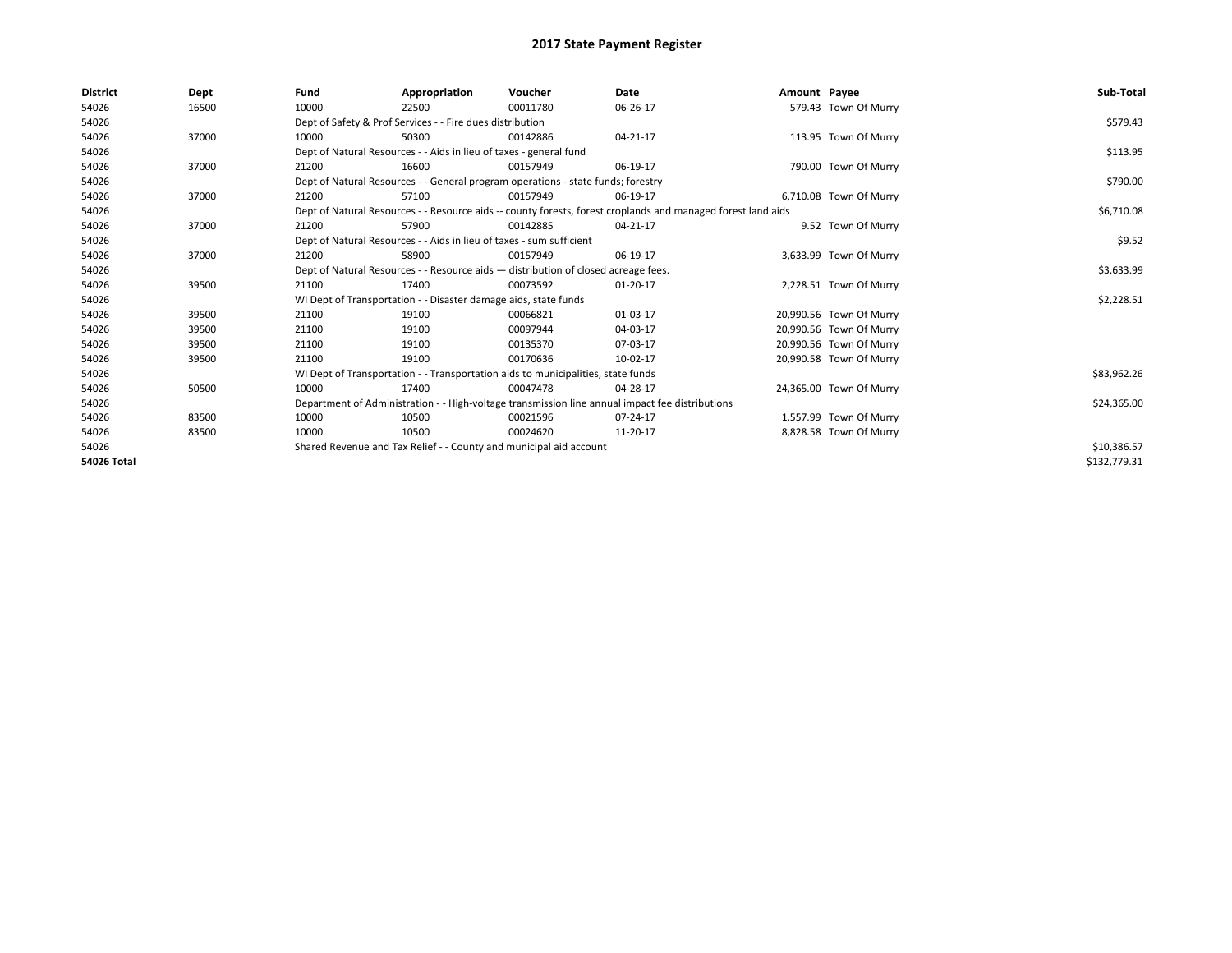| <b>District</b>    | Dept  | Fund  | Appropriation                                                                                                | Voucher  | Date     | Amount Payee |                         | Sub-Total    |
|--------------------|-------|-------|--------------------------------------------------------------------------------------------------------------|----------|----------|--------------|-------------------------|--------------|
| 54026              | 16500 | 10000 | 22500                                                                                                        | 00011780 | 06-26-17 |              | 579.43 Town Of Murry    |              |
| 54026              |       |       | Dept of Safety & Prof Services - - Fire dues distribution                                                    |          |          |              |                         | \$579.43     |
| 54026              | 37000 | 10000 | 50300                                                                                                        | 00142886 | 04-21-17 |              | 113.95 Town Of Murry    |              |
| 54026              |       |       | Dept of Natural Resources - - Aids in lieu of taxes - general fund                                           |          |          |              |                         | \$113.95     |
| 54026              | 37000 | 21200 | 16600                                                                                                        | 00157949 | 06-19-17 |              | 790.00 Town Of Murry    |              |
| 54026              |       |       | Dept of Natural Resources - - General program operations - state funds; forestry                             |          |          |              |                         | \$790.00     |
| 54026              | 37000 | 21200 | 57100                                                                                                        | 00157949 | 06-19-17 |              | 6,710.08 Town Of Murry  |              |
| 54026              |       |       | Dept of Natural Resources - - Resource aids -- county forests, forest croplands and managed forest land aids |          |          |              |                         | \$6,710.08   |
| 54026              | 37000 | 21200 | 57900                                                                                                        | 00142885 | 04-21-17 |              | 9.52 Town Of Murry      |              |
| 54026              |       |       | Dept of Natural Resources - - Aids in lieu of taxes - sum sufficient                                         |          |          |              |                         | \$9.52       |
| 54026              | 37000 | 21200 | 58900                                                                                                        | 00157949 | 06-19-17 |              | 3,633.99 Town Of Murry  |              |
| 54026              |       |       | Dept of Natural Resources - - Resource aids - distribution of closed acreage fees.                           |          |          |              |                         | \$3,633.99   |
| 54026              | 39500 | 21100 | 17400                                                                                                        | 00073592 | 01-20-17 |              | 2,228.51 Town Of Murry  |              |
| 54026              |       |       | WI Dept of Transportation - - Disaster damage aids, state funds                                              |          |          |              |                         | \$2,228.51   |
| 54026              | 39500 | 21100 | 19100                                                                                                        | 00066821 | 01-03-17 |              | 20,990.56 Town Of Murry |              |
| 54026              | 39500 | 21100 | 19100                                                                                                        | 00097944 | 04-03-17 |              | 20,990.56 Town Of Murry |              |
| 54026              | 39500 | 21100 | 19100                                                                                                        | 00135370 | 07-03-17 |              | 20,990.56 Town Of Murry |              |
| 54026              | 39500 | 21100 | 19100                                                                                                        | 00170636 | 10-02-17 |              | 20,990.58 Town Of Murry |              |
| 54026              |       |       | WI Dept of Transportation - - Transportation aids to municipalities, state funds                             |          |          |              |                         | \$83,962.26  |
| 54026              | 50500 | 10000 | 17400                                                                                                        | 00047478 | 04-28-17 |              | 24,365.00 Town Of Murry |              |
| 54026              |       |       | Department of Administration - - High-voltage transmission line annual impact fee distributions              |          |          |              |                         | \$24,365.00  |
| 54026              | 83500 | 10000 | 10500                                                                                                        | 00021596 | 07-24-17 |              | 1,557.99 Town Of Murry  |              |
| 54026              | 83500 | 10000 | 10500                                                                                                        | 00024620 | 11-20-17 |              | 8,828.58 Town Of Murry  |              |
| 54026              |       |       | Shared Revenue and Tax Relief - - County and municipal aid account                                           |          |          |              |                         | \$10,386.57  |
| <b>54026 Total</b> |       |       |                                                                                                              |          |          |              |                         | \$132,779.31 |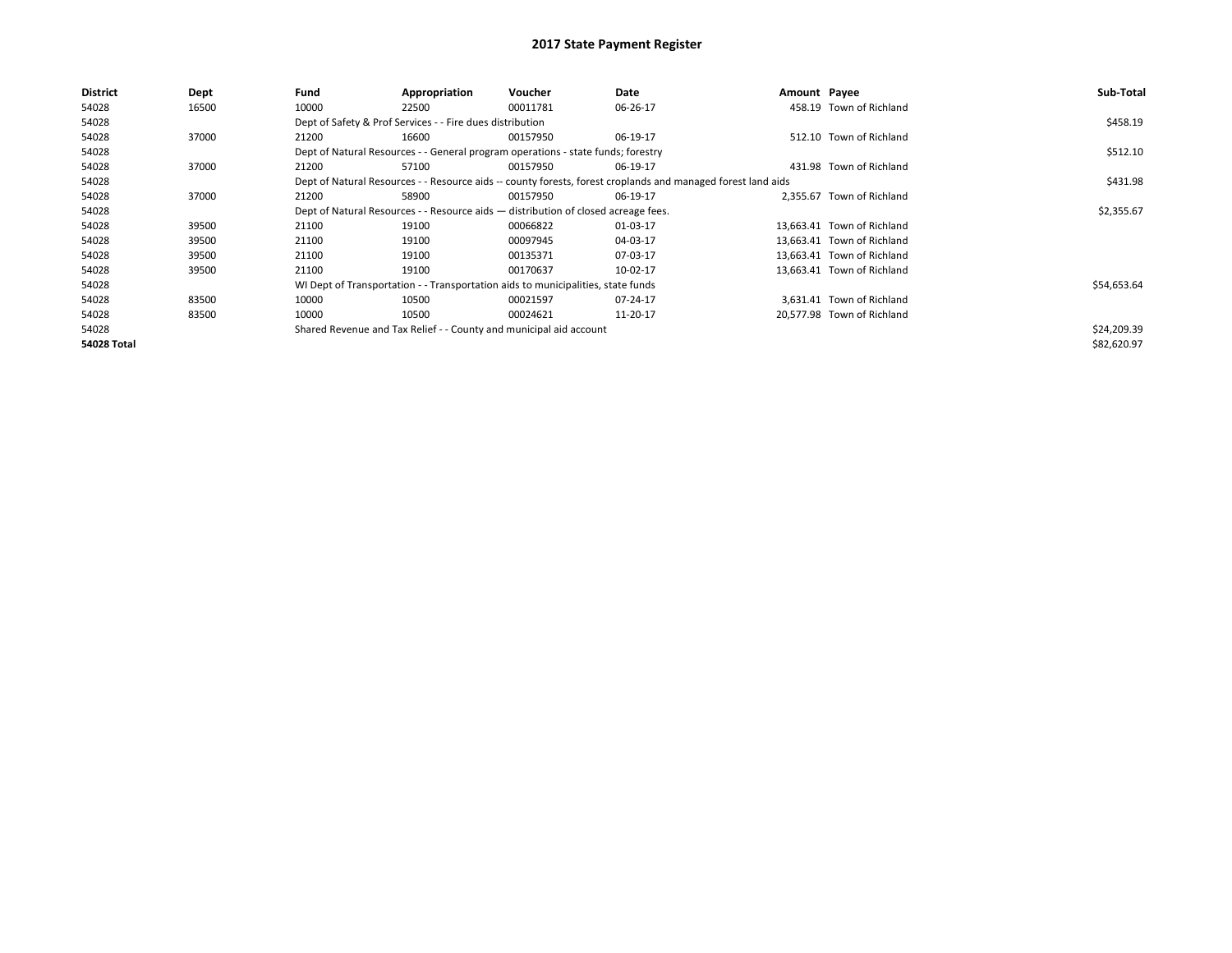| <b>District</b>    | Dept  | Fund  | Appropriation                                                                      | Voucher  | Date                                                                                                         | Amount Payee |                            | Sub-Total   |
|--------------------|-------|-------|------------------------------------------------------------------------------------|----------|--------------------------------------------------------------------------------------------------------------|--------------|----------------------------|-------------|
| 54028              | 16500 | 10000 | 22500                                                                              | 00011781 | 06-26-17                                                                                                     |              | 458.19 Town of Richland    |             |
| 54028              |       |       | Dept of Safety & Prof Services - - Fire dues distribution                          |          |                                                                                                              |              |                            | \$458.19    |
| 54028              | 37000 | 21200 | 16600                                                                              | 00157950 | 06-19-17                                                                                                     |              | 512.10 Town of Richland    |             |
| 54028              |       |       | Dept of Natural Resources - - General program operations - state funds; forestry   |          |                                                                                                              |              |                            | \$512.10    |
| 54028              | 37000 | 21200 | 57100                                                                              | 00157950 | 06-19-17                                                                                                     |              | 431.98 Town of Richland    |             |
| 54028              |       |       |                                                                                    |          | Dept of Natural Resources - - Resource aids -- county forests, forest croplands and managed forest land aids |              |                            | \$431.98    |
| 54028              | 37000 | 21200 | 58900                                                                              | 00157950 | 06-19-17                                                                                                     |              | 2.355.67 Town of Richland  |             |
| 54028              |       |       | Dept of Natural Resources - - Resource aids - distribution of closed acreage fees. |          |                                                                                                              |              |                            | \$2,355.67  |
| 54028              | 39500 | 21100 | 19100                                                                              | 00066822 | 01-03-17                                                                                                     |              | 13.663.41 Town of Richland |             |
| 54028              | 39500 | 21100 | 19100                                                                              | 00097945 | 04-03-17                                                                                                     |              | 13.663.41 Town of Richland |             |
| 54028              | 39500 | 21100 | 19100                                                                              | 00135371 | 07-03-17                                                                                                     |              | 13.663.41 Town of Richland |             |
| 54028              | 39500 | 21100 | 19100                                                                              | 00170637 | 10-02-17                                                                                                     |              | 13,663.41 Town of Richland |             |
| 54028              |       |       | WI Dept of Transportation - - Transportation aids to municipalities, state funds   |          |                                                                                                              |              |                            | \$54,653.64 |
| 54028              | 83500 | 10000 | 10500                                                                              | 00021597 | 07-24-17                                                                                                     |              | 3,631.41 Town of Richland  |             |
| 54028              | 83500 | 10000 | 10500                                                                              | 00024621 | 11-20-17                                                                                                     |              | 20,577.98 Town of Richland |             |
| 54028              |       |       | Shared Revenue and Tax Relief - - County and municipal aid account                 |          |                                                                                                              |              |                            | \$24,209.39 |
| <b>54028 Total</b> |       |       |                                                                                    |          |                                                                                                              |              |                            | \$82,620.97 |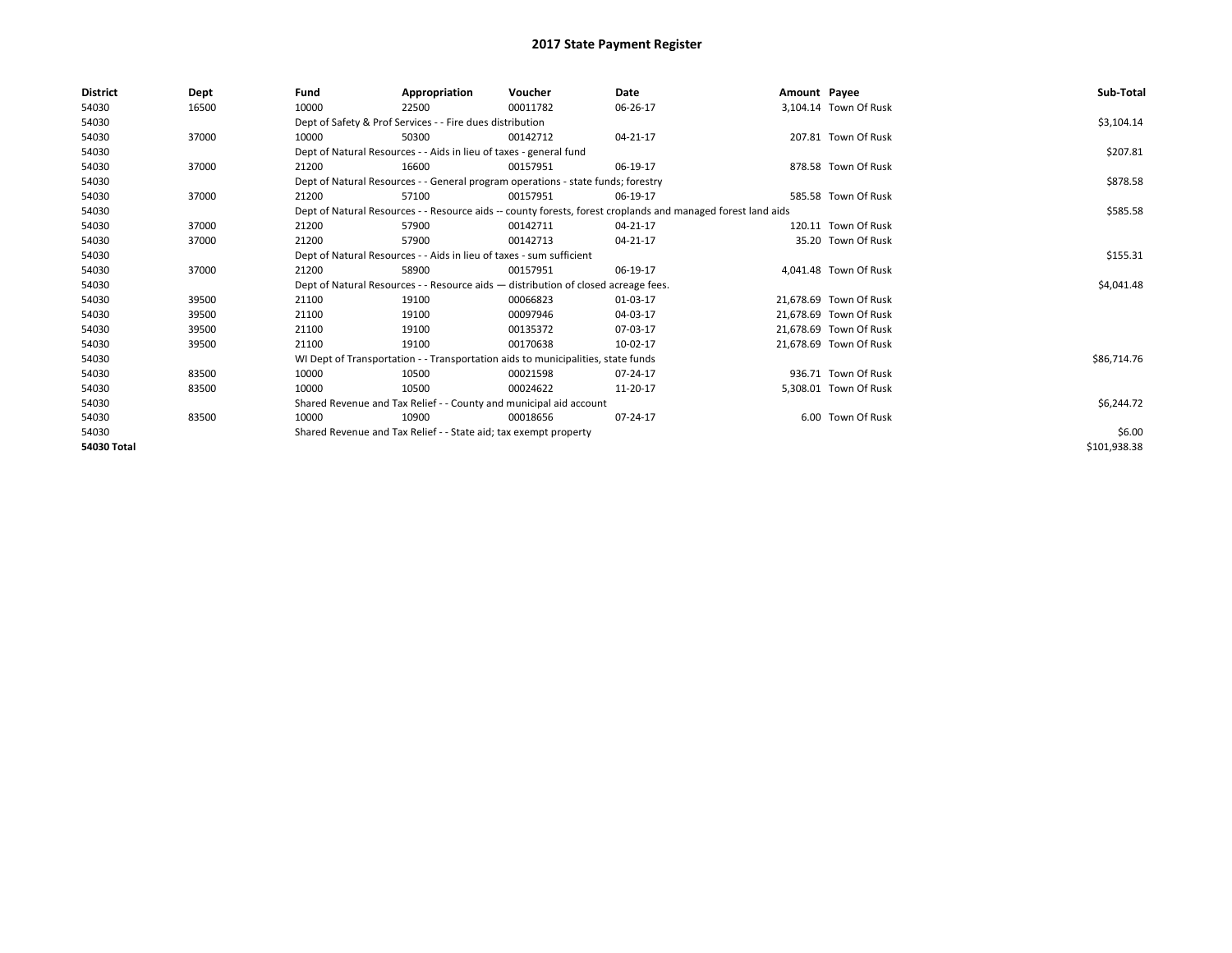| <b>District</b> | Dept  | Fund  | Appropriation                                                                      | Voucher  | Date                                                                                                         | Amount Payee |                        | Sub-Total    |
|-----------------|-------|-------|------------------------------------------------------------------------------------|----------|--------------------------------------------------------------------------------------------------------------|--------------|------------------------|--------------|
| 54030           | 16500 | 10000 | 22500                                                                              | 00011782 | 06-26-17                                                                                                     |              | 3,104.14 Town Of Rusk  |              |
| 54030           |       |       | Dept of Safety & Prof Services - - Fire dues distribution                          |          |                                                                                                              |              |                        | \$3,104.14   |
| 54030           | 37000 | 10000 | 50300                                                                              | 00142712 | 04-21-17                                                                                                     |              | 207.81 Town Of Rusk    |              |
| 54030           |       |       | Dept of Natural Resources - - Aids in lieu of taxes - general fund                 |          |                                                                                                              |              |                        | \$207.81     |
| 54030           | 37000 | 21200 | 16600                                                                              | 00157951 | 06-19-17                                                                                                     |              | 878.58 Town Of Rusk    |              |
| 54030           |       |       | Dept of Natural Resources - - General program operations - state funds; forestry   |          |                                                                                                              |              |                        | \$878.58     |
| 54030           | 37000 | 21200 | 57100                                                                              | 00157951 | 06-19-17                                                                                                     |              | 585.58 Town Of Rusk    |              |
| 54030           |       |       |                                                                                    |          | Dept of Natural Resources - - Resource aids -- county forests, forest croplands and managed forest land aids |              |                        | \$585.58     |
| 54030           | 37000 | 21200 | 57900                                                                              | 00142711 | 04-21-17                                                                                                     |              | 120.11 Town Of Rusk    |              |
| 54030           | 37000 | 21200 | 57900                                                                              | 00142713 | 04-21-17                                                                                                     |              | 35.20 Town Of Rusk     |              |
| 54030           |       |       | Dept of Natural Resources - - Aids in lieu of taxes - sum sufficient               |          |                                                                                                              |              |                        | \$155.31     |
| 54030           | 37000 | 21200 | 58900                                                                              | 00157951 | 06-19-17                                                                                                     |              | 4.041.48 Town Of Rusk  |              |
| 54030           |       |       | Dept of Natural Resources - - Resource aids - distribution of closed acreage fees. |          |                                                                                                              |              |                        | \$4,041.48   |
| 54030           | 39500 | 21100 | 19100                                                                              | 00066823 | 01-03-17                                                                                                     |              | 21,678.69 Town Of Rusk |              |
| 54030           | 39500 | 21100 | 19100                                                                              | 00097946 | 04-03-17                                                                                                     |              | 21,678.69 Town Of Rusk |              |
| 54030           | 39500 | 21100 | 19100                                                                              | 00135372 | 07-03-17                                                                                                     |              | 21,678.69 Town Of Rusk |              |
| 54030           | 39500 | 21100 | 19100                                                                              | 00170638 | 10-02-17                                                                                                     |              | 21,678.69 Town Of Rusk |              |
| 54030           |       |       | WI Dept of Transportation - - Transportation aids to municipalities, state funds   |          |                                                                                                              |              |                        | \$86,714.76  |
| 54030           | 83500 | 10000 | 10500                                                                              | 00021598 | 07-24-17                                                                                                     |              | 936.71 Town Of Rusk    |              |
| 54030           | 83500 | 10000 | 10500                                                                              | 00024622 | 11-20-17                                                                                                     |              | 5,308.01 Town Of Rusk  |              |
| 54030           |       |       | Shared Revenue and Tax Relief - - County and municipal aid account                 |          |                                                                                                              |              |                        | \$6,244.72   |
| 54030           | 83500 | 10000 | 10900                                                                              | 00018656 | 07-24-17                                                                                                     |              | 6.00 Town Of Rusk      |              |
| 54030           |       |       | Shared Revenue and Tax Relief - - State aid; tax exempt property                   |          |                                                                                                              |              |                        | \$6.00       |
| 54030 Total     |       |       |                                                                                    |          |                                                                                                              |              |                        | \$101,938.38 |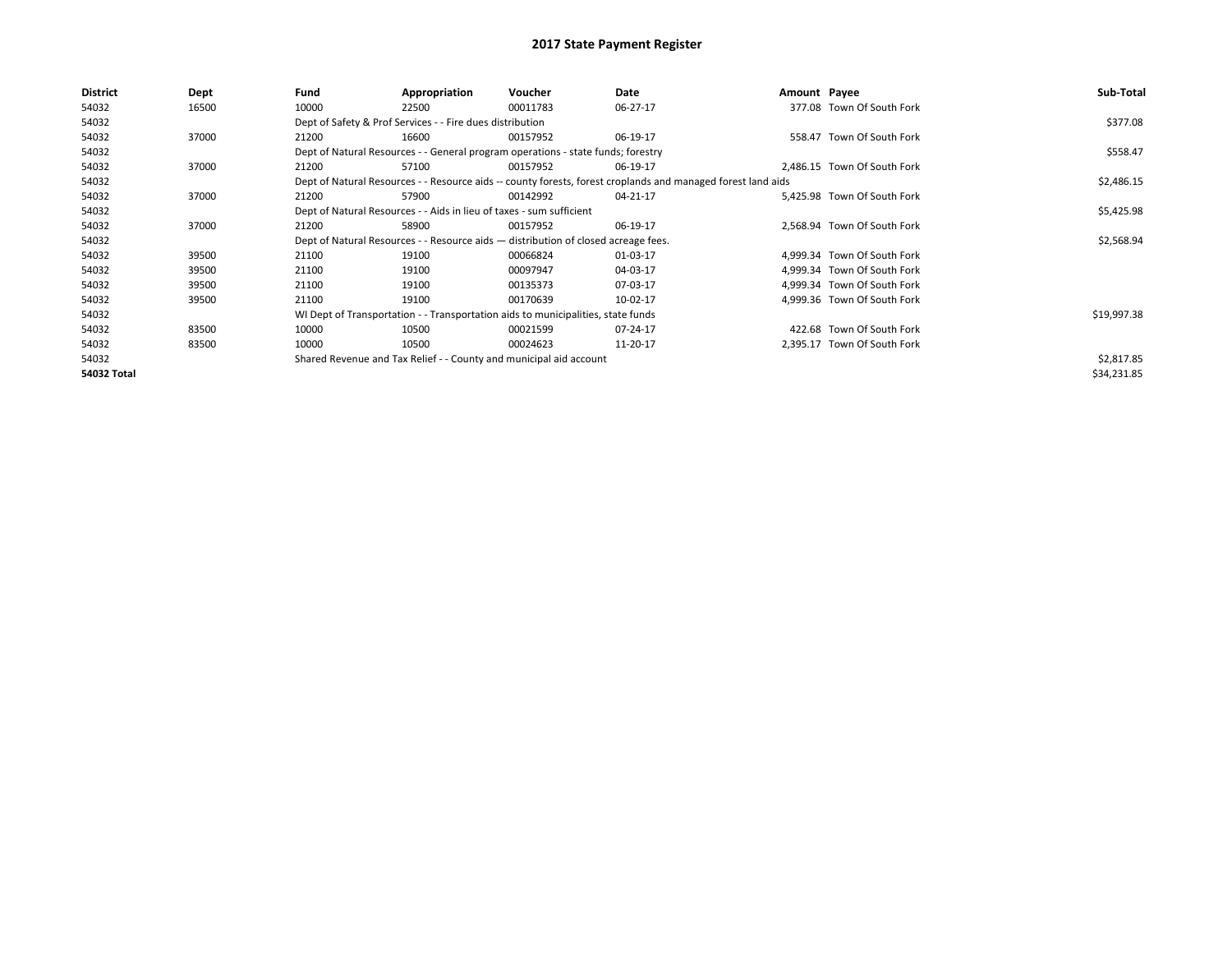| District    | Dept  | Fund  | Appropriation                                                                      | Voucher  | Date                                                                                                         | Amount Payee |                             | Sub-Total   |
|-------------|-------|-------|------------------------------------------------------------------------------------|----------|--------------------------------------------------------------------------------------------------------------|--------------|-----------------------------|-------------|
| 54032       | 16500 | 10000 | 22500                                                                              | 00011783 | 06-27-17                                                                                                     |              | 377.08 Town Of South Fork   |             |
| 54032       |       |       | Dept of Safety & Prof Services - - Fire dues distribution                          |          |                                                                                                              |              |                             | \$377.08    |
| 54032       | 37000 | 21200 | 16600                                                                              | 00157952 | 06-19-17                                                                                                     |              | 558.47 Town Of South Fork   |             |
| 54032       |       |       | Dept of Natural Resources - - General program operations - state funds; forestry   |          |                                                                                                              |              |                             | \$558.47    |
| 54032       | 37000 | 21200 | 57100                                                                              | 00157952 | 06-19-17                                                                                                     |              | 2,486.15 Town Of South Fork |             |
| 54032       |       |       |                                                                                    |          | Dept of Natural Resources - - Resource aids -- county forests, forest croplands and managed forest land aids |              |                             | \$2,486.15  |
| 54032       | 37000 | 21200 | 57900                                                                              | 00142992 | 04-21-17                                                                                                     |              | 5.425.98 Town Of South Fork |             |
| 54032       |       |       | Dept of Natural Resources - - Aids in lieu of taxes - sum sufficient               |          |                                                                                                              |              |                             | \$5,425.98  |
| 54032       | 37000 | 21200 | 58900                                                                              | 00157952 | 06-19-17                                                                                                     |              | 2.568.94 Town Of South Fork |             |
| 54032       |       |       | Dept of Natural Resources - - Resource aids - distribution of closed acreage fees. |          |                                                                                                              |              |                             | \$2,568.94  |
| 54032       | 39500 | 21100 | 19100                                                                              | 00066824 | 01-03-17                                                                                                     |              | 4,999.34 Town Of South Fork |             |
| 54032       | 39500 | 21100 | 19100                                                                              | 00097947 | 04-03-17                                                                                                     |              | 4,999.34 Town Of South Fork |             |
| 54032       | 39500 | 21100 | 19100                                                                              | 00135373 | 07-03-17                                                                                                     |              | 4,999.34 Town Of South Fork |             |
| 54032       | 39500 | 21100 | 19100                                                                              | 00170639 | 10-02-17                                                                                                     |              | 4.999.36 Town Of South Fork |             |
| 54032       |       |       | WI Dept of Transportation - - Transportation aids to municipalities, state funds   |          |                                                                                                              |              |                             | \$19,997.38 |
| 54032       | 83500 | 10000 | 10500                                                                              | 00021599 | 07-24-17                                                                                                     |              | 422.68 Town Of South Fork   |             |
| 54032       | 83500 | 10000 | 10500                                                                              | 00024623 | 11-20-17                                                                                                     |              | 2,395.17 Town Of South Fork |             |
| 54032       |       |       | Shared Revenue and Tax Relief - - County and municipal aid account                 |          |                                                                                                              |              |                             | \$2,817.85  |
| 54032 Total |       |       |                                                                                    |          |                                                                                                              |              |                             | \$34,231.85 |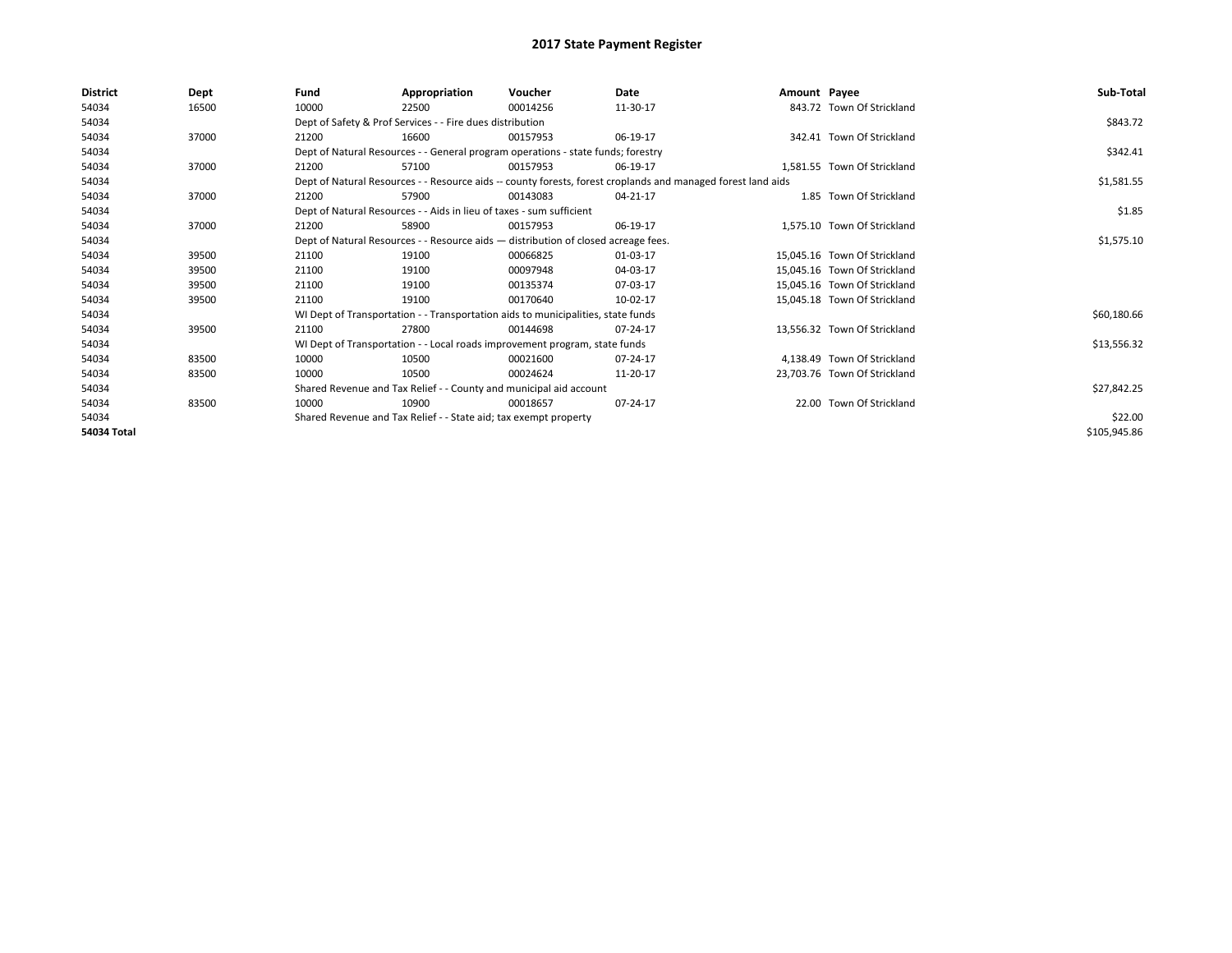| <b>District</b> | Dept  | Fund  | Appropriation                                                                      | Voucher  | Date                                                                                                         | Amount Payee |                              | Sub-Total    |
|-----------------|-------|-------|------------------------------------------------------------------------------------|----------|--------------------------------------------------------------------------------------------------------------|--------------|------------------------------|--------------|
| 54034           | 16500 | 10000 | 22500                                                                              | 00014256 | 11-30-17                                                                                                     |              | 843.72 Town Of Strickland    |              |
| 54034           |       |       | Dept of Safety & Prof Services - - Fire dues distribution                          |          |                                                                                                              |              |                              | \$843.72     |
| 54034           | 37000 | 21200 | 16600                                                                              | 00157953 | 06-19-17                                                                                                     |              | 342.41 Town Of Strickland    |              |
| 54034           |       |       | Dept of Natural Resources - - General program operations - state funds; forestry   |          |                                                                                                              |              |                              | \$342.41     |
| 54034           | 37000 | 21200 | 57100                                                                              | 00157953 | 06-19-17                                                                                                     |              | 1.581.55 Town Of Strickland  |              |
| 54034           |       |       |                                                                                    |          | Dept of Natural Resources - - Resource aids -- county forests, forest croplands and managed forest land aids |              |                              | \$1,581.55   |
| 54034           | 37000 | 21200 | 57900                                                                              | 00143083 | 04-21-17                                                                                                     |              | 1.85 Town Of Strickland      |              |
| 54034           |       |       | Dept of Natural Resources - - Aids in lieu of taxes - sum sufficient               |          |                                                                                                              |              |                              | \$1.85       |
| 54034           | 37000 | 21200 | 58900                                                                              | 00157953 | 06-19-17                                                                                                     |              | 1.575.10 Town Of Strickland  |              |
| 54034           |       |       | Dept of Natural Resources - - Resource aids - distribution of closed acreage fees. |          |                                                                                                              |              |                              | \$1,575.10   |
| 54034           | 39500 | 21100 | 19100                                                                              | 00066825 | 01-03-17                                                                                                     |              | 15.045.16 Town Of Strickland |              |
| 54034           | 39500 | 21100 | 19100                                                                              | 00097948 | 04-03-17                                                                                                     |              | 15.045.16 Town Of Strickland |              |
| 54034           | 39500 | 21100 | 19100                                                                              | 00135374 | 07-03-17                                                                                                     |              | 15,045.16 Town Of Strickland |              |
| 54034           | 39500 | 21100 | 19100                                                                              | 00170640 | 10-02-17                                                                                                     |              | 15,045.18 Town Of Strickland |              |
| 54034           |       |       | WI Dept of Transportation - - Transportation aids to municipalities, state funds   |          |                                                                                                              |              |                              | \$60,180.66  |
| 54034           | 39500 | 21100 | 27800                                                                              | 00144698 | 07-24-17                                                                                                     |              | 13,556.32 Town Of Strickland |              |
| 54034           |       |       | WI Dept of Transportation - - Local roads improvement program, state funds         |          |                                                                                                              |              |                              | \$13,556.32  |
| 54034           | 83500 | 10000 | 10500                                                                              | 00021600 | 07-24-17                                                                                                     |              | 4.138.49 Town Of Strickland  |              |
| 54034           | 83500 | 10000 | 10500                                                                              | 00024624 | 11-20-17                                                                                                     |              | 23,703.76 Town Of Strickland |              |
| 54034           |       |       | Shared Revenue and Tax Relief - - County and municipal aid account                 |          |                                                                                                              |              |                              | \$27,842.25  |
| 54034           | 83500 | 10000 | 10900                                                                              | 00018657 | 07-24-17                                                                                                     |              | 22.00 Town Of Strickland     |              |
| 54034           |       |       | Shared Revenue and Tax Relief - - State aid; tax exempt property                   |          |                                                                                                              |              |                              | \$22.00      |
| 54034 Total     |       |       |                                                                                    |          |                                                                                                              |              |                              | \$105,945.86 |
|                 |       |       |                                                                                    |          |                                                                                                              |              |                              |              |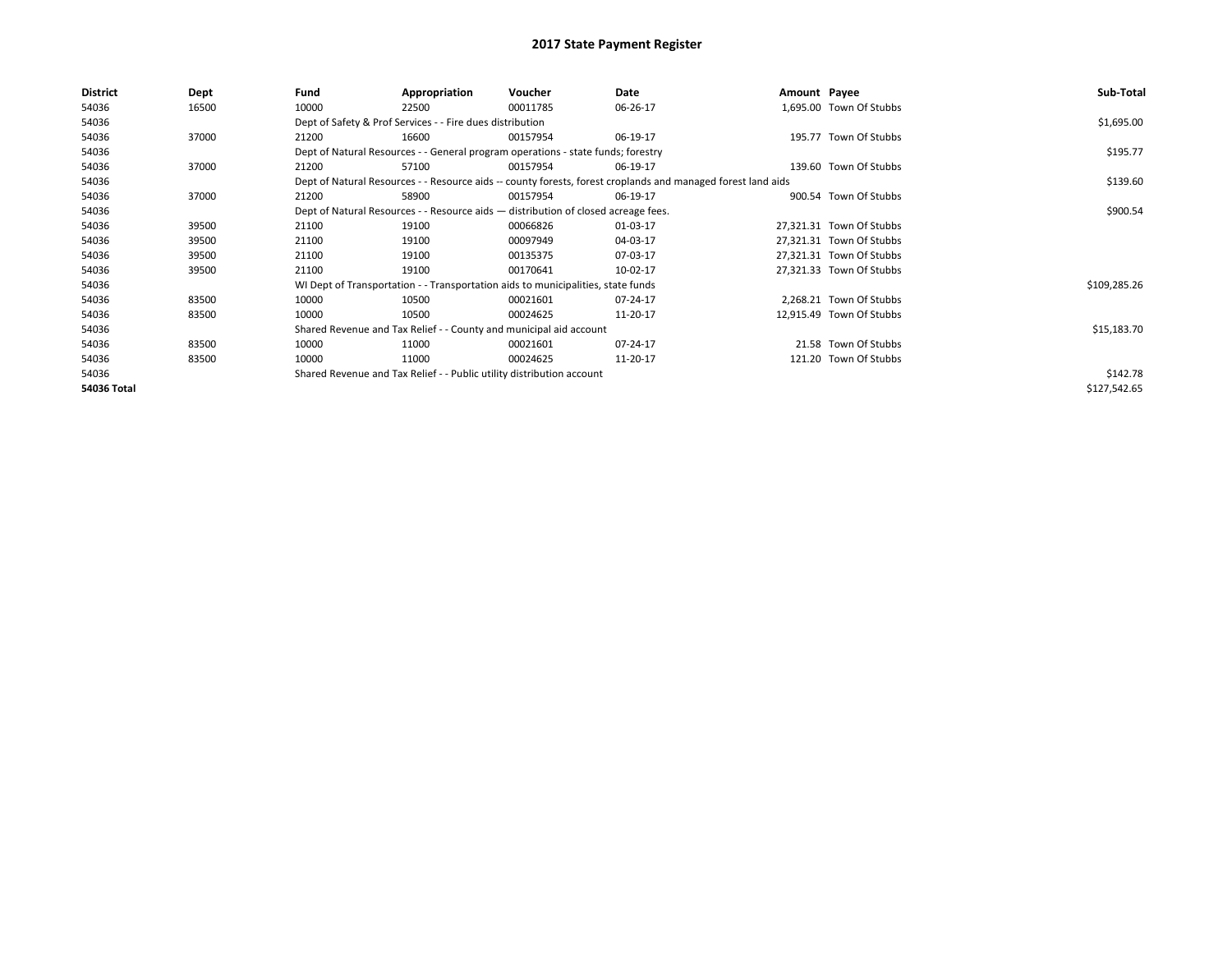| <b>District</b> | Dept  | Fund  | Appropriation                                                                      | Voucher  | Date                                                                                                         | Amount Payee |                          | Sub-Total    |
|-----------------|-------|-------|------------------------------------------------------------------------------------|----------|--------------------------------------------------------------------------------------------------------------|--------------|--------------------------|--------------|
| 54036           | 16500 | 10000 | 22500                                                                              | 00011785 | 06-26-17                                                                                                     |              | 1,695.00 Town Of Stubbs  |              |
| 54036           |       |       | Dept of Safety & Prof Services - - Fire dues distribution                          |          |                                                                                                              |              |                          | \$1,695.00   |
| 54036           | 37000 | 21200 | 16600                                                                              | 00157954 | 06-19-17                                                                                                     |              | 195.77 Town Of Stubbs    |              |
| 54036           |       |       | Dept of Natural Resources - - General program operations - state funds; forestry   |          |                                                                                                              |              |                          | \$195.77     |
| 54036           | 37000 | 21200 | 57100                                                                              | 00157954 | 06-19-17                                                                                                     |              | 139.60 Town Of Stubbs    |              |
| 54036           |       |       |                                                                                    |          | Dept of Natural Resources - - Resource aids -- county forests, forest croplands and managed forest land aids |              |                          | \$139.60     |
| 54036           | 37000 | 21200 | 58900                                                                              | 00157954 | 06-19-17                                                                                                     |              | 900.54 Town Of Stubbs    |              |
| 54036           |       |       | Dept of Natural Resources - - Resource aids - distribution of closed acreage fees. |          |                                                                                                              |              |                          | \$900.54     |
| 54036           | 39500 | 21100 | 19100                                                                              | 00066826 | 01-03-17                                                                                                     |              | 27,321.31 Town Of Stubbs |              |
| 54036           | 39500 | 21100 | 19100                                                                              | 00097949 | 04-03-17                                                                                                     |              | 27,321.31 Town Of Stubbs |              |
| 54036           | 39500 | 21100 | 19100                                                                              | 00135375 | 07-03-17                                                                                                     |              | 27,321.31 Town Of Stubbs |              |
| 54036           | 39500 | 21100 | 19100                                                                              | 00170641 | 10-02-17                                                                                                     |              | 27,321.33 Town Of Stubbs |              |
| 54036           |       |       | WI Dept of Transportation - - Transportation aids to municipalities, state funds   |          |                                                                                                              |              |                          | \$109,285.26 |
| 54036           | 83500 | 10000 | 10500                                                                              | 00021601 | 07-24-17                                                                                                     |              | 2,268.21 Town Of Stubbs  |              |
| 54036           | 83500 | 10000 | 10500                                                                              | 00024625 | 11-20-17                                                                                                     |              | 12,915.49 Town Of Stubbs |              |
| 54036           |       |       | Shared Revenue and Tax Relief - - County and municipal aid account                 |          |                                                                                                              |              |                          | \$15,183.70  |
| 54036           | 83500 | 10000 | 11000                                                                              | 00021601 | 07-24-17                                                                                                     |              | 21.58 Town Of Stubbs     |              |
| 54036           | 83500 | 10000 | 11000                                                                              | 00024625 | 11-20-17                                                                                                     |              | 121.20 Town Of Stubbs    |              |
| 54036           |       |       | Shared Revenue and Tax Relief - - Public utility distribution account              |          |                                                                                                              |              |                          | \$142.78     |
| 54036 Total     |       |       |                                                                                    |          |                                                                                                              |              |                          | \$127,542.65 |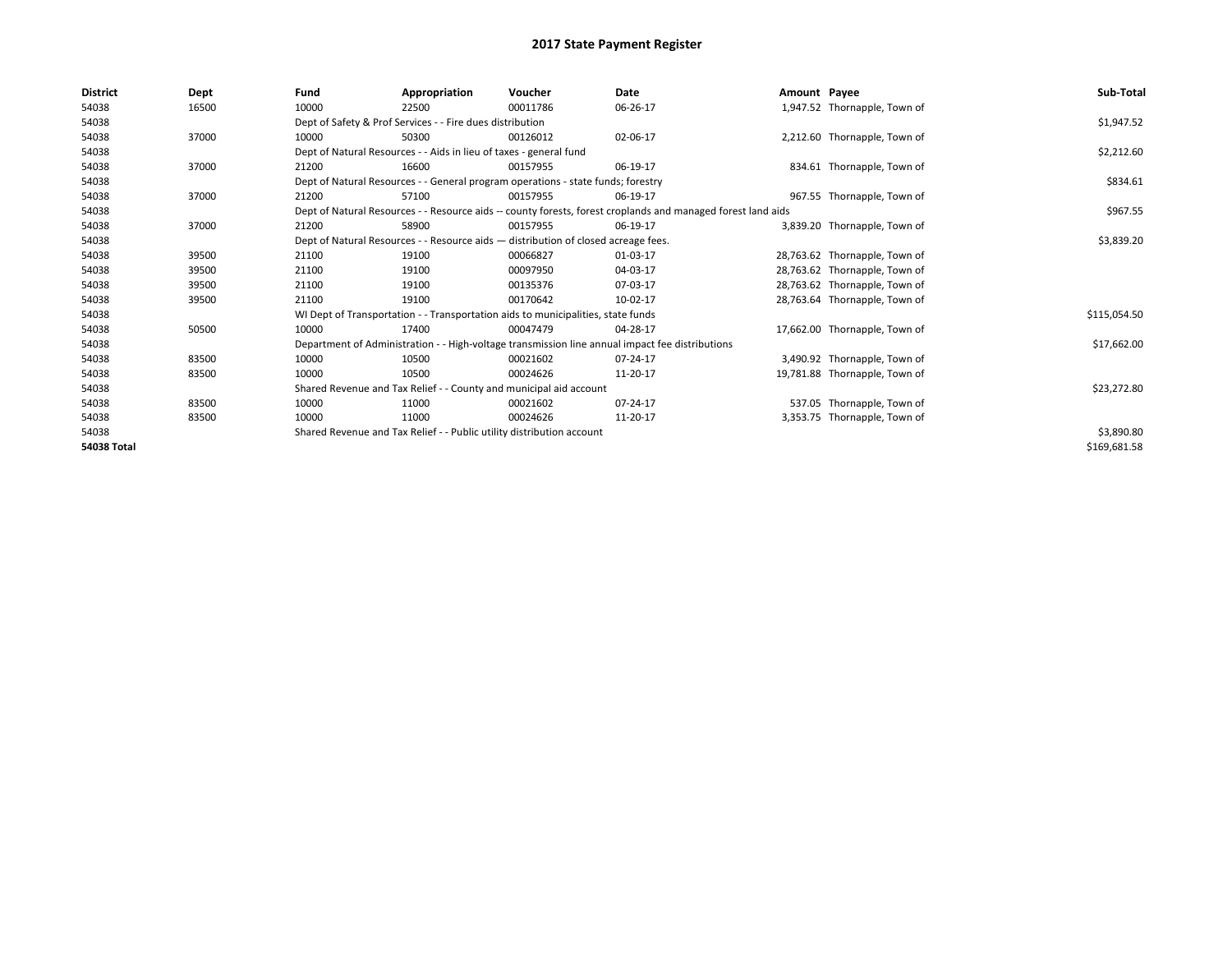| <b>District</b>    | Dept  | Fund  | Appropriation                                                         | Voucher                                                                            | Date                                                                                                         | Amount Payee |                               | Sub-Total    |
|--------------------|-------|-------|-----------------------------------------------------------------------|------------------------------------------------------------------------------------|--------------------------------------------------------------------------------------------------------------|--------------|-------------------------------|--------------|
| 54038              | 16500 | 10000 | 22500                                                                 | 00011786                                                                           | 06-26-17                                                                                                     |              | 1,947.52 Thornapple, Town of  |              |
| 54038              |       |       | Dept of Safety & Prof Services - - Fire dues distribution             |                                                                                    |                                                                                                              |              |                               | \$1,947.52   |
| 54038              | 37000 | 10000 | 50300                                                                 | 00126012                                                                           | 02-06-17                                                                                                     |              | 2,212.60 Thornapple, Town of  |              |
| 54038              |       |       | Dept of Natural Resources - - Aids in lieu of taxes - general fund    |                                                                                    |                                                                                                              |              |                               | \$2,212.60   |
| 54038              | 37000 | 21200 | 16600                                                                 | 00157955                                                                           | 06-19-17                                                                                                     |              | 834.61 Thornapple, Town of    |              |
| 54038              |       |       |                                                                       | Dept of Natural Resources - - General program operations - state funds; forestry   |                                                                                                              |              |                               | \$834.61     |
| 54038              | 37000 | 21200 | 57100                                                                 | 00157955                                                                           | 06-19-17                                                                                                     |              | 967.55 Thornapple, Town of    |              |
| 54038              |       |       |                                                                       |                                                                                    | Dept of Natural Resources - - Resource aids -- county forests, forest croplands and managed forest land aids |              |                               | \$967.55     |
| 54038              | 37000 | 21200 | 58900                                                                 | 00157955                                                                           | 06-19-17                                                                                                     |              | 3,839.20 Thornapple, Town of  |              |
| 54038              |       |       |                                                                       | Dept of Natural Resources - - Resource aids - distribution of closed acreage fees. |                                                                                                              |              |                               | \$3,839.20   |
| 54038              | 39500 | 21100 | 19100                                                                 | 00066827                                                                           | 01-03-17                                                                                                     |              | 28,763.62 Thornapple, Town of |              |
| 54038              | 39500 | 21100 | 19100                                                                 | 00097950                                                                           | 04-03-17                                                                                                     |              | 28,763.62 Thornapple, Town of |              |
| 54038              | 39500 | 21100 | 19100                                                                 | 00135376                                                                           | 07-03-17                                                                                                     |              | 28,763.62 Thornapple, Town of |              |
| 54038              | 39500 | 21100 | 19100                                                                 | 00170642                                                                           | 10-02-17                                                                                                     |              | 28,763.64 Thornapple, Town of |              |
| 54038              |       |       |                                                                       | WI Dept of Transportation - - Transportation aids to municipalities, state funds   |                                                                                                              |              |                               | \$115,054.50 |
| 54038              | 50500 | 10000 | 17400                                                                 | 00047479                                                                           | 04-28-17                                                                                                     |              | 17,662.00 Thornapple, Town of |              |
| 54038              |       |       |                                                                       |                                                                                    | Department of Administration - - High-voltage transmission line annual impact fee distributions              |              |                               | \$17,662.00  |
| 54038              | 83500 | 10000 | 10500                                                                 | 00021602                                                                           | 07-24-17                                                                                                     |              | 3,490.92 Thornapple, Town of  |              |
| 54038              | 83500 | 10000 | 10500                                                                 | 00024626                                                                           | 11-20-17                                                                                                     |              | 19,781.88 Thornapple, Town of |              |
| 54038              |       |       | Shared Revenue and Tax Relief - - County and municipal aid account    |                                                                                    |                                                                                                              |              |                               | \$23,272.80  |
| 54038              | 83500 | 10000 | 11000                                                                 | 00021602                                                                           | 07-24-17                                                                                                     |              | 537.05 Thornapple, Town of    |              |
| 54038              | 83500 | 10000 | 11000                                                                 | 00024626                                                                           | 11-20-17                                                                                                     |              | 3,353.75 Thornapple, Town of  |              |
| 54038              |       |       | Shared Revenue and Tax Relief - - Public utility distribution account |                                                                                    |                                                                                                              |              |                               | \$3,890.80   |
| <b>54038 Total</b> |       |       |                                                                       |                                                                                    |                                                                                                              |              |                               | \$169,681.58 |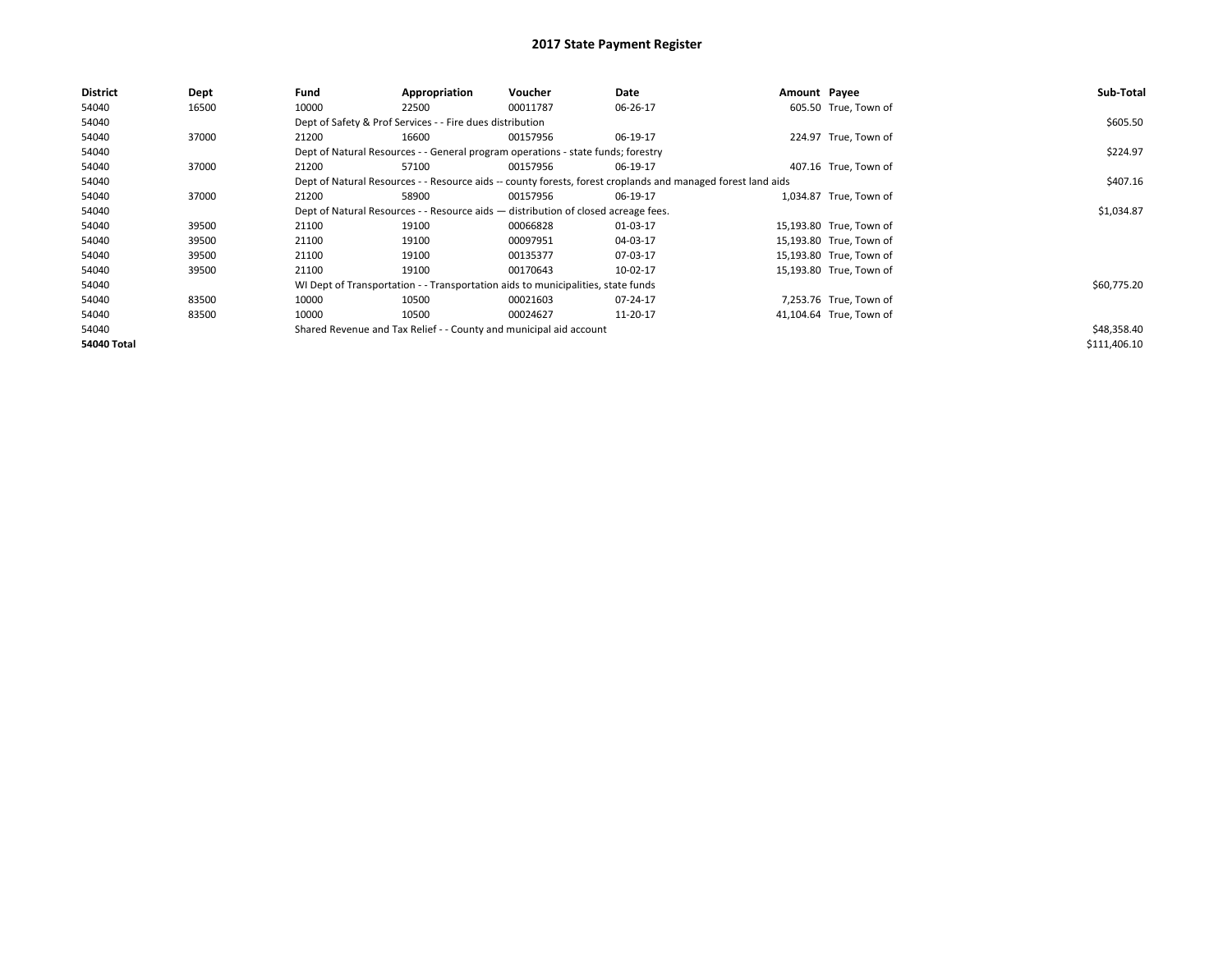| <b>District</b>    | Dept  | Fund  | Appropriation                                             | <b>Voucher</b>                                                                     | Date                                                                                                         | Amount Payee |                         | Sub-Total    |
|--------------------|-------|-------|-----------------------------------------------------------|------------------------------------------------------------------------------------|--------------------------------------------------------------------------------------------------------------|--------------|-------------------------|--------------|
| 54040              | 16500 | 10000 | 22500                                                     | 00011787                                                                           | 06-26-17                                                                                                     |              | 605.50 True, Town of    |              |
| 54040              |       |       | Dept of Safety & Prof Services - - Fire dues distribution |                                                                                    |                                                                                                              |              |                         | \$605.50     |
| 54040              | 37000 | 21200 | 16600                                                     | 00157956                                                                           | 06-19-17                                                                                                     |              | 224.97 True, Town of    |              |
| 54040              |       |       |                                                           | Dept of Natural Resources - - General program operations - state funds; forestry   |                                                                                                              |              |                         | \$224.97     |
| 54040              | 37000 | 21200 | 57100                                                     | 00157956                                                                           | 06-19-17                                                                                                     |              | 407.16 True, Town of    |              |
| 54040              |       |       |                                                           |                                                                                    | Dept of Natural Resources - - Resource aids -- county forests, forest croplands and managed forest land aids |              |                         | \$407.16     |
| 54040              | 37000 | 21200 | 58900                                                     | 00157956                                                                           | 06-19-17                                                                                                     |              | 1,034.87 True, Town of  |              |
| 54040              |       |       |                                                           | Dept of Natural Resources - - Resource aids - distribution of closed acreage fees. |                                                                                                              |              |                         | \$1,034.87   |
| 54040              | 39500 | 21100 | 19100                                                     | 00066828                                                                           | 01-03-17                                                                                                     |              | 15,193.80 True, Town of |              |
| 54040              | 39500 | 21100 | 19100                                                     | 00097951                                                                           | 04-03-17                                                                                                     |              | 15,193.80 True, Town of |              |
| 54040              | 39500 | 21100 | 19100                                                     | 00135377                                                                           | 07-03-17                                                                                                     |              | 15,193.80 True, Town of |              |
| 54040              | 39500 | 21100 | 19100                                                     | 00170643                                                                           | 10-02-17                                                                                                     |              | 15,193.80 True, Town of |              |
| 54040              |       |       |                                                           | WI Dept of Transportation - - Transportation aids to municipalities, state funds   |                                                                                                              |              |                         | \$60,775.20  |
| 54040              | 83500 | 10000 | 10500                                                     | 00021603                                                                           | 07-24-17                                                                                                     |              | 7,253.76 True, Town of  |              |
| 54040              | 83500 | 10000 | 10500                                                     | 00024627                                                                           | 11-20-17                                                                                                     |              | 41,104.64 True, Town of |              |
| 54040              |       |       |                                                           | Shared Revenue and Tax Relief - - County and municipal aid account                 |                                                                                                              |              |                         | \$48,358.40  |
| <b>54040 Total</b> |       |       |                                                           |                                                                                    |                                                                                                              |              |                         | \$111,406.10 |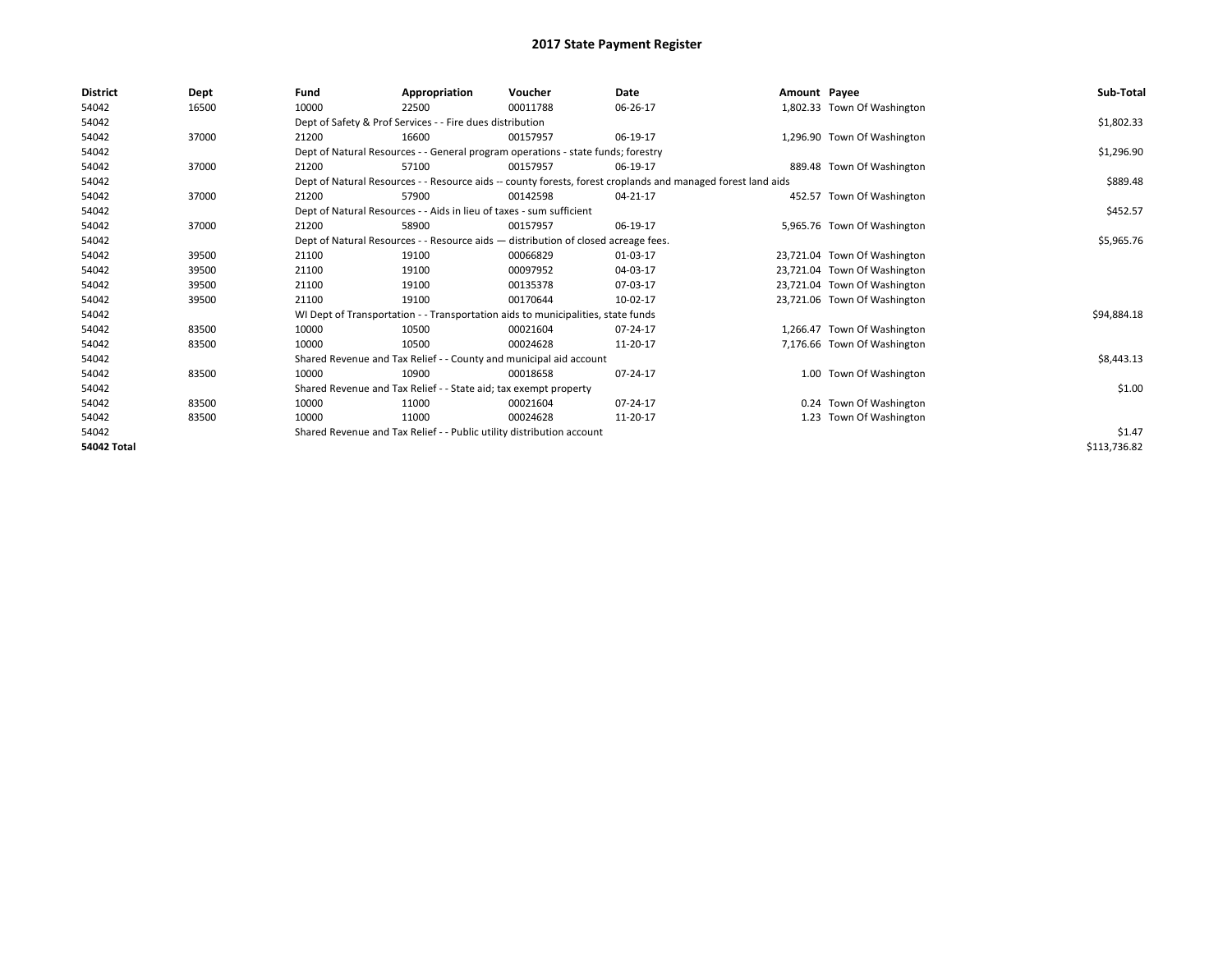| <b>District</b>    | Dept  | Fund  | Appropriation                                                                                                | Voucher  | Date     | Amount Payee |                              | Sub-Total    |
|--------------------|-------|-------|--------------------------------------------------------------------------------------------------------------|----------|----------|--------------|------------------------------|--------------|
| 54042              | 16500 | 10000 | 22500                                                                                                        | 00011788 | 06-26-17 |              | 1,802.33 Town Of Washington  |              |
| 54042              |       |       | Dept of Safety & Prof Services - - Fire dues distribution                                                    |          |          |              |                              | \$1,802.33   |
| 54042              | 37000 | 21200 | 16600                                                                                                        | 00157957 | 06-19-17 |              | 1,296.90 Town Of Washington  |              |
| 54042              |       |       | Dept of Natural Resources - - General program operations - state funds; forestry                             |          |          |              |                              | \$1,296.90   |
| 54042              | 37000 | 21200 | 57100                                                                                                        | 00157957 | 06-19-17 |              | 889.48 Town Of Washington    |              |
| 54042              |       |       | Dept of Natural Resources - - Resource aids -- county forests, forest croplands and managed forest land aids |          |          |              |                              | \$889.48     |
| 54042              | 37000 | 21200 | 57900                                                                                                        | 00142598 | 04-21-17 |              | 452.57 Town Of Washington    |              |
| 54042              |       |       | Dept of Natural Resources - - Aids in lieu of taxes - sum sufficient                                         |          |          |              |                              | \$452.57     |
| 54042              | 37000 | 21200 | 58900                                                                                                        | 00157957 | 06-19-17 |              | 5,965.76 Town Of Washington  |              |
| 54042              |       |       | Dept of Natural Resources - - Resource aids - distribution of closed acreage fees.                           |          |          |              |                              | \$5,965.76   |
| 54042              | 39500 | 21100 | 19100                                                                                                        | 00066829 | 01-03-17 |              | 23,721.04 Town Of Washington |              |
| 54042              | 39500 | 21100 | 19100                                                                                                        | 00097952 | 04-03-17 |              | 23,721.04 Town Of Washington |              |
| 54042              | 39500 | 21100 | 19100                                                                                                        | 00135378 | 07-03-17 |              | 23,721.04 Town Of Washington |              |
| 54042              | 39500 | 21100 | 19100                                                                                                        | 00170644 | 10-02-17 |              | 23,721.06 Town Of Washington |              |
| 54042              |       |       | WI Dept of Transportation - - Transportation aids to municipalities, state funds                             |          |          |              |                              | \$94,884.18  |
| 54042              | 83500 | 10000 | 10500                                                                                                        | 00021604 | 07-24-17 |              | 1,266.47 Town Of Washington  |              |
| 54042              | 83500 | 10000 | 10500                                                                                                        | 00024628 | 11-20-17 |              | 7,176.66 Town Of Washington  |              |
| 54042              |       |       | Shared Revenue and Tax Relief - - County and municipal aid account                                           |          |          |              |                              | \$8,443.13   |
| 54042              | 83500 | 10000 | 10900                                                                                                        | 00018658 | 07-24-17 |              | 1.00 Town Of Washington      |              |
| 54042              |       |       | Shared Revenue and Tax Relief - - State aid; tax exempt property                                             |          |          |              |                              | \$1.00       |
| 54042              | 83500 | 10000 | 11000                                                                                                        | 00021604 | 07-24-17 |              | 0.24 Town Of Washington      |              |
| 54042              | 83500 | 10000 | 11000                                                                                                        | 00024628 | 11-20-17 |              | 1.23 Town Of Washington      |              |
| 54042              |       |       | Shared Revenue and Tax Relief - - Public utility distribution account                                        |          |          |              |                              | \$1.47       |
| <b>54042 Total</b> |       |       |                                                                                                              |          |          |              |                              | \$113,736.82 |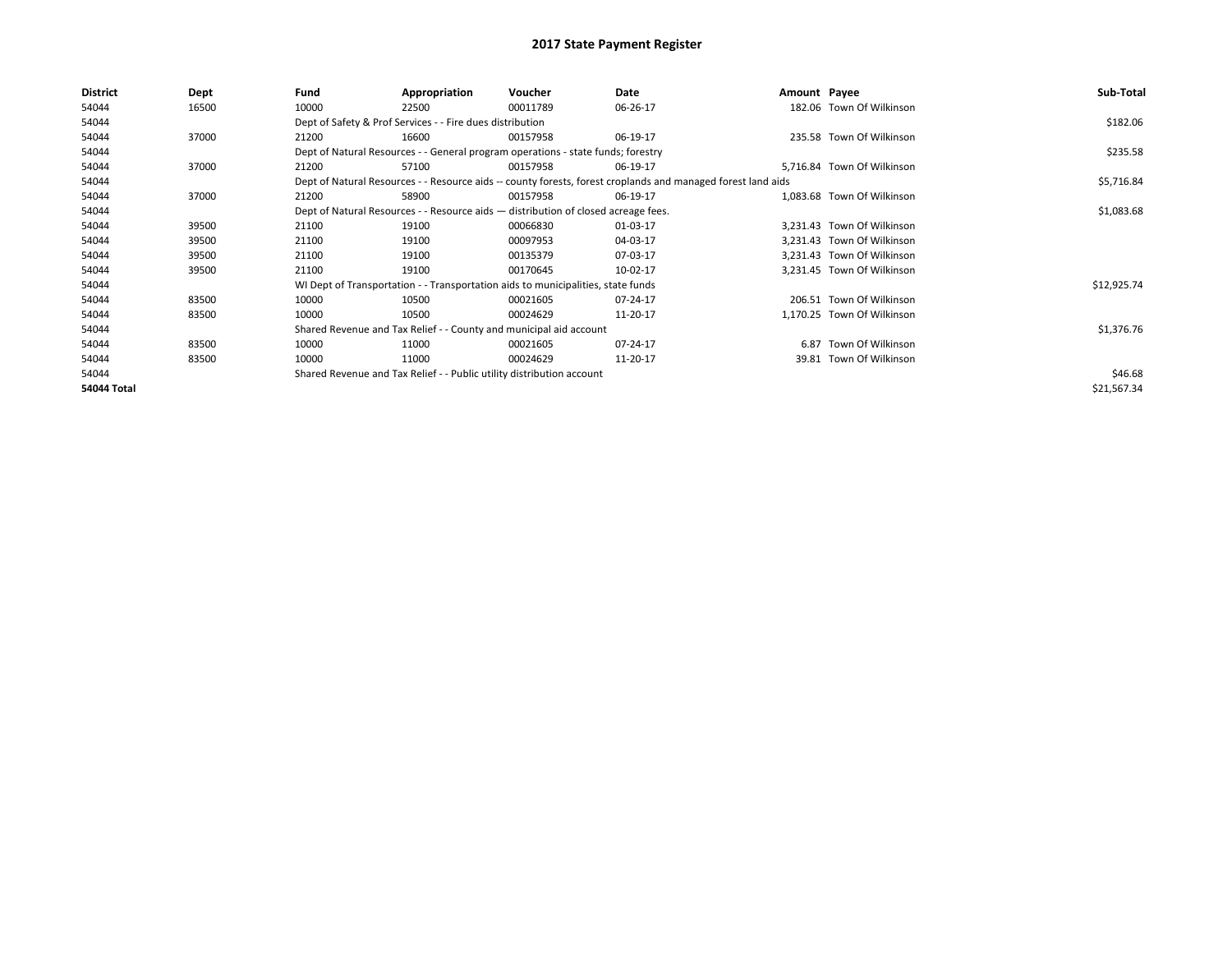| District           | Dept  | Fund  | Appropriation                                                                      | Voucher  | Date                                                                                                         | Amount Payee |                            | Sub-Total   |
|--------------------|-------|-------|------------------------------------------------------------------------------------|----------|--------------------------------------------------------------------------------------------------------------|--------------|----------------------------|-------------|
| 54044              | 16500 | 10000 | 22500                                                                              | 00011789 | 06-26-17                                                                                                     |              | 182.06 Town Of Wilkinson   |             |
| 54044              |       |       | Dept of Safety & Prof Services - - Fire dues distribution                          |          |                                                                                                              |              |                            | \$182.06    |
| 54044              | 37000 | 21200 | 16600                                                                              | 00157958 | 06-19-17                                                                                                     |              | 235.58 Town Of Wilkinson   |             |
| 54044              |       |       | Dept of Natural Resources - - General program operations - state funds; forestry   |          |                                                                                                              |              |                            | \$235.58    |
| 54044              | 37000 | 21200 | 57100                                                                              | 00157958 | 06-19-17                                                                                                     |              | 5,716.84 Town Of Wilkinson |             |
| 54044              |       |       |                                                                                    |          | Dept of Natural Resources - - Resource aids -- county forests, forest croplands and managed forest land aids |              |                            | \$5,716.84  |
| 54044              | 37000 | 21200 | 58900                                                                              | 00157958 | 06-19-17                                                                                                     |              | 1,083.68 Town Of Wilkinson |             |
| 54044              |       |       | Dept of Natural Resources - - Resource aids - distribution of closed acreage fees. |          |                                                                                                              |              |                            | \$1,083.68  |
| 54044              | 39500 | 21100 | 19100                                                                              | 00066830 | 01-03-17                                                                                                     |              | 3.231.43 Town Of Wilkinson |             |
| 54044              | 39500 | 21100 | 19100                                                                              | 00097953 | 04-03-17                                                                                                     |              | 3,231.43 Town Of Wilkinson |             |
| 54044              | 39500 | 21100 | 19100                                                                              | 00135379 | 07-03-17                                                                                                     |              | 3,231.43 Town Of Wilkinson |             |
| 54044              | 39500 | 21100 | 19100                                                                              | 00170645 | 10-02-17                                                                                                     |              | 3,231.45 Town Of Wilkinson |             |
| 54044              |       |       | WI Dept of Transportation - - Transportation aids to municipalities, state funds   |          |                                                                                                              |              |                            | \$12,925.74 |
| 54044              | 83500 | 10000 | 10500                                                                              | 00021605 | 07-24-17                                                                                                     |              | 206.51 Town Of Wilkinson   |             |
| 54044              | 83500 | 10000 | 10500                                                                              | 00024629 | 11-20-17                                                                                                     |              | 1,170.25 Town Of Wilkinson |             |
| 54044              |       |       | Shared Revenue and Tax Relief - - County and municipal aid account                 |          |                                                                                                              |              |                            | \$1,376.76  |
| 54044              | 83500 | 10000 | 11000                                                                              | 00021605 | 07-24-17                                                                                                     |              | 6.87 Town Of Wilkinson     |             |
| 54044              | 83500 | 10000 | 11000                                                                              | 00024629 | 11-20-17                                                                                                     |              | 39.81 Town Of Wilkinson    |             |
| 54044              |       |       | Shared Revenue and Tax Relief - - Public utility distribution account              |          |                                                                                                              |              |                            | \$46.68     |
| <b>54044 Total</b> |       |       |                                                                                    |          |                                                                                                              |              |                            | \$21,567.34 |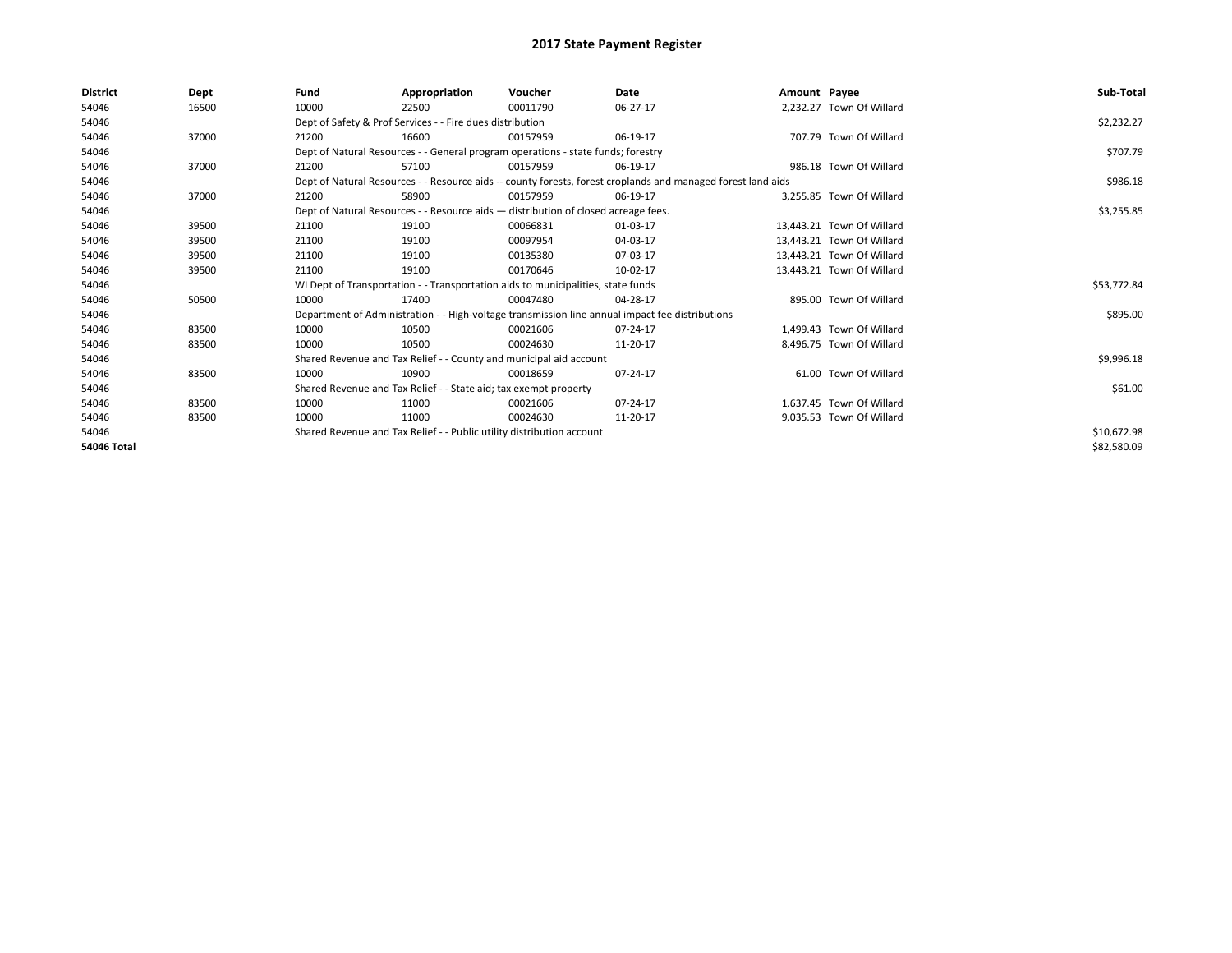| <b>District</b>    | Dept  | Fund  | Appropriation                                                                      | Voucher  | Date                                                                                                         | Amount Payee |                           | Sub-Total   |
|--------------------|-------|-------|------------------------------------------------------------------------------------|----------|--------------------------------------------------------------------------------------------------------------|--------------|---------------------------|-------------|
| 54046              | 16500 | 10000 | 22500                                                                              | 00011790 | 06-27-17                                                                                                     |              | 2,232.27 Town Of Willard  |             |
| 54046              |       |       | Dept of Safety & Prof Services - - Fire dues distribution                          |          |                                                                                                              |              |                           | \$2,232.27  |
| 54046              | 37000 | 21200 | 16600                                                                              | 00157959 | 06-19-17                                                                                                     |              | 707.79 Town Of Willard    |             |
| 54046              |       |       | Dept of Natural Resources - - General program operations - state funds; forestry   |          |                                                                                                              |              |                           | \$707.79    |
| 54046              | 37000 | 21200 | 57100                                                                              | 00157959 | 06-19-17                                                                                                     |              | 986.18 Town Of Willard    |             |
| 54046              |       |       |                                                                                    |          | Dept of Natural Resources - - Resource aids -- county forests, forest croplands and managed forest land aids |              |                           | \$986.18    |
| 54046              | 37000 | 21200 | 58900                                                                              | 00157959 | 06-19-17                                                                                                     |              | 3,255.85 Town Of Willard  |             |
| 54046              |       |       | Dept of Natural Resources - - Resource aids - distribution of closed acreage fees. |          |                                                                                                              |              |                           | \$3,255.85  |
| 54046              | 39500 | 21100 | 19100                                                                              | 00066831 | 01-03-17                                                                                                     |              | 13.443.21 Town Of Willard |             |
| 54046              | 39500 | 21100 | 19100                                                                              | 00097954 | 04-03-17                                                                                                     |              | 13.443.21 Town Of Willard |             |
| 54046              | 39500 | 21100 | 19100                                                                              | 00135380 | 07-03-17                                                                                                     |              | 13,443.21 Town Of Willard |             |
| 54046              | 39500 | 21100 | 19100                                                                              | 00170646 | 10-02-17                                                                                                     |              | 13.443.21 Town Of Willard |             |
| 54046              |       |       | WI Dept of Transportation - - Transportation aids to municipalities, state funds   |          |                                                                                                              |              |                           | \$53,772.84 |
| 54046              | 50500 | 10000 | 17400                                                                              | 00047480 | 04-28-17                                                                                                     |              | 895.00 Town Of Willard    |             |
| 54046              |       |       |                                                                                    |          | Department of Administration - - High-voltage transmission line annual impact fee distributions              |              |                           | \$895.00    |
| 54046              | 83500 | 10000 | 10500                                                                              | 00021606 | 07-24-17                                                                                                     |              | 1.499.43 Town Of Willard  |             |
| 54046              | 83500 | 10000 | 10500                                                                              | 00024630 | 11-20-17                                                                                                     |              | 8.496.75 Town Of Willard  |             |
| 54046              |       |       | Shared Revenue and Tax Relief - - County and municipal aid account                 |          |                                                                                                              |              |                           | \$9,996.18  |
| 54046              | 83500 | 10000 | 10900                                                                              | 00018659 | 07-24-17                                                                                                     |              | 61.00 Town Of Willard     |             |
| 54046              |       |       | Shared Revenue and Tax Relief - - State aid; tax exempt property                   |          |                                                                                                              |              |                           | \$61.00     |
| 54046              | 83500 | 10000 | 11000                                                                              | 00021606 | 07-24-17                                                                                                     |              | 1.637.45 Town Of Willard  |             |
| 54046              | 83500 | 10000 | 11000                                                                              | 00024630 | 11-20-17                                                                                                     |              | 9,035.53 Town Of Willard  |             |
| 54046              |       |       | Shared Revenue and Tax Relief - - Public utility distribution account              |          |                                                                                                              |              |                           | \$10,672.98 |
| <b>54046 Total</b> |       |       |                                                                                    |          |                                                                                                              |              |                           | \$82,580.09 |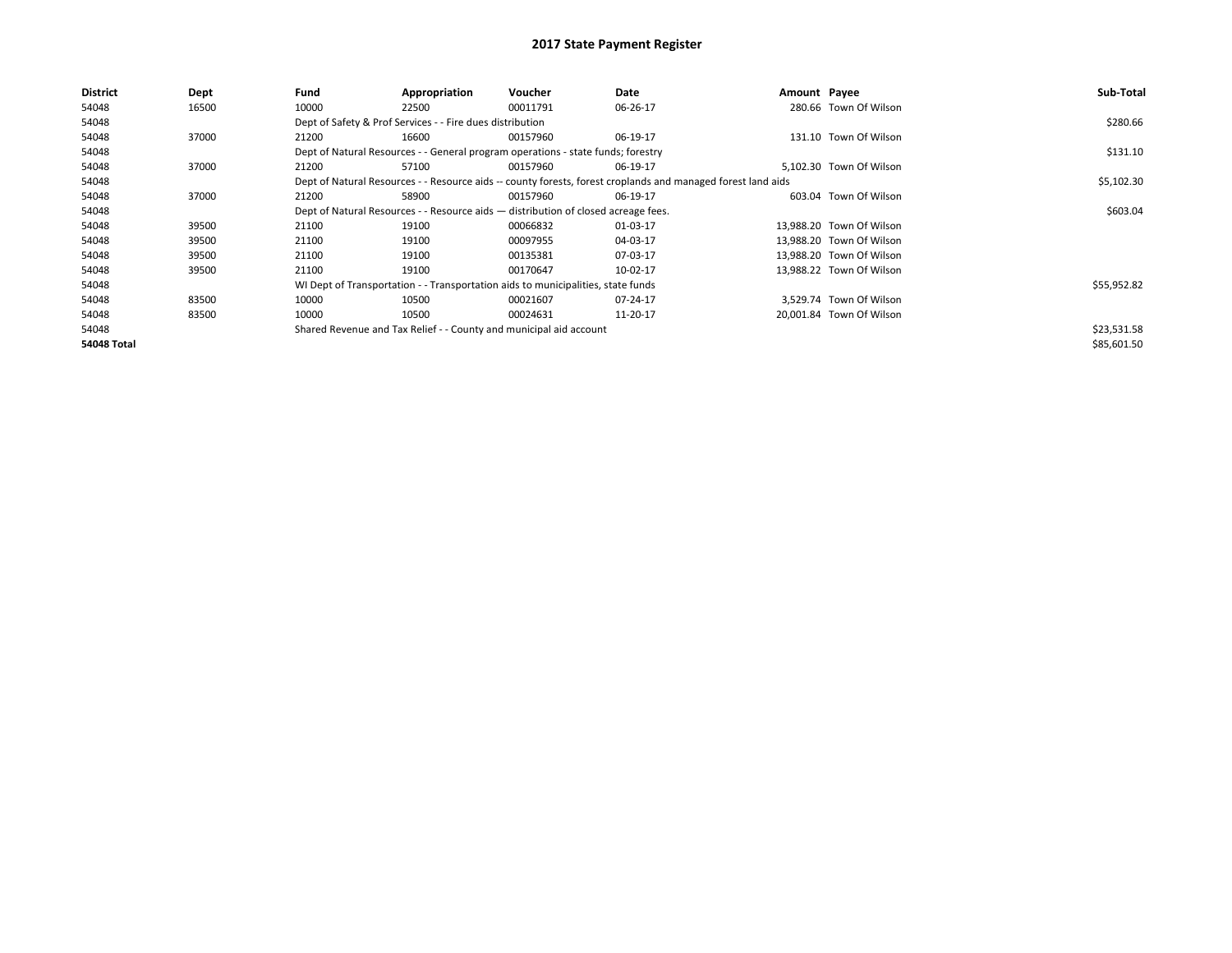| <b>District</b>    | Dept  | Fund  | Appropriation                                             | <b>Voucher</b>                                                                     | Date                                                                                                         | Amount Payee |                          | Sub-Total   |
|--------------------|-------|-------|-----------------------------------------------------------|------------------------------------------------------------------------------------|--------------------------------------------------------------------------------------------------------------|--------------|--------------------------|-------------|
| 54048              | 16500 | 10000 | 22500                                                     | 00011791                                                                           | 06-26-17                                                                                                     |              | 280.66 Town Of Wilson    |             |
| 54048              |       |       | Dept of Safety & Prof Services - - Fire dues distribution |                                                                                    |                                                                                                              |              |                          | \$280.66    |
| 54048              | 37000 | 21200 | 16600                                                     | 00157960                                                                           | 06-19-17                                                                                                     |              | 131.10 Town Of Wilson    |             |
| 54048              |       |       |                                                           | Dept of Natural Resources - - General program operations - state funds; forestry   |                                                                                                              |              |                          | \$131.10    |
| 54048              | 37000 | 21200 | 57100                                                     | 00157960                                                                           | 06-19-17                                                                                                     |              | 5,102.30 Town Of Wilson  |             |
| 54048              |       |       |                                                           |                                                                                    | Dept of Natural Resources - - Resource aids -- county forests, forest croplands and managed forest land aids |              |                          | \$5,102.30  |
| 54048              | 37000 | 21200 | 58900                                                     | 00157960                                                                           | 06-19-17                                                                                                     |              | 603.04 Town Of Wilson    |             |
| 54048              |       |       |                                                           | Dept of Natural Resources - - Resource aids - distribution of closed acreage fees. |                                                                                                              |              |                          | \$603.04    |
| 54048              | 39500 | 21100 | 19100                                                     | 00066832                                                                           | 01-03-17                                                                                                     |              | 13.988.20 Town Of Wilson |             |
| 54048              | 39500 | 21100 | 19100                                                     | 00097955                                                                           | 04-03-17                                                                                                     |              | 13.988.20 Town Of Wilson |             |
| 54048              | 39500 | 21100 | 19100                                                     | 00135381                                                                           | 07-03-17                                                                                                     |              | 13.988.20 Town Of Wilson |             |
| 54048              | 39500 | 21100 | 19100                                                     | 00170647                                                                           | 10-02-17                                                                                                     |              | 13,988.22 Town Of Wilson |             |
| 54048              |       |       |                                                           | WI Dept of Transportation - - Transportation aids to municipalities, state funds   |                                                                                                              |              |                          | \$55,952.82 |
| 54048              | 83500 | 10000 | 10500                                                     | 00021607                                                                           | 07-24-17                                                                                                     |              | 3,529.74 Town Of Wilson  |             |
| 54048              | 83500 | 10000 | 10500                                                     | 00024631                                                                           | 11-20-17                                                                                                     |              | 20,001.84 Town Of Wilson |             |
| 54048              |       |       |                                                           | Shared Revenue and Tax Relief - - County and municipal aid account                 |                                                                                                              |              |                          | \$23,531.58 |
| <b>54048 Total</b> |       |       |                                                           |                                                                                    |                                                                                                              |              |                          | \$85,601.50 |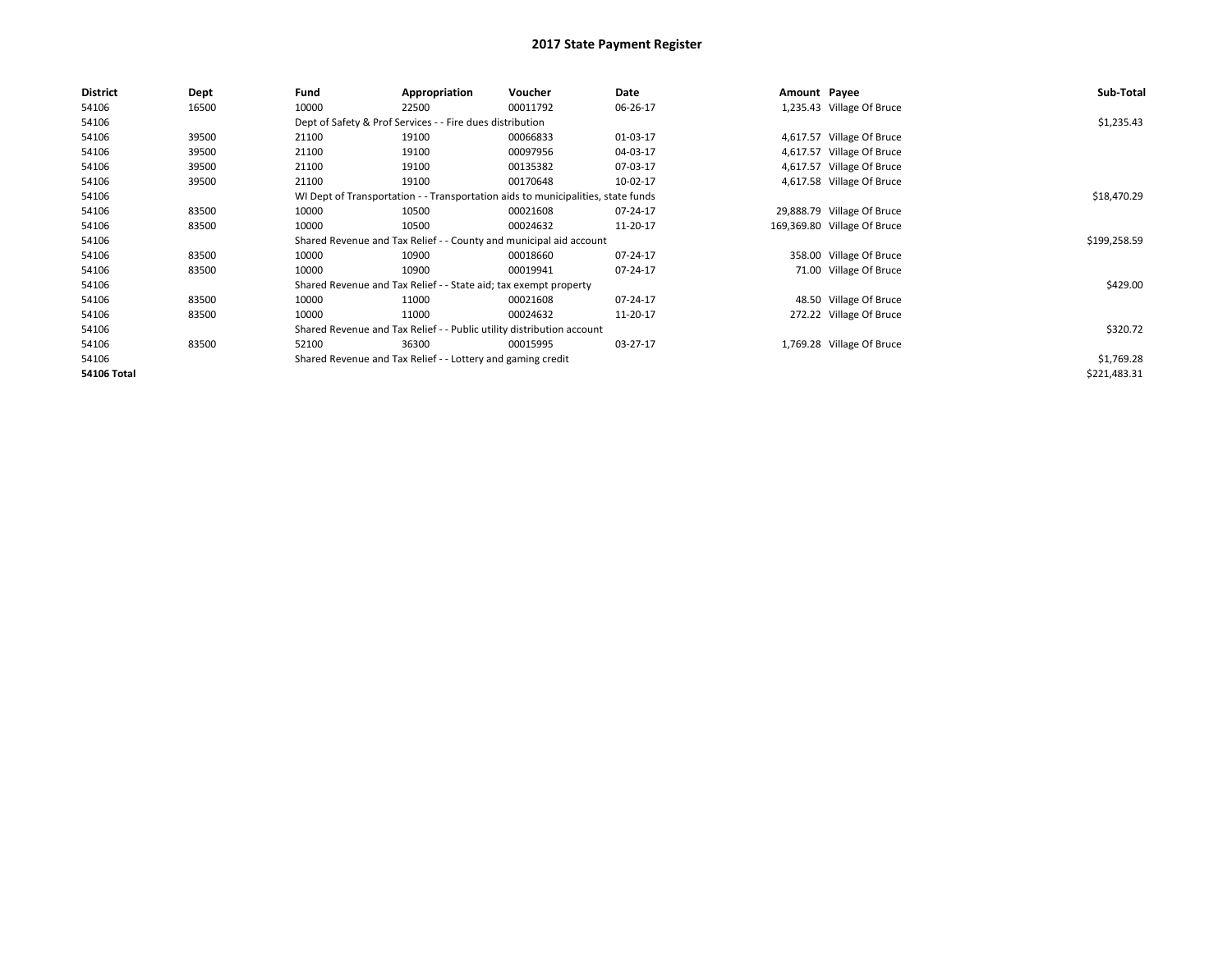| <b>District</b>    | Dept  | Fund  | Appropriation                                                         | Voucher                                                                          | Date     | Amount Payee |                             | Sub-Total    |
|--------------------|-------|-------|-----------------------------------------------------------------------|----------------------------------------------------------------------------------|----------|--------------|-----------------------------|--------------|
| 54106              | 16500 | 10000 | 22500                                                                 | 00011792                                                                         | 06-26-17 |              | 1,235.43 Village Of Bruce   |              |
| 54106              |       |       | Dept of Safety & Prof Services - - Fire dues distribution             |                                                                                  |          |              |                             | \$1,235.43   |
| 54106              | 39500 | 21100 | 19100                                                                 | 00066833                                                                         | 01-03-17 |              | 4,617.57 Village Of Bruce   |              |
| 54106              | 39500 | 21100 | 19100                                                                 | 00097956                                                                         | 04-03-17 |              | 4,617.57 Village Of Bruce   |              |
| 54106              | 39500 | 21100 | 19100                                                                 | 00135382                                                                         | 07-03-17 |              | 4,617.57 Village Of Bruce   |              |
| 54106              | 39500 | 21100 | 19100                                                                 | 00170648                                                                         | 10-02-17 |              | 4,617.58 Village Of Bruce   |              |
| 54106              |       |       |                                                                       | WI Dept of Transportation - - Transportation aids to municipalities, state funds |          |              |                             | \$18,470.29  |
| 54106              | 83500 | 10000 | 10500                                                                 | 00021608                                                                         | 07-24-17 |              | 29,888.79 Village Of Bruce  |              |
| 54106              | 83500 | 10000 | 10500                                                                 | 00024632                                                                         | 11-20-17 |              | 169,369.80 Village Of Bruce |              |
| 54106              |       |       |                                                                       | Shared Revenue and Tax Relief - - County and municipal aid account               |          |              |                             | \$199,258.59 |
| 54106              | 83500 | 10000 | 10900                                                                 | 00018660                                                                         | 07-24-17 |              | 358.00 Village Of Bruce     |              |
| 54106              | 83500 | 10000 | 10900                                                                 | 00019941                                                                         | 07-24-17 |              | 71.00 Village Of Bruce      |              |
| 54106              |       |       | Shared Revenue and Tax Relief - - State aid; tax exempt property      |                                                                                  |          |              |                             | \$429.00     |
| 54106              | 83500 | 10000 | 11000                                                                 | 00021608                                                                         | 07-24-17 |              | 48.50 Village Of Bruce      |              |
| 54106              | 83500 | 10000 | 11000                                                                 | 00024632                                                                         | 11-20-17 |              | 272.22 Village Of Bruce     |              |
| 54106              |       |       | Shared Revenue and Tax Relief - - Public utility distribution account |                                                                                  |          |              |                             | \$320.72     |
| 54106              | 83500 | 52100 | 36300                                                                 | 00015995                                                                         | 03-27-17 |              | 1,769.28 Village Of Bruce   |              |
| 54106              |       |       | Shared Revenue and Tax Relief - - Lottery and gaming credit           |                                                                                  |          |              |                             | \$1,769.28   |
| <b>54106 Total</b> |       |       |                                                                       |                                                                                  |          |              |                             | \$221,483.31 |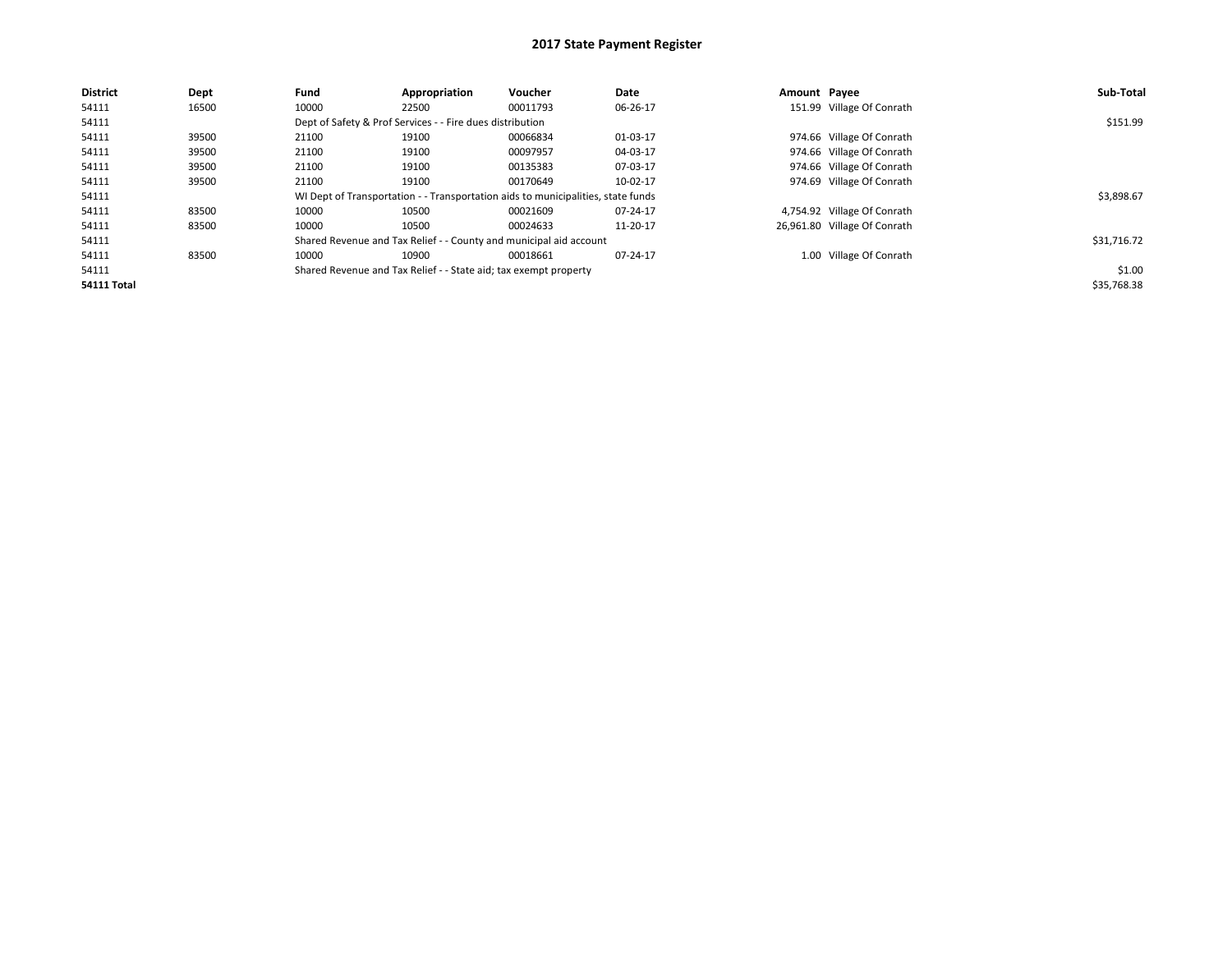| <b>District</b> | Dept  | Fund  | Appropriation                                                    | Voucher                                                                          | Date     | Amount Payee |                              | Sub-Total   |
|-----------------|-------|-------|------------------------------------------------------------------|----------------------------------------------------------------------------------|----------|--------------|------------------------------|-------------|
| 54111           | 16500 | 10000 | 22500                                                            | 00011793                                                                         | 06-26-17 |              | 151.99 Village Of Conrath    |             |
| 54111           |       |       | Dept of Safety & Prof Services - - Fire dues distribution        |                                                                                  |          |              |                              | \$151.99    |
| 54111           | 39500 | 21100 | 19100                                                            | 00066834                                                                         | 01-03-17 |              | 974.66 Village Of Conrath    |             |
| 54111           | 39500 | 21100 | 19100                                                            | 00097957                                                                         | 04-03-17 |              | 974.66 Village Of Conrath    |             |
| 54111           | 39500 | 21100 | 19100                                                            | 00135383                                                                         | 07-03-17 |              | 974.66 Village Of Conrath    |             |
| 54111           | 39500 | 21100 | 19100                                                            | 00170649                                                                         | 10-02-17 |              | 974.69 Village Of Conrath    |             |
| 54111           |       |       |                                                                  | WI Dept of Transportation - - Transportation aids to municipalities, state funds |          |              |                              | \$3,898.67  |
| 54111           | 83500 | 10000 | 10500                                                            | 00021609                                                                         | 07-24-17 |              | 4,754.92 Village Of Conrath  |             |
| 54111           | 83500 | 10000 | 10500                                                            | 00024633                                                                         | 11-20-17 |              | 26,961.80 Village Of Conrath |             |
| 54111           |       |       |                                                                  | Shared Revenue and Tax Relief - - County and municipal aid account               |          |              |                              | \$31,716.72 |
| 54111           | 83500 | 10000 | 10900                                                            | 00018661                                                                         | 07-24-17 |              | 1.00 Village Of Conrath      |             |
| 54111           |       |       | Shared Revenue and Tax Relief - - State aid; tax exempt property |                                                                                  |          |              |                              | \$1.00      |
| 54111 Total     |       |       |                                                                  |                                                                                  |          |              |                              | \$35,768.38 |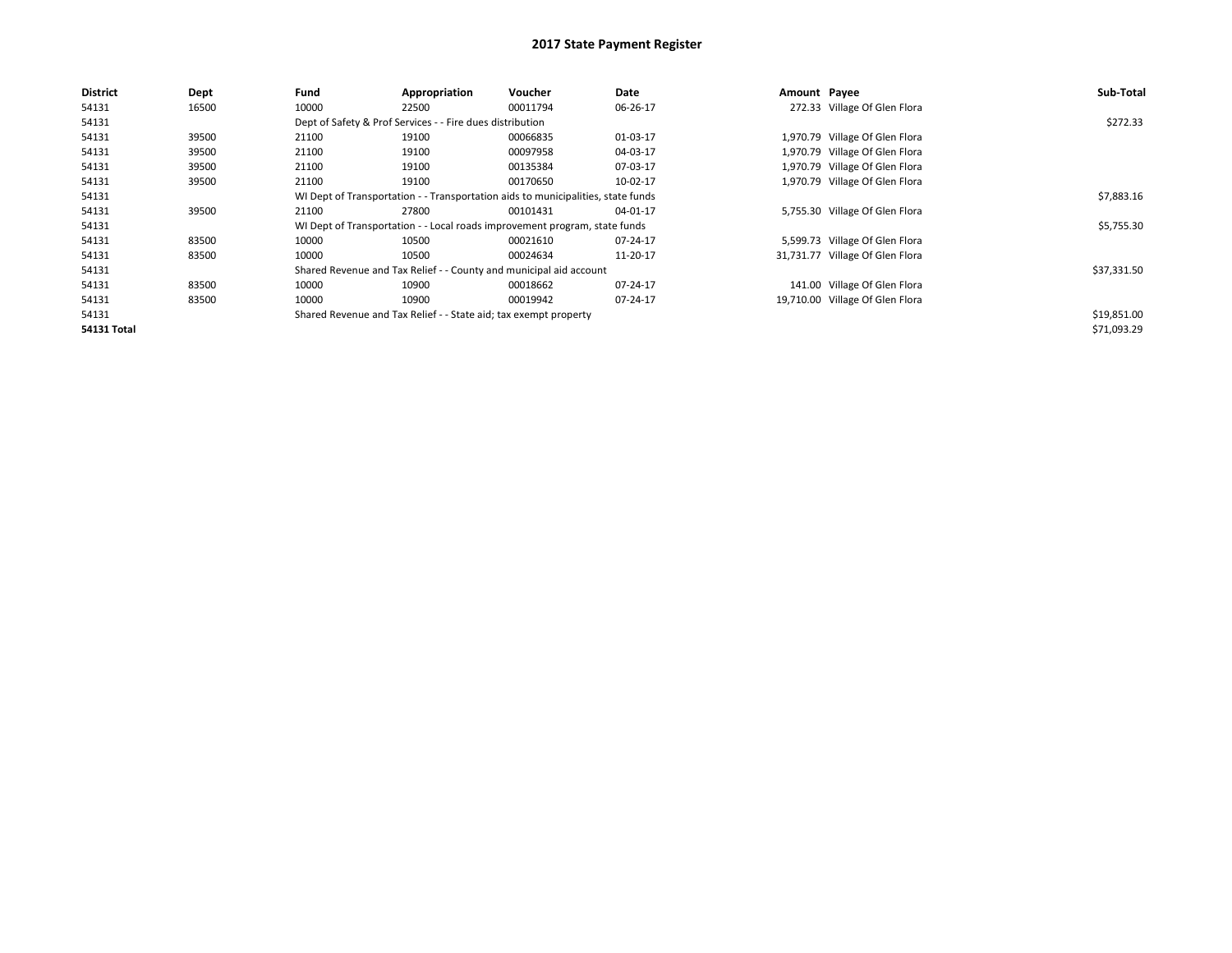| <b>District</b> | Dept  | Fund  | Appropriation                                                                    | Voucher  | Date     | Amount Payee |                                 | Sub-Total   |
|-----------------|-------|-------|----------------------------------------------------------------------------------|----------|----------|--------------|---------------------------------|-------------|
| 54131           | 16500 | 10000 | 22500                                                                            | 00011794 | 06-26-17 |              | 272.33 Village Of Glen Flora    |             |
| 54131           |       |       | Dept of Safety & Prof Services - - Fire dues distribution                        |          |          |              |                                 | \$272.33    |
| 54131           | 39500 | 21100 | 19100                                                                            | 00066835 | 01-03-17 |              | 1,970.79 Village Of Glen Flora  |             |
| 54131           | 39500 | 21100 | 19100                                                                            | 00097958 | 04-03-17 |              | 1,970.79 Village Of Glen Flora  |             |
| 54131           | 39500 | 21100 | 19100                                                                            | 00135384 | 07-03-17 |              | 1,970.79 Village Of Glen Flora  |             |
| 54131           | 39500 | 21100 | 19100                                                                            | 00170650 | 10-02-17 |              | 1,970.79 Village Of Glen Flora  |             |
| 54131           |       |       | WI Dept of Transportation - - Transportation aids to municipalities, state funds |          |          |              |                                 | \$7,883.16  |
| 54131           | 39500 | 21100 | 27800                                                                            | 00101431 | 04-01-17 |              | 5,755.30 Village Of Glen Flora  |             |
| 54131           |       |       | WI Dept of Transportation - - Local roads improvement program, state funds       |          |          |              |                                 | \$5,755.30  |
| 54131           | 83500 | 10000 | 10500                                                                            | 00021610 | 07-24-17 |              | 5,599.73 Village Of Glen Flora  |             |
| 54131           | 83500 | 10000 | 10500                                                                            | 00024634 | 11-20-17 |              | 31,731.77 Village Of Glen Flora |             |
| 54131           |       |       | Shared Revenue and Tax Relief - - County and municipal aid account               |          |          |              |                                 | \$37,331.50 |
| 54131           | 83500 | 10000 | 10900                                                                            | 00018662 | 07-24-17 |              | 141.00 Village Of Glen Flora    |             |
| 54131           | 83500 | 10000 | 10900                                                                            | 00019942 | 07-24-17 |              | 19,710.00 Village Of Glen Flora |             |
| 54131           |       |       | Shared Revenue and Tax Relief - - State aid; tax exempt property                 |          |          |              |                                 | \$19,851.00 |
| 54131 Total     |       |       |                                                                                  |          |          |              |                                 | \$71,093.29 |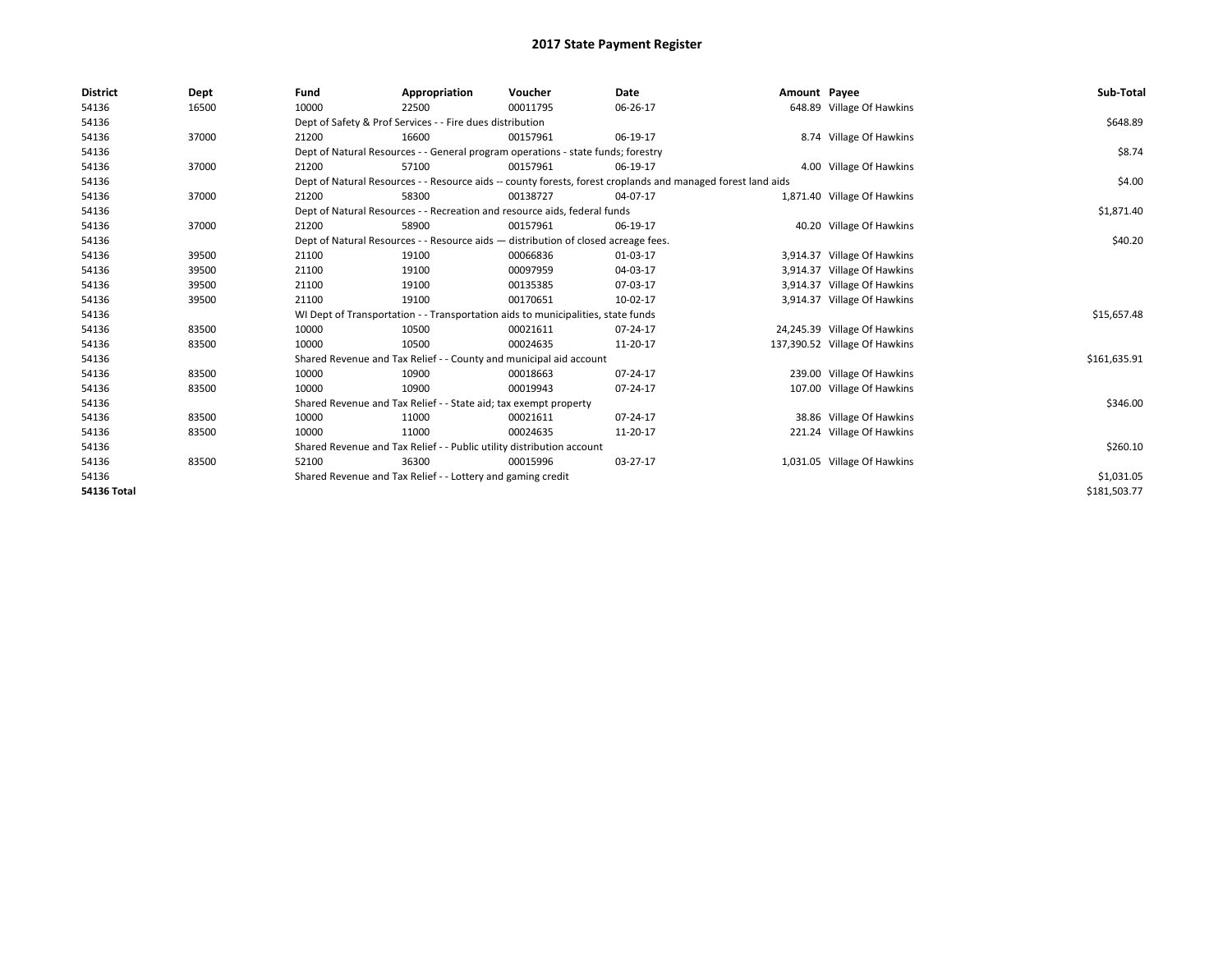| <b>District</b>    | Dept  | Fund  | Appropriation                                                                      | Voucher  | Date                                                                                                         | Amount Payee |                               | Sub-Total    |
|--------------------|-------|-------|------------------------------------------------------------------------------------|----------|--------------------------------------------------------------------------------------------------------------|--------------|-------------------------------|--------------|
| 54136              | 16500 | 10000 | 22500                                                                              | 00011795 | 06-26-17                                                                                                     |              | 648.89 Village Of Hawkins     |              |
| 54136              |       |       | Dept of Safety & Prof Services - - Fire dues distribution                          |          |                                                                                                              |              |                               | \$648.89     |
| 54136              | 37000 | 21200 | 16600                                                                              | 00157961 | 06-19-17                                                                                                     |              | 8.74 Village Of Hawkins       |              |
| 54136              |       |       | Dept of Natural Resources - - General program operations - state funds; forestry   |          |                                                                                                              |              |                               | \$8.74       |
| 54136              | 37000 | 21200 | 57100                                                                              | 00157961 | 06-19-17                                                                                                     |              | 4.00 Village Of Hawkins       |              |
| 54136              |       |       |                                                                                    |          | Dept of Natural Resources - - Resource aids -- county forests, forest croplands and managed forest land aids |              |                               | \$4.00       |
| 54136              | 37000 | 21200 | 58300                                                                              | 00138727 | 04-07-17                                                                                                     |              | 1,871.40 Village Of Hawkins   |              |
| 54136              |       |       | Dept of Natural Resources - - Recreation and resource aids, federal funds          |          |                                                                                                              |              |                               | \$1,871.40   |
| 54136              | 37000 | 21200 | 58900                                                                              | 00157961 | 06-19-17                                                                                                     |              | 40.20 Village Of Hawkins      |              |
| 54136              |       |       | Dept of Natural Resources - - Resource aids - distribution of closed acreage fees. |          |                                                                                                              |              |                               | \$40.20      |
| 54136              | 39500 | 21100 | 19100                                                                              | 00066836 | 01-03-17                                                                                                     |              | 3,914.37 Village Of Hawkins   |              |
| 54136              | 39500 | 21100 | 19100                                                                              | 00097959 | 04-03-17                                                                                                     |              | 3,914.37 Village Of Hawkins   |              |
| 54136              | 39500 | 21100 | 19100                                                                              | 00135385 | 07-03-17                                                                                                     |              | 3,914.37 Village Of Hawkins   |              |
| 54136              | 39500 | 21100 | 19100                                                                              | 00170651 | 10-02-17                                                                                                     |              | 3,914.37 Village Of Hawkins   |              |
| 54136              |       |       | WI Dept of Transportation - - Transportation aids to municipalities, state funds   |          |                                                                                                              |              |                               | \$15,657.48  |
| 54136              | 83500 | 10000 | 10500                                                                              | 00021611 | 07-24-17                                                                                                     |              | 24,245.39 Village Of Hawkins  |              |
| 54136              | 83500 | 10000 | 10500                                                                              | 00024635 | 11-20-17                                                                                                     |              | 137,390.52 Village Of Hawkins |              |
| 54136              |       |       | Shared Revenue and Tax Relief - - County and municipal aid account                 |          |                                                                                                              |              |                               | \$161,635.91 |
| 54136              | 83500 | 10000 | 10900                                                                              | 00018663 | 07-24-17                                                                                                     |              | 239.00 Village Of Hawkins     |              |
| 54136              | 83500 | 10000 | 10900                                                                              | 00019943 | 07-24-17                                                                                                     |              | 107.00 Village Of Hawkins     |              |
| 54136              |       |       | Shared Revenue and Tax Relief - - State aid; tax exempt property                   |          |                                                                                                              |              |                               | \$346.00     |
| 54136              | 83500 | 10000 | 11000                                                                              | 00021611 | 07-24-17                                                                                                     |              | 38.86 Village Of Hawkins      |              |
| 54136              | 83500 | 10000 | 11000                                                                              | 00024635 | 11-20-17                                                                                                     |              | 221.24 Village Of Hawkins     |              |
| 54136              |       |       | Shared Revenue and Tax Relief - - Public utility distribution account              |          |                                                                                                              |              |                               | \$260.10     |
| 54136              | 83500 | 52100 | 36300                                                                              | 00015996 | 03-27-17                                                                                                     |              | 1,031.05 Village Of Hawkins   |              |
| 54136              |       |       | Shared Revenue and Tax Relief - - Lottery and gaming credit                        |          |                                                                                                              |              |                               | \$1,031.05   |
| <b>54136 Total</b> |       |       |                                                                                    |          |                                                                                                              |              |                               | \$181,503.77 |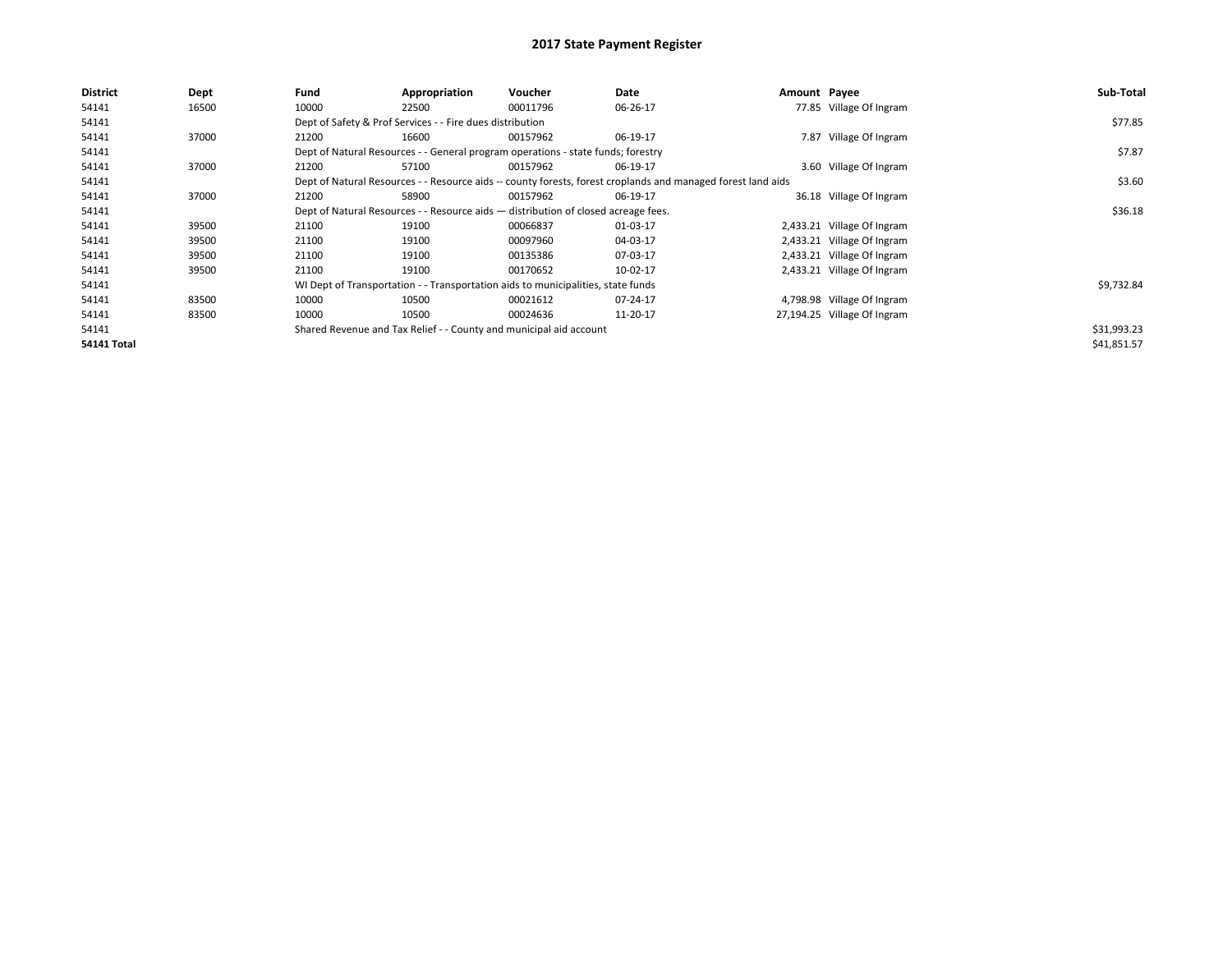| <b>District</b> | Dept  | Fund  | Appropriation                                                                      | Voucher  | Date                                                                                                         | Amount Payee |                             | Sub-Total   |
|-----------------|-------|-------|------------------------------------------------------------------------------------|----------|--------------------------------------------------------------------------------------------------------------|--------------|-----------------------------|-------------|
| 54141           | 16500 | 10000 | 22500                                                                              | 00011796 | 06-26-17                                                                                                     |              | 77.85 Village Of Ingram     |             |
| 54141           |       |       | Dept of Safety & Prof Services - - Fire dues distribution                          |          |                                                                                                              |              |                             | \$77.85     |
| 54141           | 37000 | 21200 | 16600                                                                              | 00157962 | 06-19-17                                                                                                     |              | 7.87 Village Of Ingram      |             |
| 54141           |       |       | Dept of Natural Resources - - General program operations - state funds; forestry   |          |                                                                                                              |              |                             | \$7.87      |
| 54141           | 37000 | 21200 | 57100                                                                              | 00157962 | 06-19-17                                                                                                     |              | 3.60 Village Of Ingram      |             |
| 54141           |       |       |                                                                                    |          | Dept of Natural Resources - - Resource aids -- county forests, forest croplands and managed forest land aids |              |                             | \$3.60      |
| 54141           | 37000 | 21200 | 58900                                                                              | 00157962 | 06-19-17                                                                                                     |              | 36.18 Village Of Ingram     |             |
| 54141           |       |       | Dept of Natural Resources - - Resource aids - distribution of closed acreage fees. |          |                                                                                                              |              |                             | \$36.18     |
| 54141           | 39500 | 21100 | 19100                                                                              | 00066837 | 01-03-17                                                                                                     |              | 2,433.21 Village Of Ingram  |             |
| 54141           | 39500 | 21100 | 19100                                                                              | 00097960 | 04-03-17                                                                                                     |              | 2,433.21 Village Of Ingram  |             |
| 54141           | 39500 | 21100 | 19100                                                                              | 00135386 | 07-03-17                                                                                                     |              | 2,433.21 Village Of Ingram  |             |
| 54141           | 39500 | 21100 | 19100                                                                              | 00170652 | 10-02-17                                                                                                     |              | 2,433.21 Village Of Ingram  |             |
| 54141           |       |       | WI Dept of Transportation - - Transportation aids to municipalities, state funds   |          |                                                                                                              |              |                             | \$9,732.84  |
| 54141           | 83500 | 10000 | 10500                                                                              | 00021612 | 07-24-17                                                                                                     |              | 4,798.98 Village Of Ingram  |             |
| 54141           | 83500 | 10000 | 10500                                                                              | 00024636 | 11-20-17                                                                                                     |              | 27,194.25 Village Of Ingram |             |
| 54141           |       |       | Shared Revenue and Tax Relief - - County and municipal aid account                 |          |                                                                                                              |              |                             | \$31,993.23 |
| 54141 Total     |       |       |                                                                                    |          |                                                                                                              |              |                             | \$41,851.57 |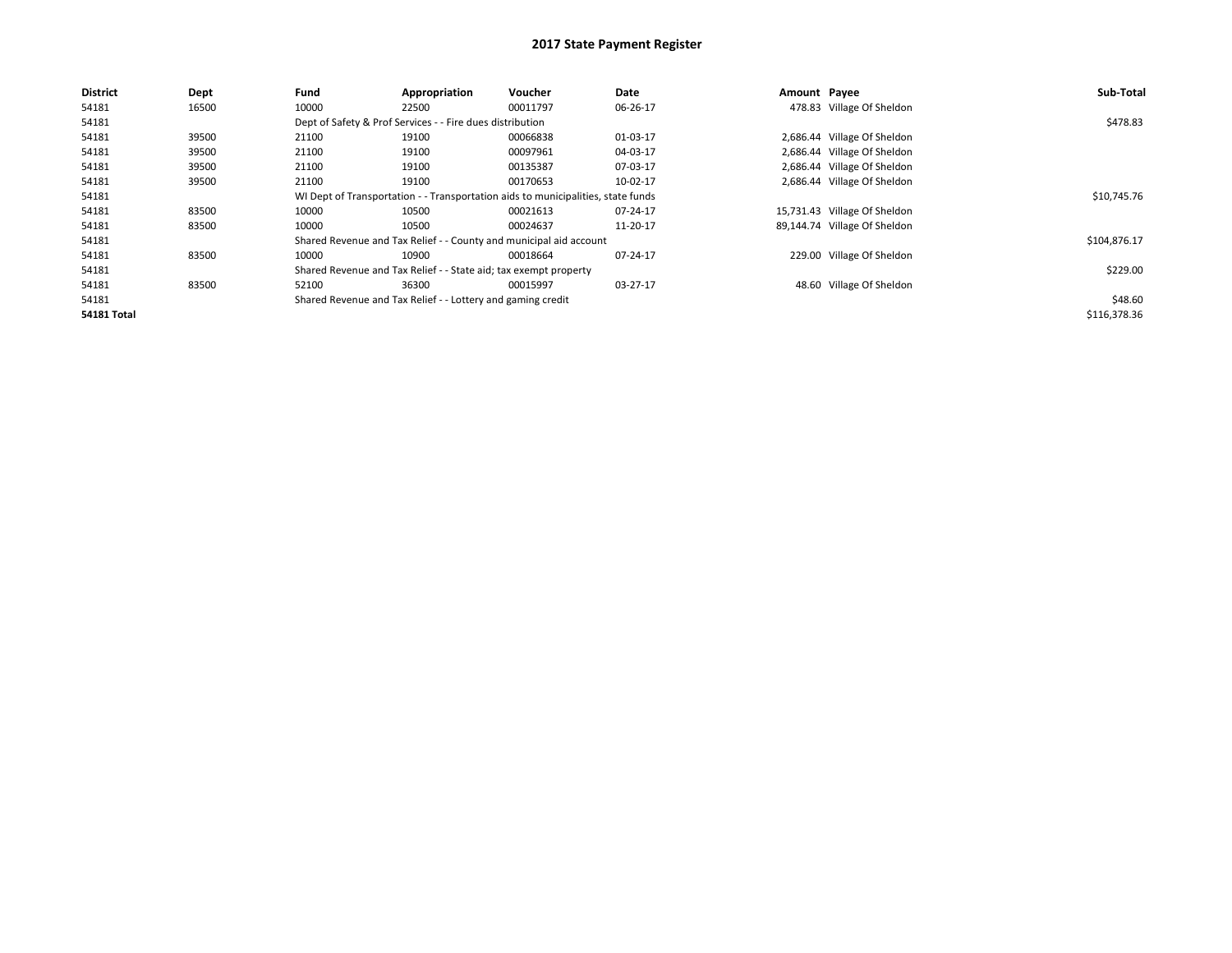| <b>District</b>    | Dept  | Fund  | Appropriation                                                                    | Voucher  | Date     | Amount Payee |                              | Sub-Total    |
|--------------------|-------|-------|----------------------------------------------------------------------------------|----------|----------|--------------|------------------------------|--------------|
| 54181              | 16500 | 10000 | 22500                                                                            | 00011797 | 06-26-17 |              | 478.83 Village Of Sheldon    |              |
| 54181              |       |       | Dept of Safety & Prof Services - - Fire dues distribution                        |          |          |              |                              | \$478.83     |
| 54181              | 39500 | 21100 | 19100                                                                            | 00066838 | 01-03-17 |              | 2,686.44 Village Of Sheldon  |              |
| 54181              | 39500 | 21100 | 19100                                                                            | 00097961 | 04-03-17 |              | 2,686.44 Village Of Sheldon  |              |
| 54181              | 39500 | 21100 | 19100                                                                            | 00135387 | 07-03-17 |              | 2,686.44 Village Of Sheldon  |              |
| 54181              | 39500 | 21100 | 19100                                                                            | 00170653 | 10-02-17 |              | 2,686.44 Village Of Sheldon  |              |
| 54181              |       |       | WI Dept of Transportation - - Transportation aids to municipalities, state funds |          |          |              |                              | \$10,745.76  |
| 54181              | 83500 | 10000 | 10500                                                                            | 00021613 | 07-24-17 |              | 15,731.43 Village Of Sheldon |              |
| 54181              | 83500 | 10000 | 10500                                                                            | 00024637 | 11-20-17 |              | 89,144.74 Village Of Sheldon |              |
| 54181              |       |       | Shared Revenue and Tax Relief - - County and municipal aid account               |          |          |              |                              | \$104,876.17 |
| 54181              | 83500 | 10000 | 10900                                                                            | 00018664 | 07-24-17 |              | 229.00 Village Of Sheldon    |              |
| 54181              |       |       | Shared Revenue and Tax Relief - - State aid; tax exempt property                 |          |          |              |                              | \$229.00     |
| 54181              | 83500 | 52100 | 36300                                                                            | 00015997 | 03-27-17 |              | 48.60 Village Of Sheldon     |              |
| 54181              |       |       | Shared Revenue and Tax Relief - - Lottery and gaming credit                      |          |          |              |                              | \$48.60      |
| <b>54181 Total</b> |       |       |                                                                                  |          |          |              |                              | \$116,378.36 |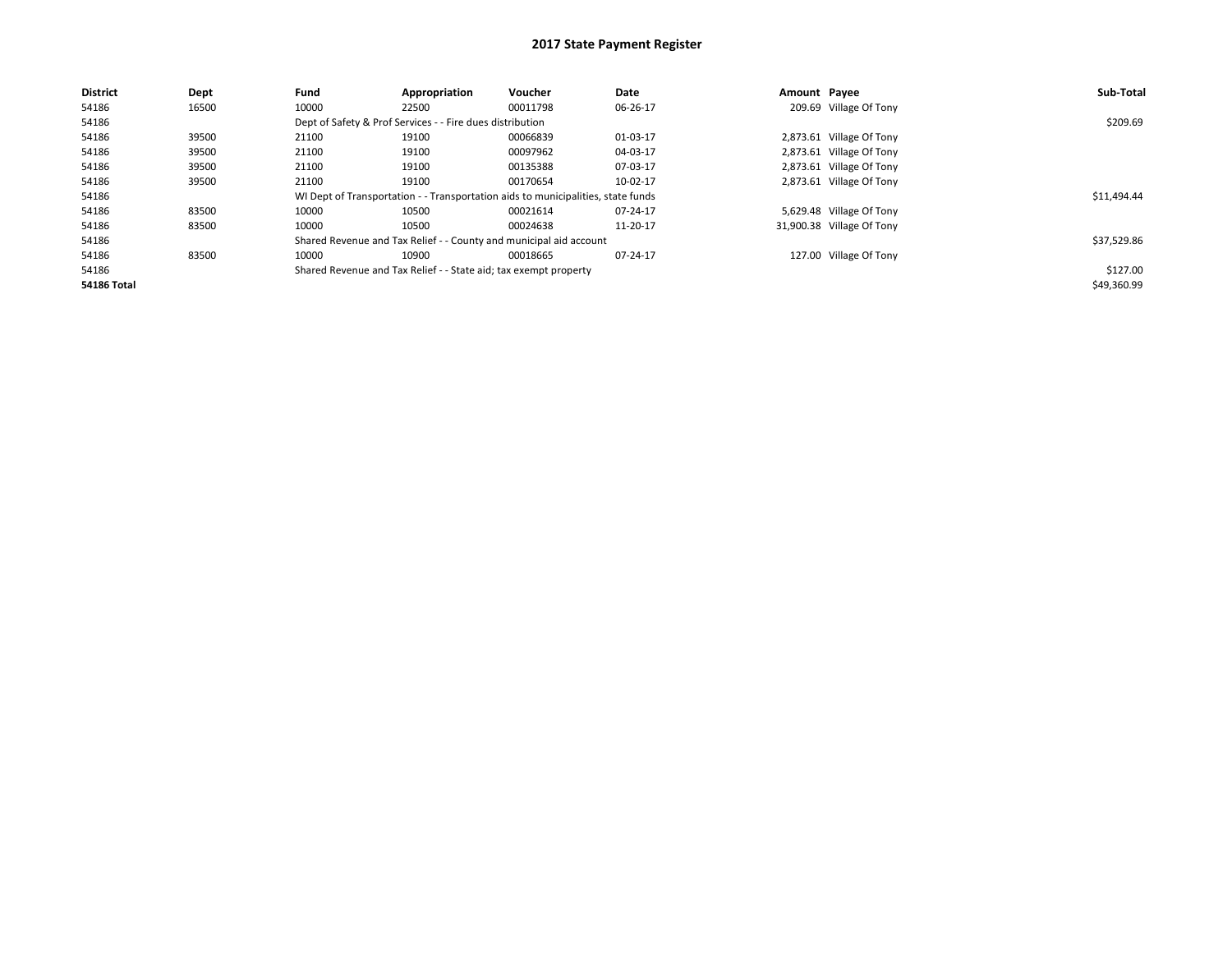| <b>District</b>    | Dept  | Fund  | Appropriation                                                    | Voucher                                                                          | Date     | Amount Payee |                           | Sub-Total   |
|--------------------|-------|-------|------------------------------------------------------------------|----------------------------------------------------------------------------------|----------|--------------|---------------------------|-------------|
| 54186              | 16500 | 10000 | 22500                                                            | 00011798                                                                         | 06-26-17 |              | 209.69 Village Of Tony    |             |
| 54186              |       |       | Dept of Safety & Prof Services - - Fire dues distribution        |                                                                                  |          |              |                           | \$209.69    |
| 54186              | 39500 | 21100 | 19100                                                            | 00066839                                                                         | 01-03-17 |              | 2,873.61 Village Of Tony  |             |
| 54186              | 39500 | 21100 | 19100                                                            | 00097962                                                                         | 04-03-17 |              | 2,873.61 Village Of Tony  |             |
| 54186              | 39500 | 21100 | 19100                                                            | 00135388                                                                         | 07-03-17 |              | 2,873.61 Village Of Tony  |             |
| 54186              | 39500 | 21100 | 19100                                                            | 00170654                                                                         | 10-02-17 |              | 2,873.61 Village Of Tony  |             |
| 54186              |       |       |                                                                  | WI Dept of Transportation - - Transportation aids to municipalities, state funds |          |              |                           | \$11.494.44 |
| 54186              | 83500 | 10000 | 10500                                                            | 00021614                                                                         | 07-24-17 |              | 5,629.48 Village Of Tony  |             |
| 54186              | 83500 | 10000 | 10500                                                            | 00024638                                                                         | 11-20-17 |              | 31,900.38 Village Of Tony |             |
| 54186              |       |       |                                                                  | Shared Revenue and Tax Relief - - County and municipal aid account               |          |              |                           | \$37,529.86 |
| 54186              | 83500 | 10000 | 10900                                                            | 00018665                                                                         | 07-24-17 |              | 127.00 Village Of Tony    |             |
| 54186              |       |       | Shared Revenue and Tax Relief - - State aid; tax exempt property |                                                                                  |          |              |                           | \$127.00    |
| <b>54186 Total</b> |       |       |                                                                  |                                                                                  |          |              |                           | \$49,360.99 |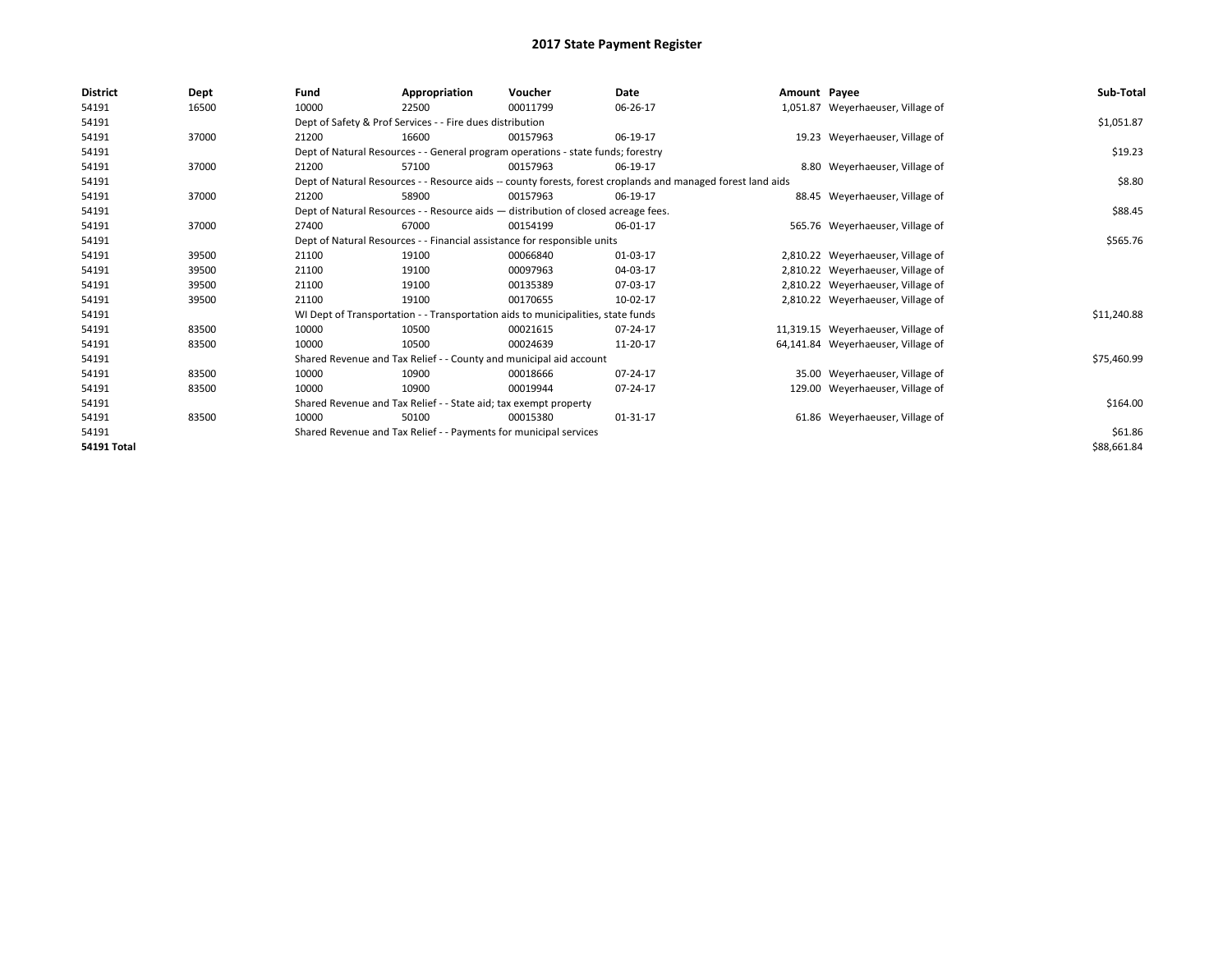| District           | Dept  | Fund  | Appropriation                                                      | Voucher                                                                            | Date                                                                                                         | Amount Payee |                                    | Sub-Total   |  |  |
|--------------------|-------|-------|--------------------------------------------------------------------|------------------------------------------------------------------------------------|--------------------------------------------------------------------------------------------------------------|--------------|------------------------------------|-------------|--|--|
| 54191              | 16500 | 10000 | 22500                                                              | 00011799                                                                           | 06-26-17                                                                                                     |              | 1,051.87 Weyerhaeuser, Village of  |             |  |  |
| 54191              |       |       | Dept of Safety & Prof Services - - Fire dues distribution          |                                                                                    |                                                                                                              |              |                                    | \$1,051.87  |  |  |
| 54191              | 37000 | 21200 | 16600                                                              | 00157963                                                                           | 06-19-17                                                                                                     |              | 19.23 Weyerhaeuser, Village of     |             |  |  |
| 54191              |       |       |                                                                    | Dept of Natural Resources - - General program operations - state funds; forestry   |                                                                                                              |              |                                    | \$19.23     |  |  |
| 54191              | 37000 | 21200 | 57100                                                              | 00157963                                                                           | 06-19-17                                                                                                     |              | 8.80 Weyerhaeuser, Village of      |             |  |  |
| 54191              |       |       |                                                                    |                                                                                    | Dept of Natural Resources - - Resource aids -- county forests, forest croplands and managed forest land aids |              |                                    | \$8.80      |  |  |
| 54191              | 37000 | 21200 | 58900                                                              | 00157963                                                                           | 06-19-17                                                                                                     |              | 88.45 Weyerhaeuser, Village of     |             |  |  |
| 54191              |       |       |                                                                    | Dept of Natural Resources - - Resource aids - distribution of closed acreage fees. |                                                                                                              |              |                                    | \$88.45     |  |  |
| 54191              | 37000 | 27400 | 67000                                                              | 00154199                                                                           | 06-01-17                                                                                                     |              | 565.76 Weyerhaeuser, Village of    |             |  |  |
| 54191              |       |       |                                                                    | Dept of Natural Resources - - Financial assistance for responsible units           |                                                                                                              |              |                                    | \$565.76    |  |  |
| 54191              | 39500 | 21100 | 19100                                                              | 00066840                                                                           | 01-03-17                                                                                                     |              | 2,810.22 Weyerhaeuser, Village of  |             |  |  |
| 54191              | 39500 | 21100 | 19100                                                              | 00097963                                                                           | 04-03-17                                                                                                     |              | 2,810.22 Weyerhaeuser, Village of  |             |  |  |
| 54191              | 39500 | 21100 | 19100                                                              | 00135389                                                                           | 07-03-17                                                                                                     |              | 2,810.22 Weyerhaeuser, Village of  |             |  |  |
| 54191              | 39500 | 21100 | 19100                                                              | 00170655                                                                           | 10-02-17                                                                                                     |              | 2,810.22 Weyerhaeuser, Village of  |             |  |  |
| 54191              |       |       |                                                                    | WI Dept of Transportation - - Transportation aids to municipalities, state funds   |                                                                                                              |              |                                    | \$11,240.88 |  |  |
| 54191              | 83500 | 10000 | 10500                                                              | 00021615                                                                           | 07-24-17                                                                                                     |              | 11,319.15 Weyerhaeuser, Village of |             |  |  |
| 54191              | 83500 | 10000 | 10500                                                              | 00024639                                                                           | 11-20-17                                                                                                     |              | 64,141.84 Weyerhaeuser, Village of |             |  |  |
| 54191              |       |       | Shared Revenue and Tax Relief - - County and municipal aid account |                                                                                    |                                                                                                              |              |                                    | \$75,460.99 |  |  |
| 54191              | 83500 | 10000 | 10900                                                              | 00018666                                                                           | 07-24-17                                                                                                     |              | 35.00 Weyerhaeuser, Village of     |             |  |  |
| 54191              | 83500 | 10000 | 10900                                                              | 00019944                                                                           | 07-24-17                                                                                                     |              | 129.00 Weyerhaeuser, Village of    |             |  |  |
| 54191              |       |       | Shared Revenue and Tax Relief - - State aid; tax exempt property   |                                                                                    |                                                                                                              |              |                                    | \$164.00    |  |  |
| 54191              | 83500 | 10000 | 50100                                                              | 00015380                                                                           | 01-31-17                                                                                                     |              | 61.86 Weyerhaeuser, Village of     |             |  |  |
| 54191              |       |       | Shared Revenue and Tax Relief - - Payments for municipal services  |                                                                                    |                                                                                                              |              |                                    |             |  |  |
| <b>54191 Total</b> |       |       |                                                                    |                                                                                    |                                                                                                              |              |                                    | \$88,661.84 |  |  |